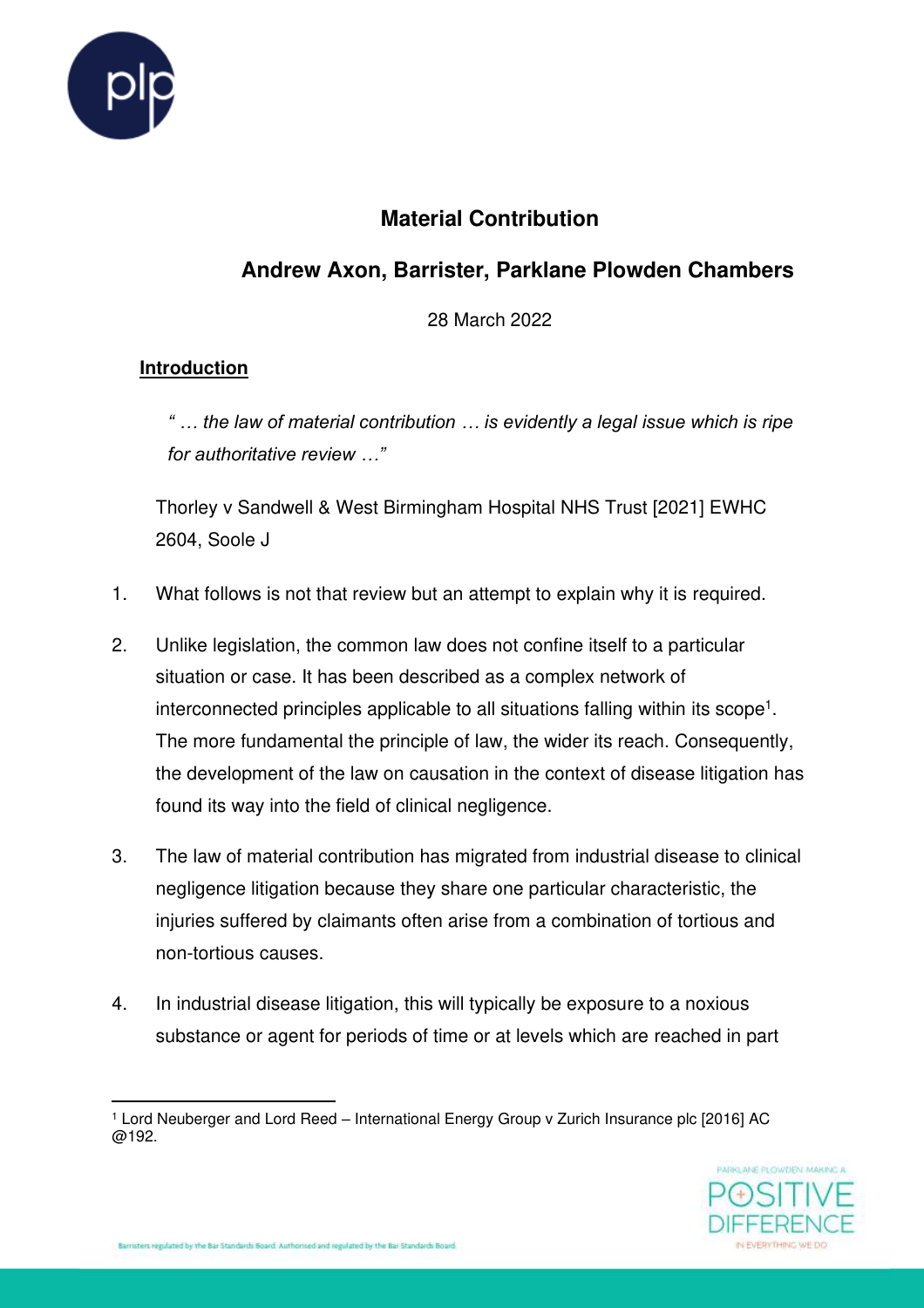

# **Material Contribution**

# **Andrew Axon, Barrister, Parklane Plowden Chambers**

28 March 2022

## **Introduction**

*" … the law of material contribution … is evidently a legal issue which is ripe for authoritative review …"*

Thorley v Sandwell & West Birmingham Hospital NHS Trust [2021] EWHC 2604, Soole J

- 1. What follows is not that review but an attempt to explain why it is required.
- 2. Unlike legislation, the common law does not confine itself to a particular situation or case. It has been described as a complex network of interconnected principles applicable to all situations falling within its scope<sup>1</sup>. The more fundamental the principle of law, the wider its reach. Consequently, the development of the law on causation in the context of disease litigation has found its way into the field of clinical negligence.
- 3. The law of material contribution has migrated from industrial disease to clinical negligence litigation because they share one particular characteristic, the injuries suffered by claimants often arise from a combination of tortious and non-tortious causes.
- 4. In industrial disease litigation, this will typically be exposure to a noxious substance or agent for periods of time or at levels which are reached in part

<sup>1</sup> Lord Neuberger and Lord Reed – International Energy Group v Zurich Insurance plc [2016] AC @192.

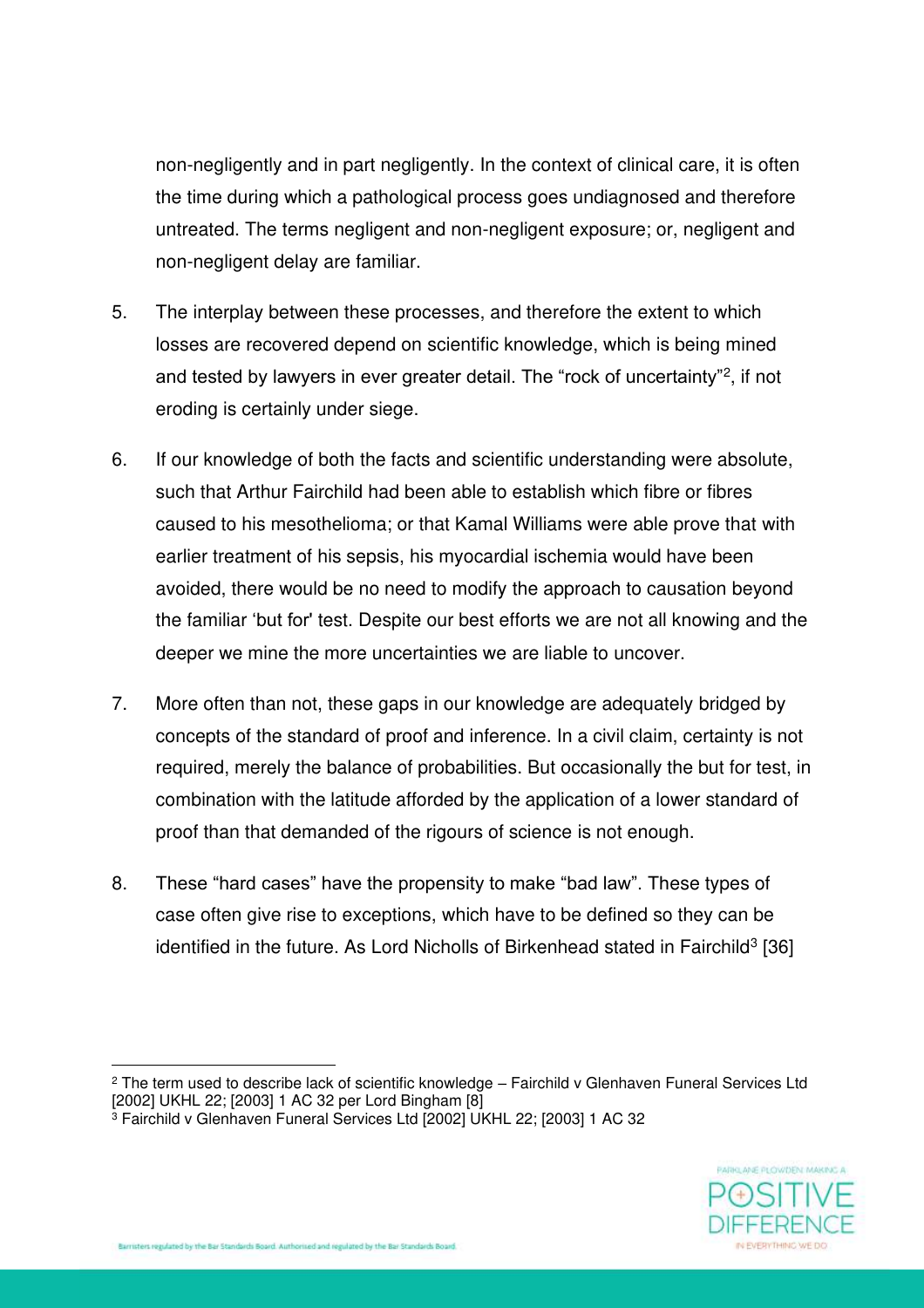non-negligently and in part negligently. In the context of clinical care, it is often the time during which a pathological process goes undiagnosed and therefore untreated. The terms negligent and non-negligent exposure; or, negligent and non-negligent delay are familiar.

- 5. The interplay between these processes, and therefore the extent to which losses are recovered depend on scientific knowledge, which is being mined and tested by lawyers in ever greater detail. The "rock of uncertainty"<sup>2</sup> , if not eroding is certainly under siege.
- 6. If our knowledge of both the facts and scientific understanding were absolute, such that Arthur Fairchild had been able to establish which fibre or fibres caused to his mesothelioma; or that Kamal Williams were able prove that with earlier treatment of his sepsis, his myocardial ischemia would have been avoided, there would be no need to modify the approach to causation beyond the familiar 'but for' test. Despite our best efforts we are not all knowing and the deeper we mine the more uncertainties we are liable to uncover.
- 7. More often than not, these gaps in our knowledge are adequately bridged by concepts of the standard of proof and inference. In a civil claim, certainty is not required, merely the balance of probabilities. But occasionally the but for test, in combination with the latitude afforded by the application of a lower standard of proof than that demanded of the rigours of science is not enough.
- 8. These "hard cases" have the propensity to make "bad law". These types of case often give rise to exceptions, which have to be defined so they can be identified in the future. As Lord Nicholls of Birkenhead stated in Fairchild<sup>3</sup> [36]

<sup>3</sup> Fairchild v Glenhaven Funeral Services Ltd [2002] UKHL 22; [2003] 1 AC 32



 $^{\text{2}}$  The term used to describe lack of scientific knowledge – Fairchild v Glenhaven Funeral Services Ltd [2002] UKHL 22; [2003] 1 AC 32 per Lord Bingham [8]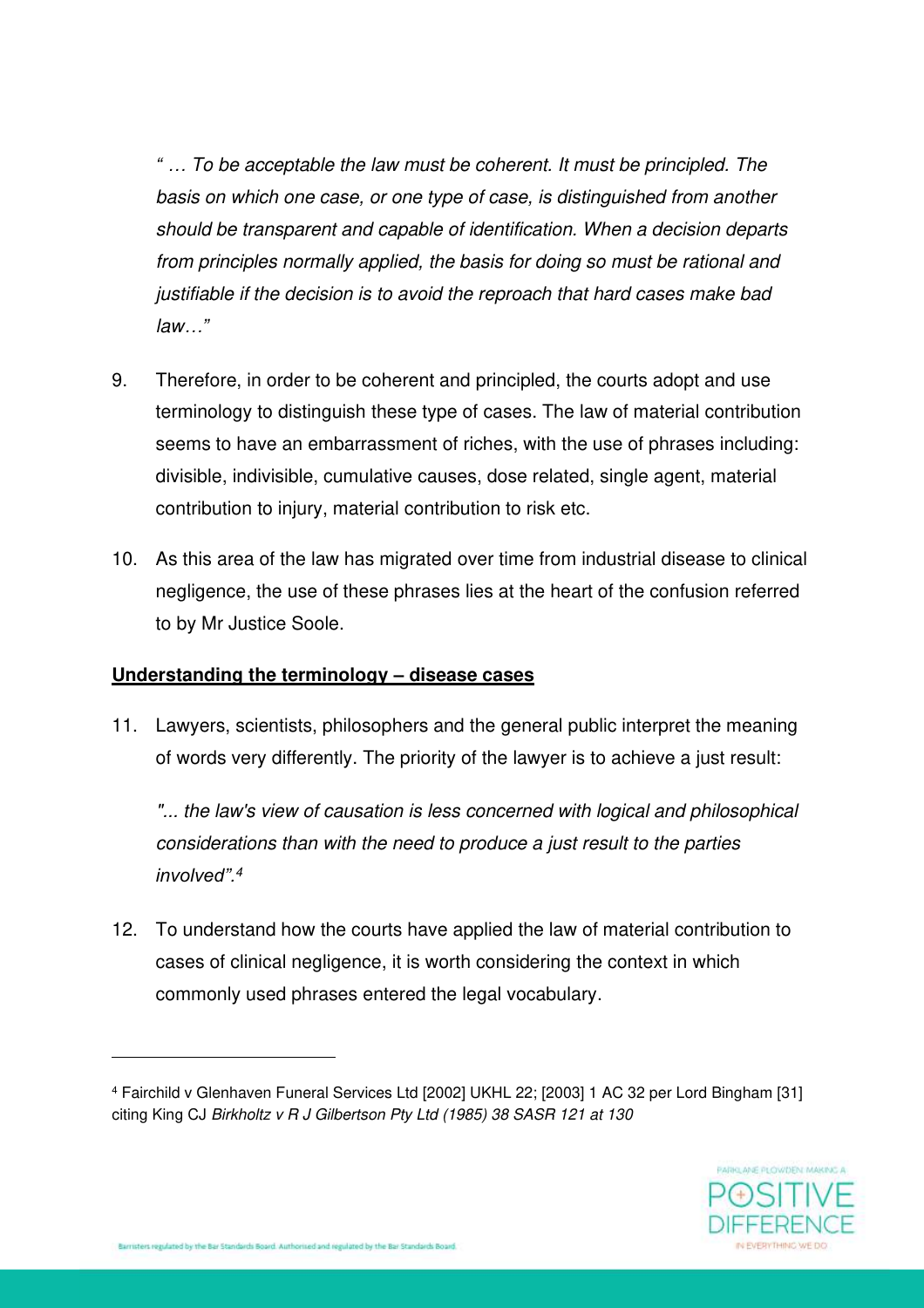*" … To be acceptable the law must be coherent. It must be principled. The basis on which one case, or one type of case, is distinguished from another should be transparent and capable of identification. When a decision departs from principles normally applied, the basis for doing so must be rational and justifiable if the decision is to avoid the reproach that hard cases make bad law…"* 

- 9. Therefore, in order to be coherent and principled, the courts adopt and use terminology to distinguish these type of cases. The law of material contribution seems to have an embarrassment of riches, with the use of phrases including: divisible, indivisible, cumulative causes, dose related, single agent, material contribution to injury, material contribution to risk etc.
- 10. As this area of the law has migrated over time from industrial disease to clinical negligence, the use of these phrases lies at the heart of the confusion referred to by Mr Justice Soole.

### **Understanding the terminology – disease cases**

11. Lawyers, scientists, philosophers and the general public interpret the meaning of words very differently. The priority of the lawyer is to achieve a just result:

"... the law's view of causation is less concerned with logical and philosophical *considerations than with the need to produce a just result to the parties involved".<sup>4</sup>*

12. To understand how the courts have applied the law of material contribution to cases of clinical negligence, it is worth considering the context in which commonly used phrases entered the legal vocabulary.

<sup>4</sup> Fairchild v Glenhaven Funeral Services Ltd [2002] UKHL 22; [2003] 1 AC 32 per Lord Bingham [31] citing King CJ *Birkholtz v R J Gilbertson Pty Ltd (1985) 38 SASR 121 at 130*

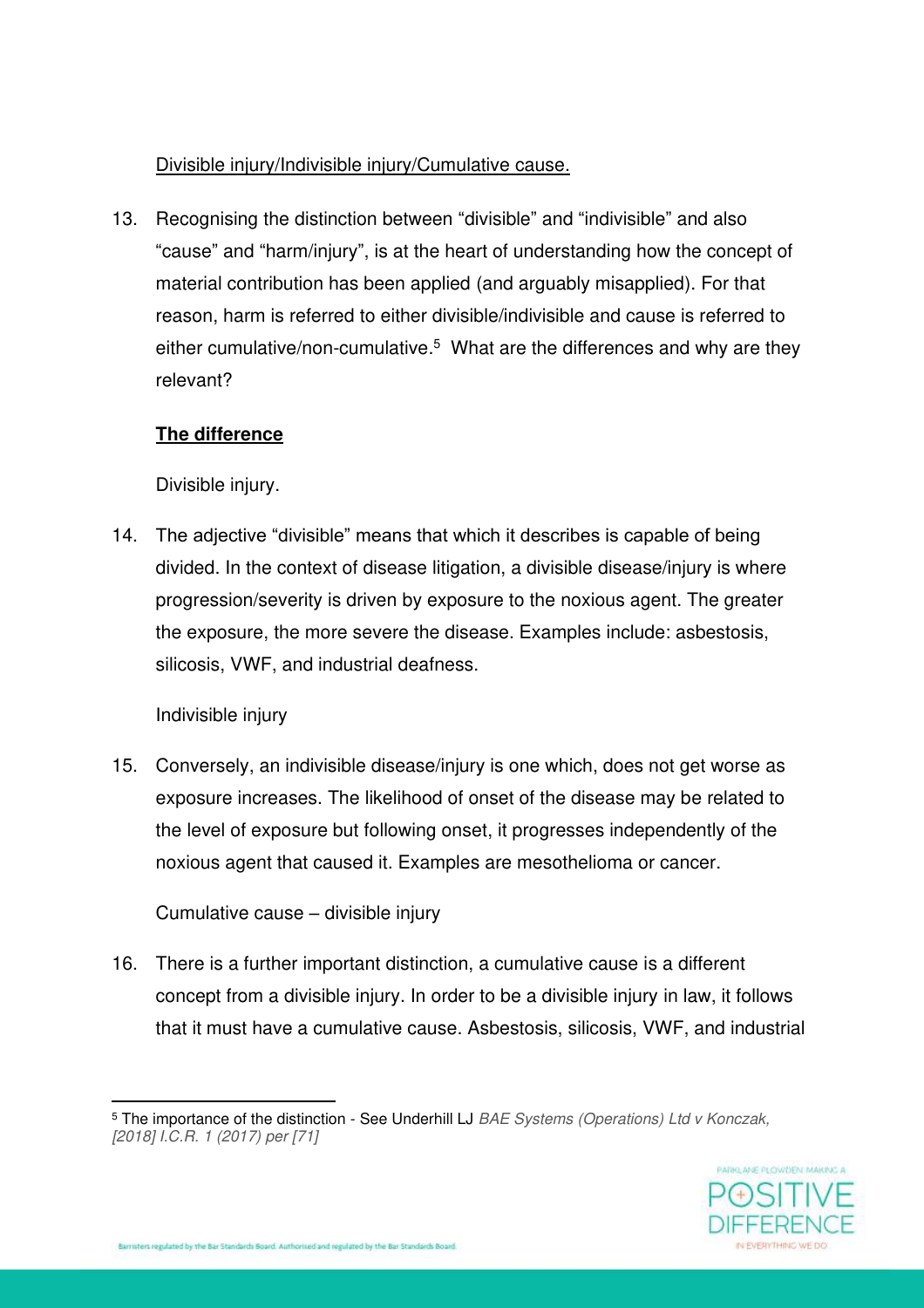### Divisible injury/Indivisible injury/Cumulative cause.

13. Recognising the distinction between "divisible" and "indivisible" and also "cause" and "harm/injury", is at the heart of understanding how the concept of material contribution has been applied (and arguably misapplied). For that reason, harm is referred to either divisible/indivisible and cause is referred to either cumulative/non-cumulative.<sup>5</sup> What are the differences and why are they relevant?

### **The difference**

Divisible injury.

14. The adjective "divisible" means that which it describes is capable of being divided. In the context of disease litigation, a divisible disease/injury is where progression/severity is driven by exposure to the noxious agent. The greater the exposure, the more severe the disease. Examples include: asbestosis, silicosis, VWF, and industrial deafness.

Indivisible injury

15. Conversely, an indivisible disease/injury is one which, does not get worse as exposure increases. The likelihood of onset of the disease may be related to the level of exposure but following onset, it progresses independently of the noxious agent that caused it. Examples are mesothelioma or cancer.

Cumulative cause – divisible injury

16. There is a further important distinction, a cumulative cause is a different concept from a divisible injury. In order to be a divisible injury in law, it follows that it must have a cumulative cause. Asbestosis, silicosis, VWF, and industrial

<sup>5</sup> The importance of the distinction - See Underhill LJ *BAE Systems (Operations) Ltd v Konczak, [2018] I.C.R. 1 (2017) per [71]*

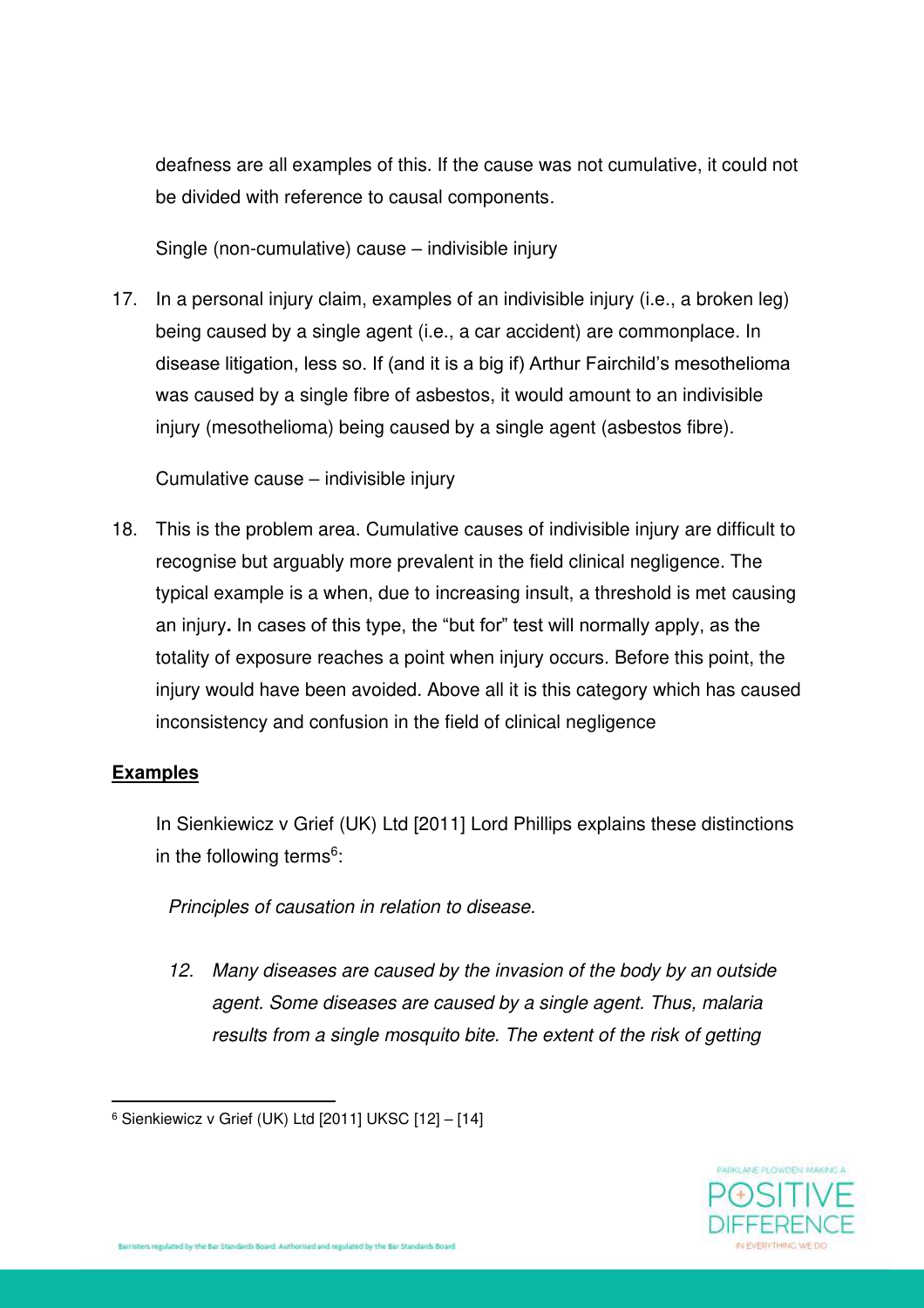deafness are all examples of this. If the cause was not cumulative, it could not be divided with reference to causal components.

Single (non-cumulative) cause – indivisible injury

17. In a personal injury claim, examples of an indivisible injury (i.e., a broken leg) being caused by a single agent (i.e., a car accident) are commonplace. In disease litigation, less so. If (and it is a big if) Arthur Fairchild's mesothelioma was caused by a single fibre of asbestos, it would amount to an indivisible injury (mesothelioma) being caused by a single agent (asbestos fibre).

Cumulative cause – indivisible injury

18. This is the problem area. Cumulative causes of indivisible injury are difficult to recognise but arguably more prevalent in the field clinical negligence. The typical example is a when, due to increasing insult, a threshold is met causing an injury**.** In cases of this type, the "but for" test will normally apply, as the totality of exposure reaches a point when injury occurs. Before this point, the injury would have been avoided. Above all it is this category which has caused inconsistency and confusion in the field of clinical negligence

# **Examples**

In Sienkiewicz v Grief (UK) Ltd [2011] Lord Phillips explains these distinctions in the following terms<sup>6</sup>:

*Principles of causation in relation to disease.* 

*12. Many diseases are caused by the invasion of the body by an outside agent. Some diseases are caused by a single agent. Thus, malaria results from a single mosquito bite. The extent of the risk of getting* 



<sup>6</sup> Sienkiewicz v Grief (UK) Ltd [2011] UKSC [12] – [14]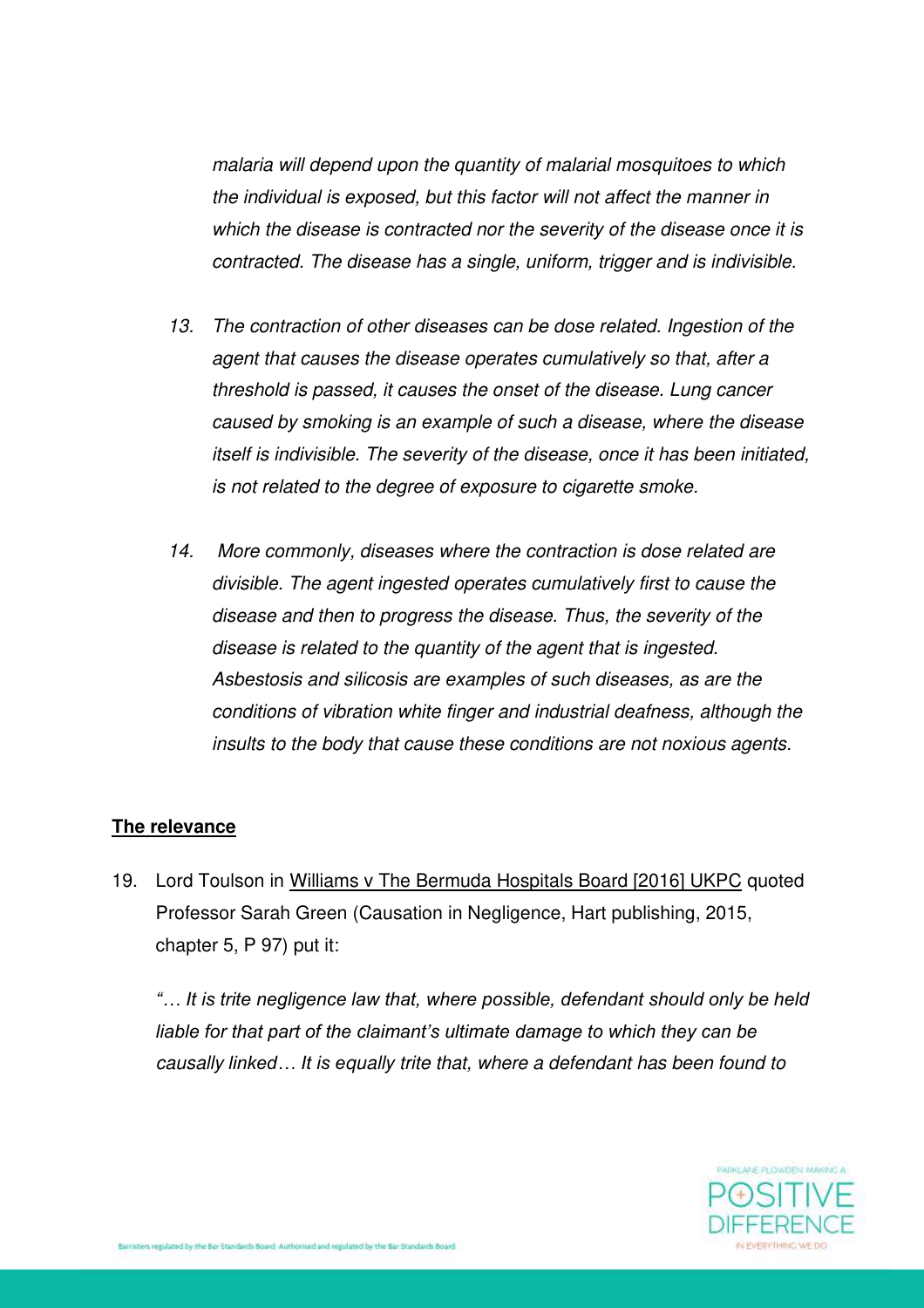*malaria will depend upon the quantity of malarial mosquitoes to which the individual is exposed, but this factor will not affect the manner in which the disease is contracted nor the severity of the disease once it is contracted. The disease has a single, uniform, trigger and is indivisible.* 

- *13. The contraction of other diseases can be dose related. Ingestion of the agent that causes the disease operates cumulatively so that, after a threshold is passed, it causes the onset of the disease. Lung cancer caused by smoking is an example of such a disease, where the disease itself is indivisible. The severity of the disease, once it has been initiated, is not related to the degree of exposure to cigarette smoke.*
- *14. More commonly, diseases where the contraction is dose related are divisible. The agent ingested operates cumulatively first to cause the disease and then to progress the disease. Thus, the severity of the disease is related to the quantity of the agent that is ingested. Asbestosis and silicosis are examples of such diseases, as are the conditions of vibration white finger and industrial deafness, although the insults to the body that cause these conditions are not noxious agents.*

#### **The relevance**

19. Lord Toulson in Williams v The Bermuda Hospitals Board [2016] UKPC quoted Professor Sarah Green (Causation in Negligence, Hart publishing, 2015, chapter 5, P 97) put it:

*"… It is trite negligence law that, where possible, defendant should only be held liable for that part of the claimant's ultimate damage to which they can be causally linked… It is equally trite that, where a defendant has been found to* 

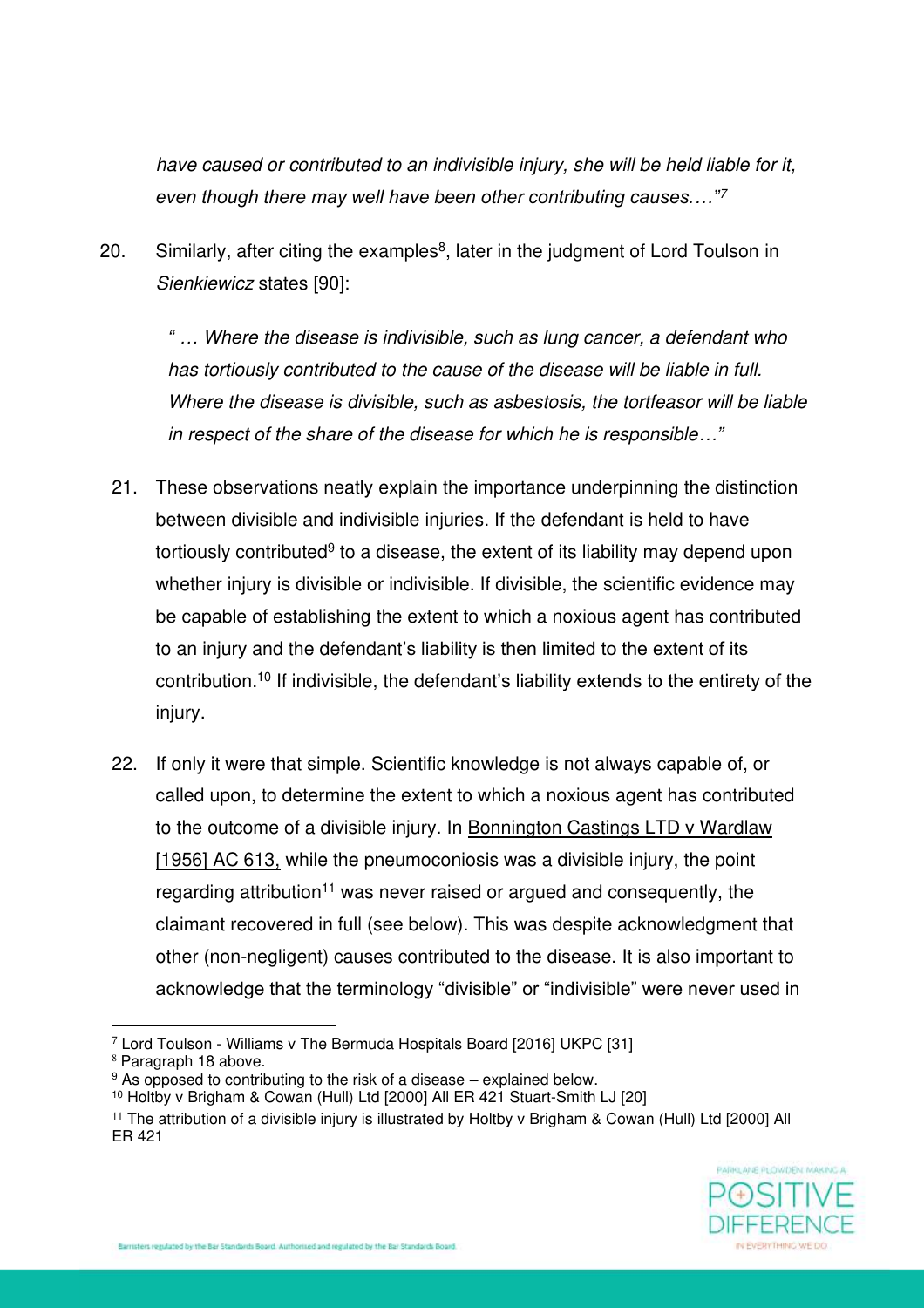*have caused or contributed to an indivisible injury, she will be held liable for it, even though there may well have been other contributing causes.…"<sup>7</sup>*

20. Similarly, after citing the examples<sup>8</sup>, later in the judgment of Lord Toulson in *Sienkiewicz* states [90]:

*" … Where the disease is indivisible, such as lung cancer, a defendant who has tortiously contributed to the cause of the disease will be liable in full. Where the disease is divisible, such as asbestosis, the tortfeasor will be liable in respect of the share of the disease for which he is responsible…"*

- 21. These observations neatly explain the importance underpinning the distinction between divisible and indivisible injuries. If the defendant is held to have tortiously contributed<sup>9</sup> to a disease, the extent of its liability may depend upon whether injury is divisible or indivisible. If divisible, the scientific evidence may be capable of establishing the extent to which a noxious agent has contributed to an injury and the defendant's liability is then limited to the extent of its contribution.<sup>10</sup> If indivisible, the defendant's liability extends to the entirety of the injury.
- 22. If only it were that simple. Scientific knowledge is not always capable of, or called upon, to determine the extent to which a noxious agent has contributed to the outcome of a divisible injury. In Bonnington Castings LTD v Wardlaw [1956] AC 613, while the pneumoconiosis was a divisible injury, the point regarding attribution<sup>11</sup> was never raised or argued and consequently, the claimant recovered in full (see below). This was despite acknowledgment that other (non-negligent) causes contributed to the disease. It is also important to acknowledge that the terminology "divisible" or "indivisible" were never used in

<sup>8</sup> Paragraph 18 above.

<sup>11</sup> The attribution of a divisible injury is illustrated by Holtby v Brigham & Cowan (Hull) Ltd [2000] All ER 421



<sup>7</sup> Lord Toulson - Williams v The Bermuda Hospitals Board [2016] UKPC [31]

<sup>9</sup> As opposed to contributing to the risk of a disease – explained below.

<sup>10</sup> Holtby v Brigham & Cowan (Hull) Ltd [2000] All ER 421 Stuart-Smith LJ [20]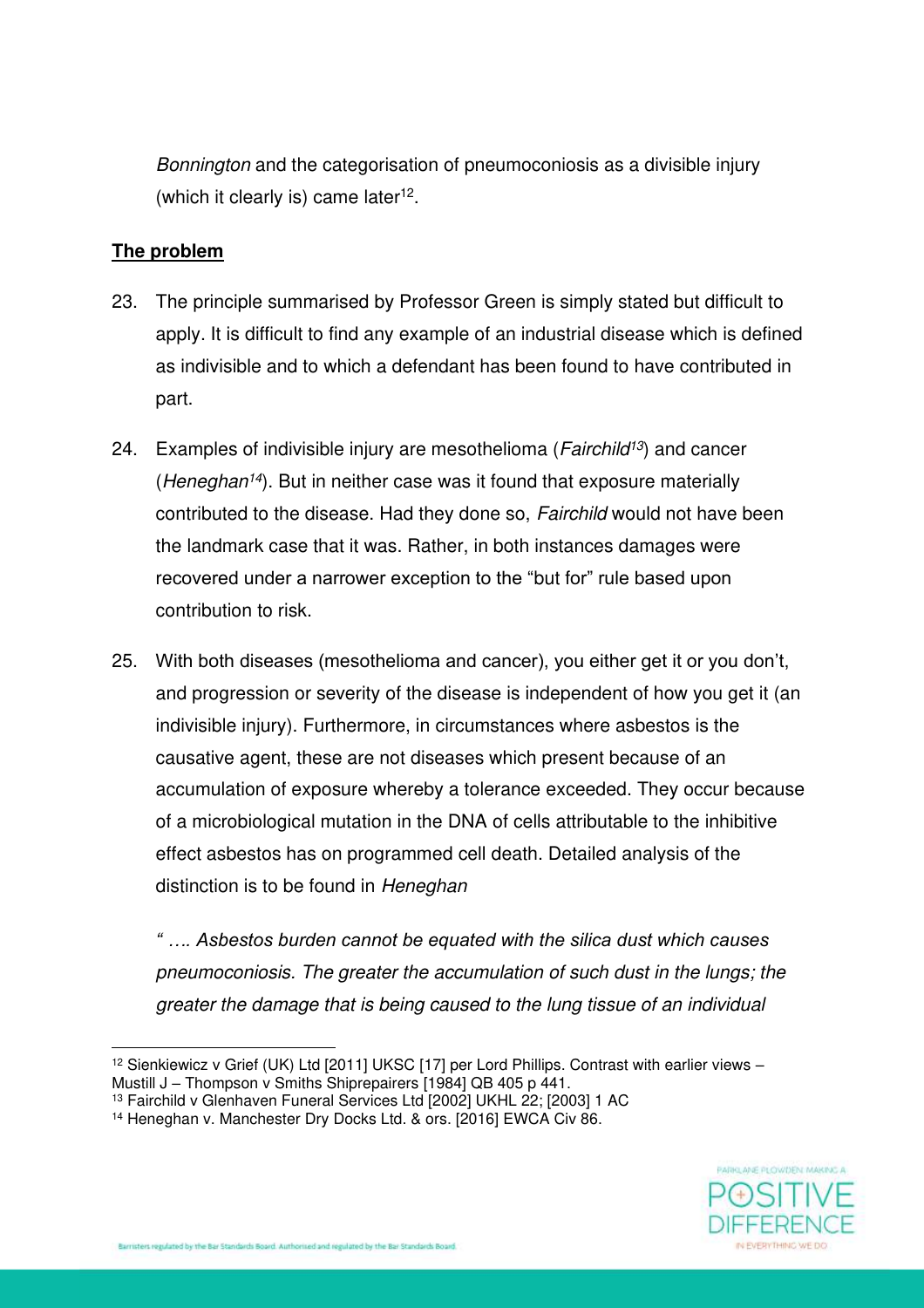*Bonnington* and the categorisation of pneumoconiosis as a divisible injury (which it clearly is) came later<sup>12</sup>.

#### **The problem**

- 23. The principle summarised by Professor Green is simply stated but difficult to apply. It is difficult to find any example of an industrial disease which is defined as indivisible and to which a defendant has been found to have contributed in part.
- 24. Examples of indivisible injury are mesothelioma (*Fairchild<sup>13</sup>*) and cancer (*Heneghan<sup>14</sup>*). But in neither case was it found that exposure materially contributed to the disease. Had they done so, *Fairchild* would not have been the landmark case that it was. Rather, in both instances damages were recovered under a narrower exception to the "but for" rule based upon contribution to risk.
- 25. With both diseases (mesothelioma and cancer), you either get it or you don't, and progression or severity of the disease is independent of how you get it (an indivisible injury). Furthermore, in circumstances where asbestos is the causative agent, these are not diseases which present because of an accumulation of exposure whereby a tolerance exceeded. They occur because of a microbiological mutation in the DNA of cells attributable to the inhibitive effect asbestos has on programmed cell death. Detailed analysis of the distinction is to be found in *Heneghan*

*" …. Asbestos burden cannot be equated with the silica dust which causes pneumoconiosis. The greater the accumulation of such dust in the lungs; the greater the damage that is being caused to the lung tissue of an individual* 



<sup>&</sup>lt;sup>12</sup> Sienkiewicz v Grief (UK) Ltd [2011] UKSC [17] per Lord Phillips. Contrast with earlier views -Mustill J – Thompson v Smiths Shiprepairers [1984] QB 405 p 441.

<sup>13</sup> Fairchild v Glenhaven Funeral Services Ltd [2002] UKHL 22; [2003] 1 AC

<sup>&</sup>lt;sup>14</sup> Heneghan v. Manchester Dry Docks Ltd. & ors. [2016] EWCA Civ 86.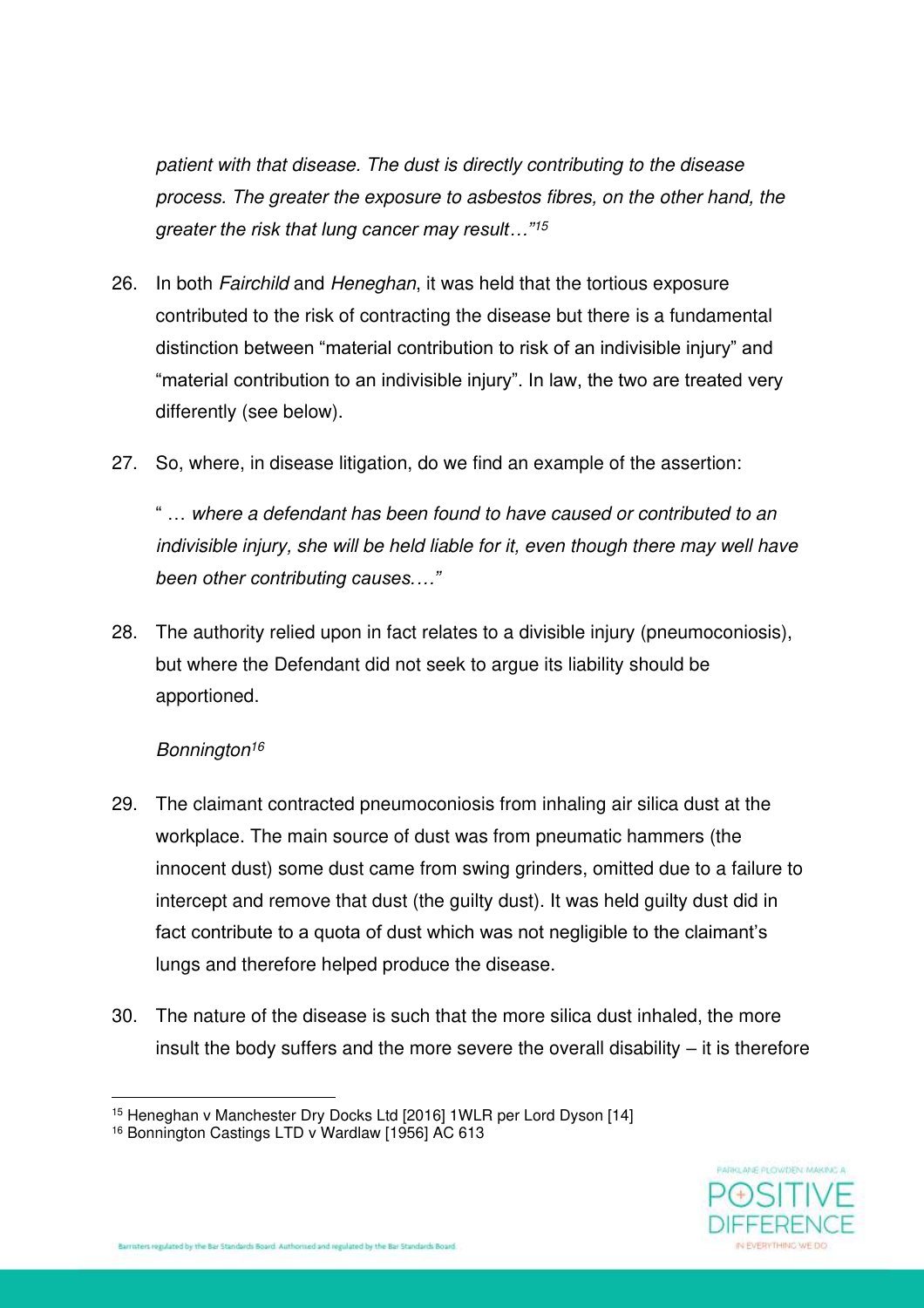*patient with that disease. The dust is directly contributing to the disease process. The greater the exposure to asbestos fibres, on the other hand, the greater the risk that lung cancer may result…"<sup>15</sup>*

- 26. In both *Fairchild* and *Heneghan*, it was held that the tortious exposure contributed to the risk of contracting the disease but there is a fundamental distinction between "material contribution to risk of an indivisible injury" and "material contribution to an indivisible injury". In law, the two are treated very differently (see below).
- 27. So, where, in disease litigation, do we find an example of the assertion:

" … *where a defendant has been found to have caused or contributed to an indivisible injury, she will be held liable for it, even though there may well have been other contributing causes.…"*

28. The authority relied upon in fact relates to a divisible injury (pneumoconiosis), but where the Defendant did not seek to argue its liability should be apportioned.

### *Bonnington<sup>16</sup>*

- 29. The claimant contracted pneumoconiosis from inhaling air silica dust at the workplace. The main source of dust was from pneumatic hammers (the innocent dust) some dust came from swing grinders, omitted due to a failure to intercept and remove that dust (the guilty dust). It was held guilty dust did in fact contribute to a quota of dust which was not negligible to the claimant's lungs and therefore helped produce the disease.
- 30. The nature of the disease is such that the more silica dust inhaled, the more insult the body suffers and the more severe the overall disability – it is therefore



<sup>15</sup> Heneghan v Manchester Dry Docks Ltd [2016] 1WLR per Lord Dyson [14]

<sup>16</sup> Bonnington Castings LTD v Wardlaw [1956] AC 613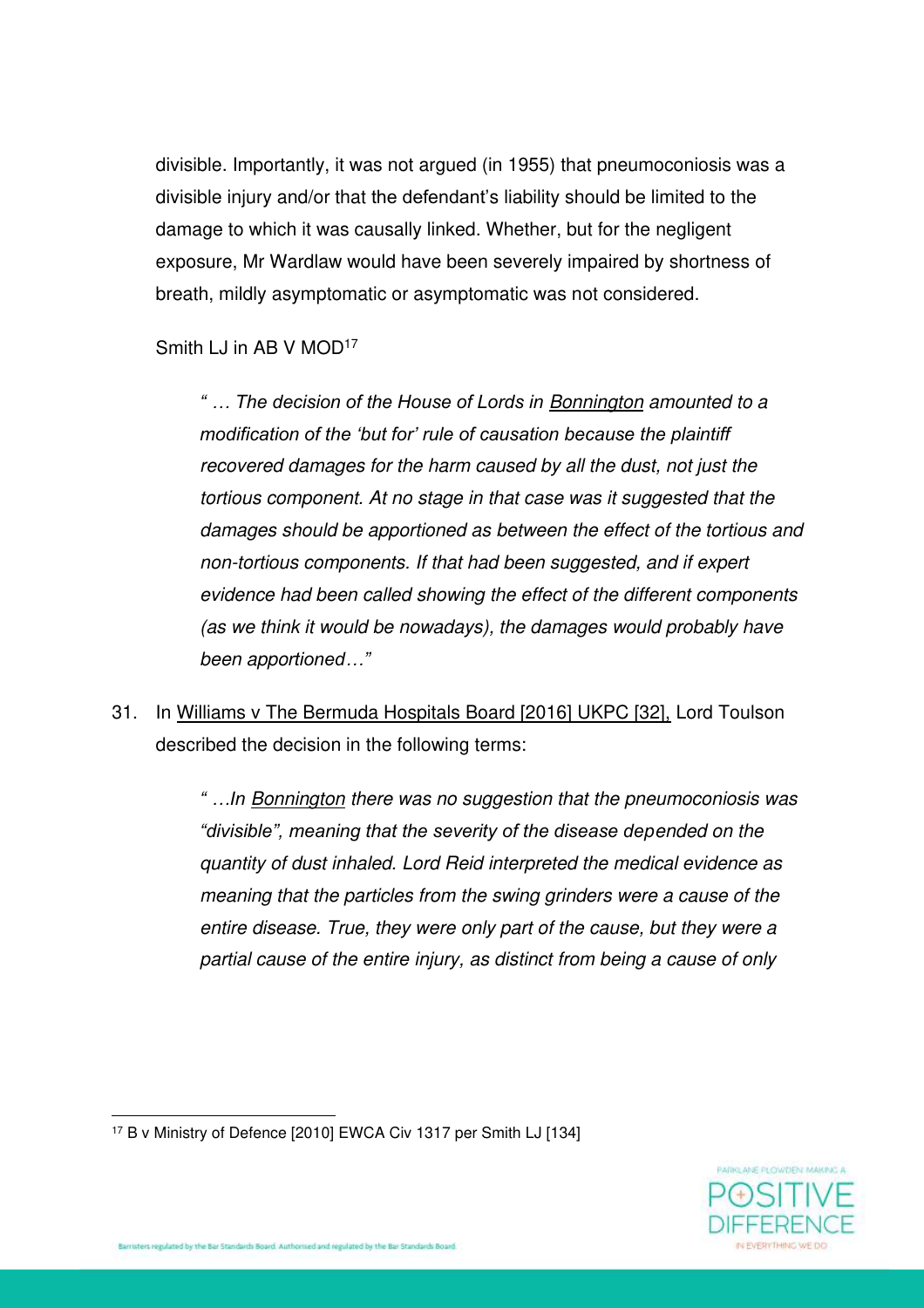divisible. Importantly, it was not argued (in 1955) that pneumoconiosis was a divisible injury and/or that the defendant's liability should be limited to the damage to which it was causally linked. Whether, but for the negligent exposure, Mr Wardlaw would have been severely impaired by shortness of breath, mildly asymptomatic or asymptomatic was not considered.

# Smith LJ in AB V MOD<sup>17</sup>

*" … The decision of the House of Lords in Bonnington amounted to a modification of the 'but for' rule of causation because the plaintiff recovered damages for the harm caused by all the dust, not just the tortious component. At no stage in that case was it suggested that the damages should be apportioned as between the effect of the tortious and non-tortious components. If that had been suggested, and if expert evidence had been called showing the effect of the different components (as we think it would be nowadays), the damages would probably have been apportioned…"*

31. In Williams v The Bermuda Hospitals Board [2016] UKPC [32], Lord Toulson described the decision in the following terms:

> *" …In Bonnington there was no suggestion that the pneumoconiosis was "divisible", meaning that the severity of the disease depended on the quantity of dust inhaled. Lord Reid interpreted the medical evidence as meaning that the particles from the swing grinders were a cause of the entire disease. True, they were only part of the cause, but they were a partial cause of the entire injury, as distinct from being a cause of only*



<sup>17</sup> B v Ministry of Defence [2010] EWCA Civ 1317 per Smith LJ [134]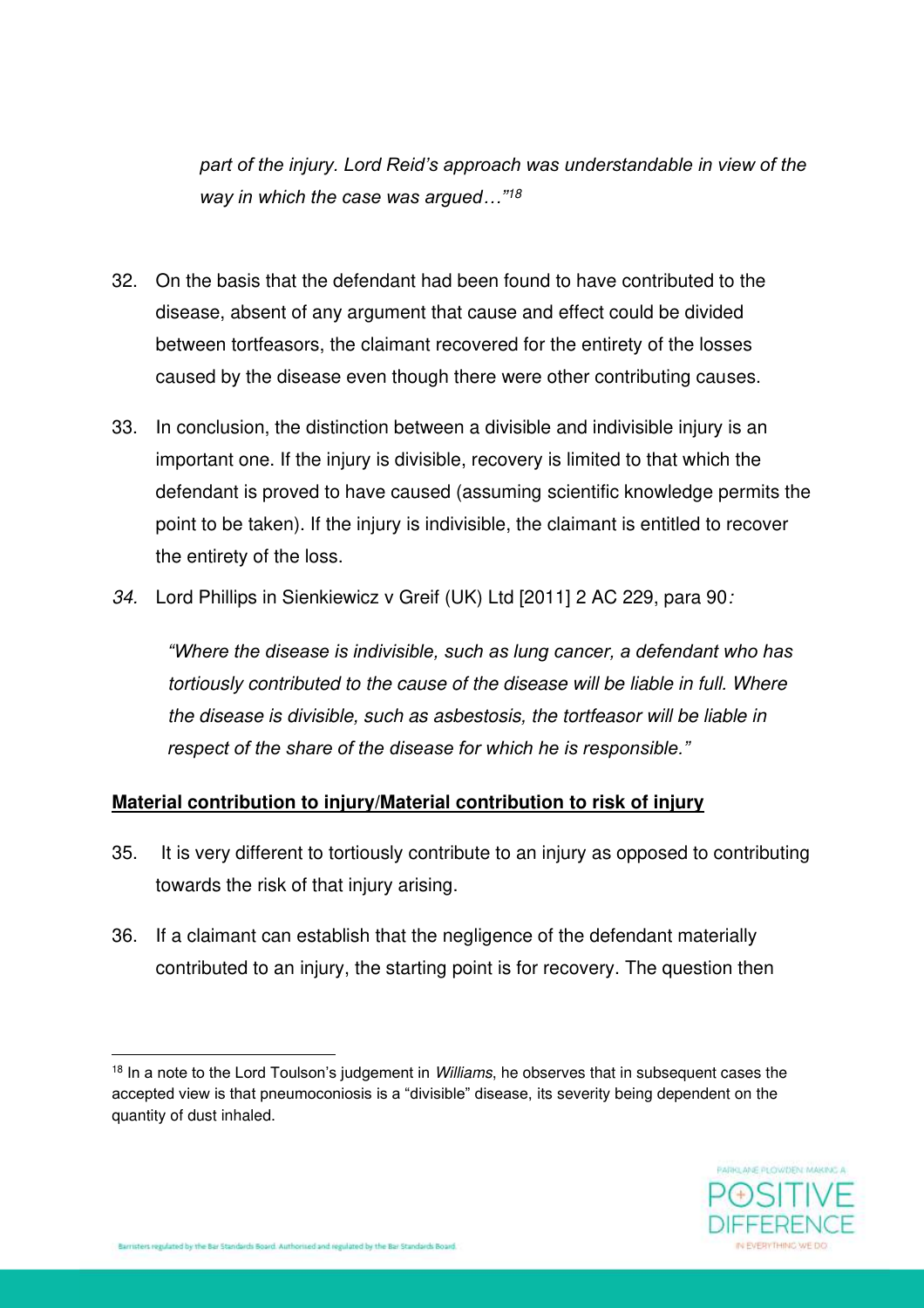*part of the injury. Lord Reid's approach was understandable in view of the way in which the case was argued…"<sup>18</sup>* 

- 32. On the basis that the defendant had been found to have contributed to the disease, absent of any argument that cause and effect could be divided between tortfeasors, the claimant recovered for the entirety of the losses caused by the disease even though there were other contributing causes.
- 33. In conclusion, the distinction between a divisible and indivisible injury is an important one. If the injury is divisible, recovery is limited to that which the defendant is proved to have caused (assuming scientific knowledge permits the point to be taken). If the injury is indivisible, the claimant is entitled to recover the entirety of the loss.
- *34.* Lord Phillips in Sienkiewicz v Greif (UK) Ltd [2011] 2 AC 229, para 90*:*

*"Where the disease is indivisible, such as lung cancer, a defendant who has tortiously contributed to the cause of the disease will be liable in full. Where the disease is divisible, such as asbestosis, the tortfeasor will be liable in respect of the share of the disease for which he is responsible."*

### **Material contribution to injury/Material contribution to risk of injury**

- 35. It is very different to tortiously contribute to an injury as opposed to contributing towards the risk of that injury arising.
- 36. If a claimant can establish that the negligence of the defendant materially contributed to an injury, the starting point is for recovery. The question then

<sup>18</sup> In a note to the Lord Toulson's judgement in *Williams*, he observes that in subsequent cases the accepted view is that pneumoconiosis is a "divisible" disease, its severity being dependent on the quantity of dust inhaled.

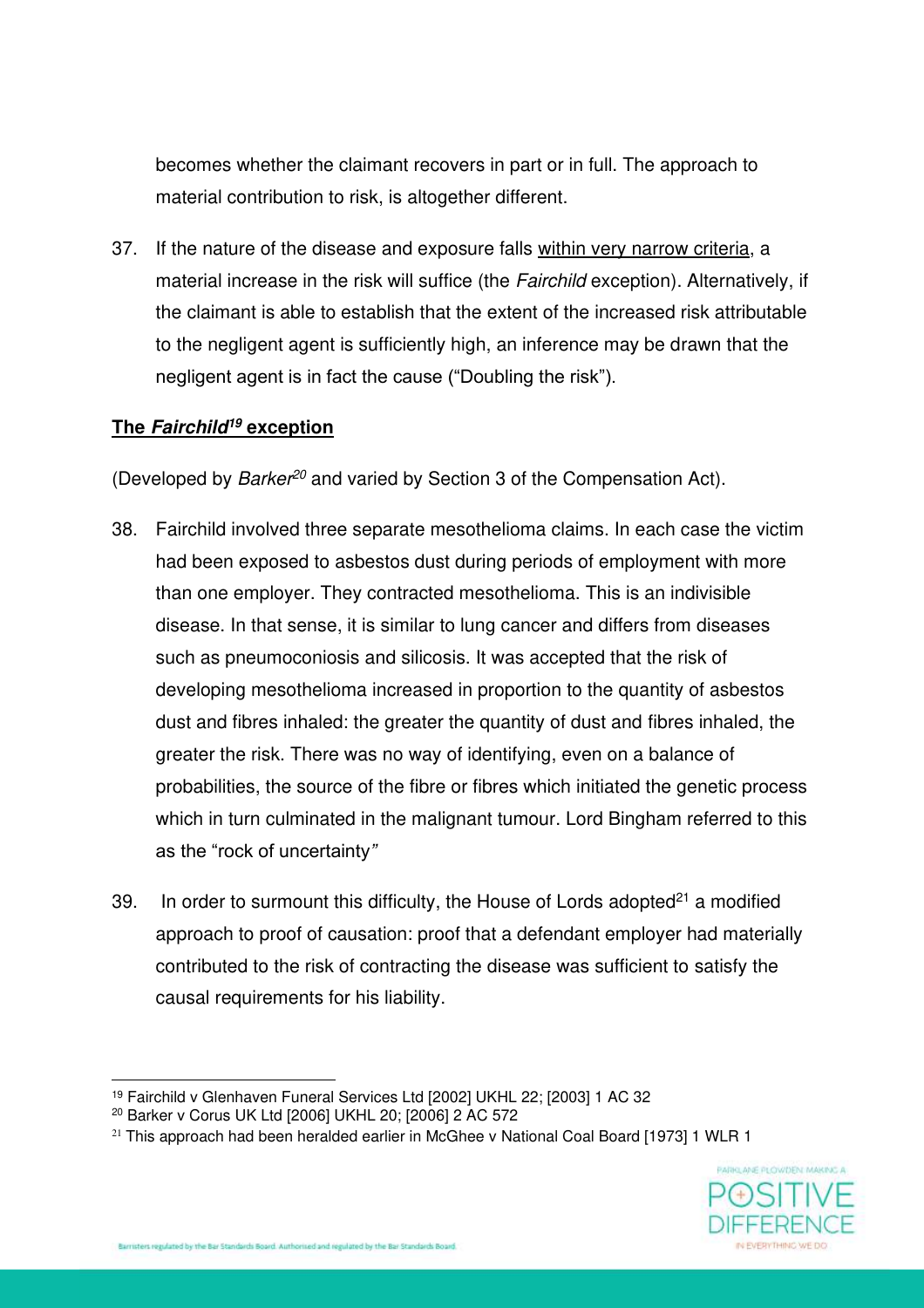becomes whether the claimant recovers in part or in full. The approach to material contribution to risk, is altogether different.

37. If the nature of the disease and exposure falls within very narrow criteria, a material increase in the risk will suffice (the *Fairchild* exception). Alternatively, if the claimant is able to establish that the extent of the increased risk attributable to the negligent agent is sufficiently high, an inference may be drawn that the negligent agent is in fact the cause ("Doubling the risk").

# **The Fairchild<sup>19</sup> exception**

(Developed by *Barker<sup>20</sup>* and varied by Section 3 of the Compensation Act).

- 38. Fairchild involved three separate mesothelioma claims. In each case the victim had been exposed to asbestos dust during periods of employment with more than one employer. They contracted mesothelioma. This is an indivisible disease. In that sense, it is similar to lung cancer and differs from diseases such as pneumoconiosis and silicosis. It was accepted that the risk of developing mesothelioma increased in proportion to the quantity of asbestos dust and fibres inhaled: the greater the quantity of dust and fibres inhaled, the greater the risk. There was no way of identifying, even on a balance of probabilities, the source of the fibre or fibres which initiated the genetic process which in turn culminated in the malignant tumour. Lord Bingham referred to this as the "rock of uncertainty*"*
- 39. In order to surmount this difficulty, the House of Lords adopted<sup>21</sup> a modified approach to proof of causation: proof that a defendant employer had materially contributed to the risk of contracting the disease was sufficient to satisfy the causal requirements for his liability.

 $21$  This approach had been heralded earlier in McGhee v National Coal Board [1973] 1 WLR 1



<sup>19</sup> Fairchild v Glenhaven Funeral Services Ltd [2002] UKHL 22; [2003] 1 AC 32

<sup>20</sup> Barker v Corus UK Ltd [2006] UKHL 20; [2006] 2 AC 572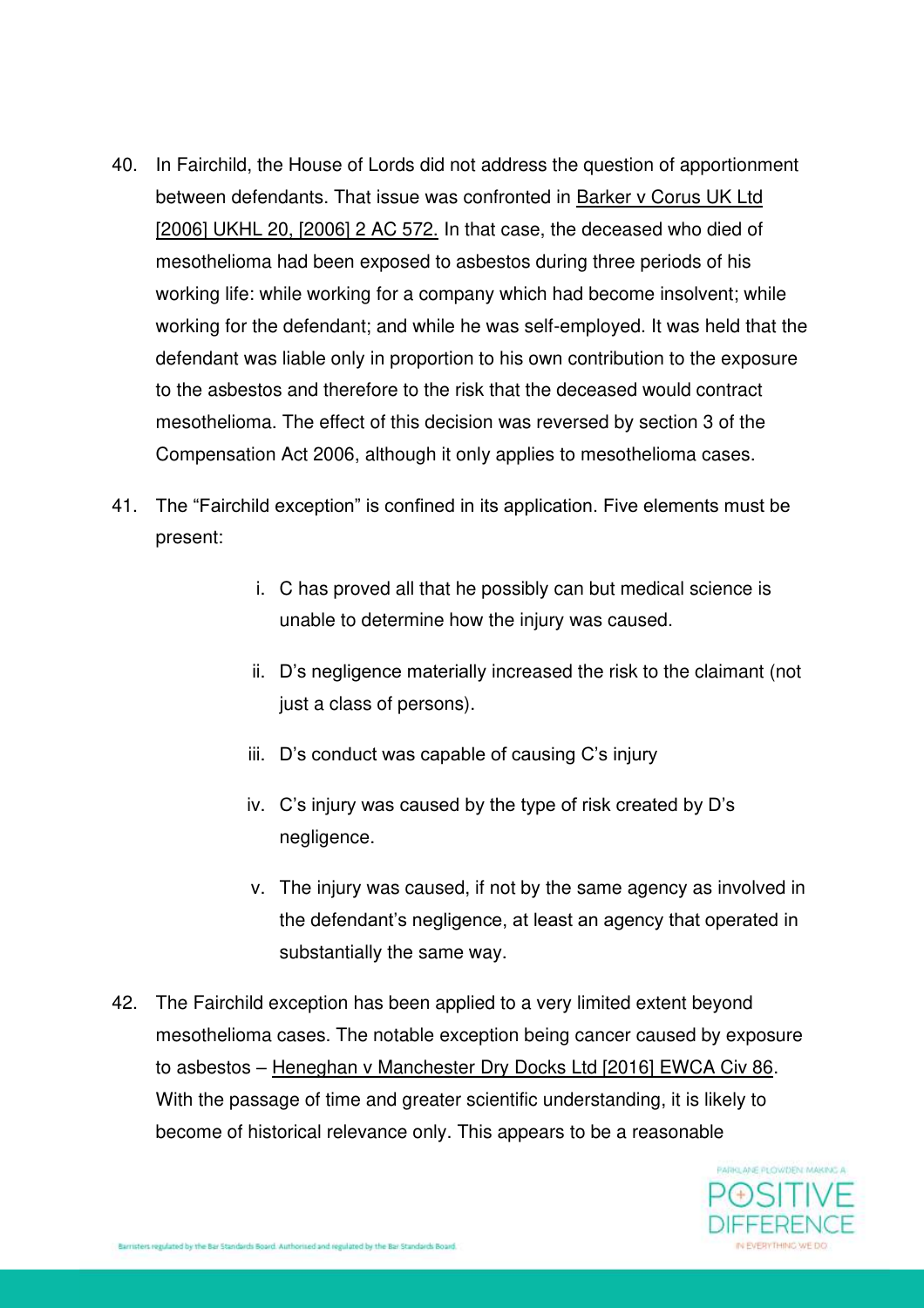- 40. In Fairchild, the House of Lords did not address the question of apportionment between defendants. That issue was confronted in Barker v Corus UK Ltd [2006] UKHL 20, [2006] 2 AC 572. In that case, the deceased who died of mesothelioma had been exposed to asbestos during three periods of his working life: while working for a company which had become insolvent; while working for the defendant; and while he was self-employed. It was held that the defendant was liable only in proportion to his own contribution to the exposure to the asbestos and therefore to the risk that the deceased would contract mesothelioma. The effect of this decision was reversed by section 3 of the Compensation Act 2006, although it only applies to mesothelioma cases.
- 41. The "Fairchild exception" is confined in its application. Five elements must be present:
	- i. C has proved all that he possibly can but medical science is unable to determine how the injury was caused.
	- ii. D's negligence materially increased the risk to the claimant (not just a class of persons).
	- iii. D's conduct was capable of causing C's injury
	- iv. C's injury was caused by the type of risk created by D's negligence.
	- v. The injury was caused, if not by the same agency as involved in the defendant's negligence, at least an agency that operated in substantially the same way.
- 42. The Fairchild exception has been applied to a very limited extent beyond mesothelioma cases. The notable exception being cancer caused by exposure to asbestos – Heneghan v Manchester Dry Docks Ltd [2016] EWCA Civ 86. With the passage of time and greater scientific understanding, it is likely to become of historical relevance only. This appears to be a reasonable

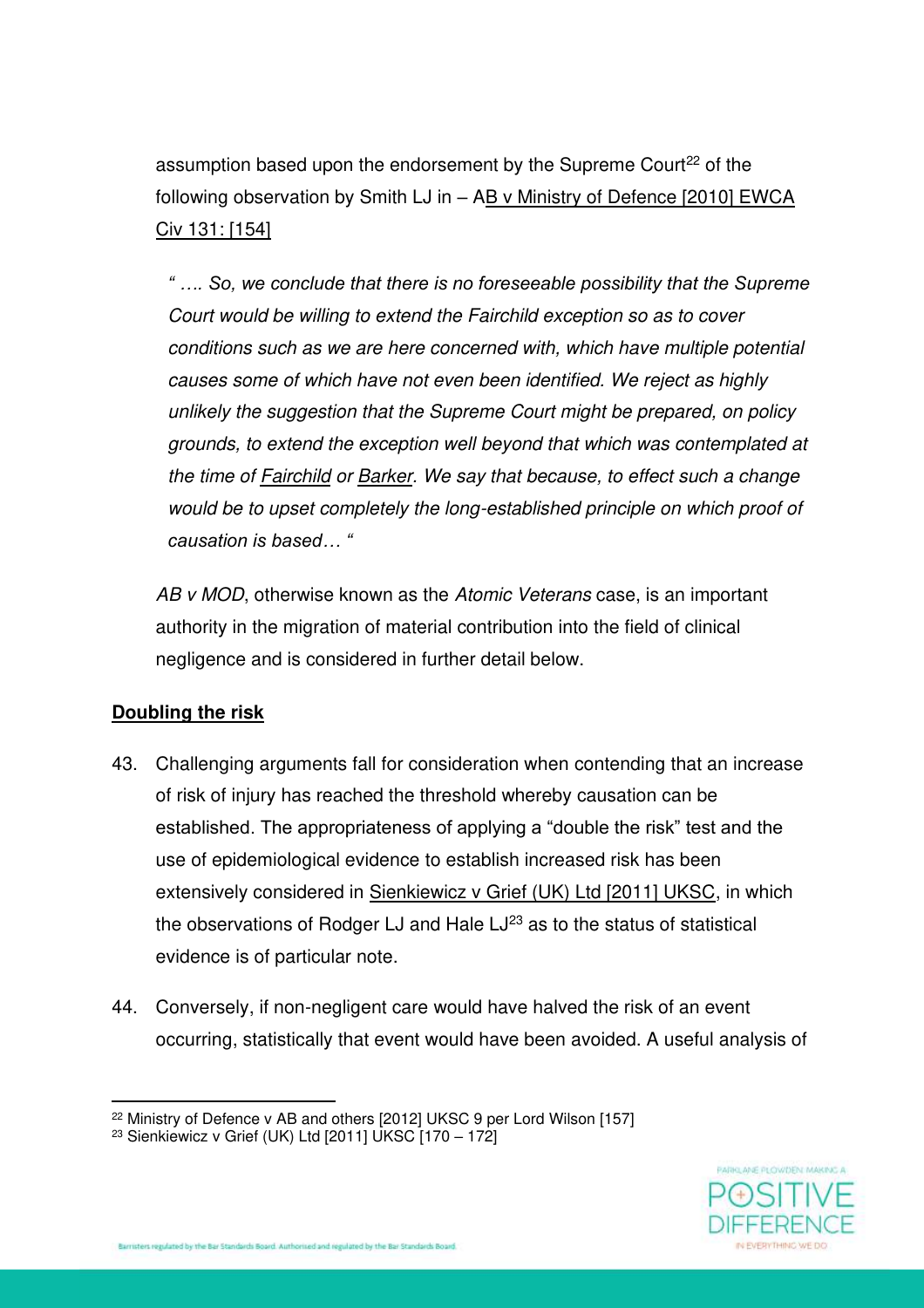assumption based upon the endorsement by the Supreme Court<sup>22</sup> of the following observation by Smith LJ in – AB v Ministry of Defence [2010] EWCA Civ 131: [154]

*" …. So, we conclude that there is no foreseeable possibility that the Supreme Court would be willing to extend the Fairchild exception so as to cover conditions such as we are here concerned with, which have multiple potential causes some of which have not even been identified. We reject as highly unlikely the suggestion that the Supreme Court might be prepared, on policy grounds, to extend the exception well beyond that which was contemplated at the time of Fairchild or Barker. We say that because, to effect such a change would be to upset completely the long-established principle on which proof of causation is based… "*

*AB v MOD*, otherwise known as the *Atomic Veterans* case, is an important authority in the migration of material contribution into the field of clinical negligence and is considered in further detail below.

# **Doubling the risk**

- 43. Challenging arguments fall for consideration when contending that an increase of risk of injury has reached the threshold whereby causation can be established. The appropriateness of applying a "double the risk" test and the use of epidemiological evidence to establish increased risk has been extensively considered in Sienkiewicz v Grief (UK) Ltd [2011] UKSC, in which the observations of Rodger LJ and Hale  $LJ^{23}$  as to the status of statistical evidence is of particular note.
- 44. Conversely, if non-negligent care would have halved the risk of an event occurring, statistically that event would have been avoided. A useful analysis of



<sup>&</sup>lt;sup>22</sup> Ministry of Defence v AB and others [2012] UKSC 9 per Lord Wilson [157]

<sup>&</sup>lt;sup>23</sup> Sienkiewicz v Grief (UK) Ltd  $[2011]$  UKSC  $[170 - 172]$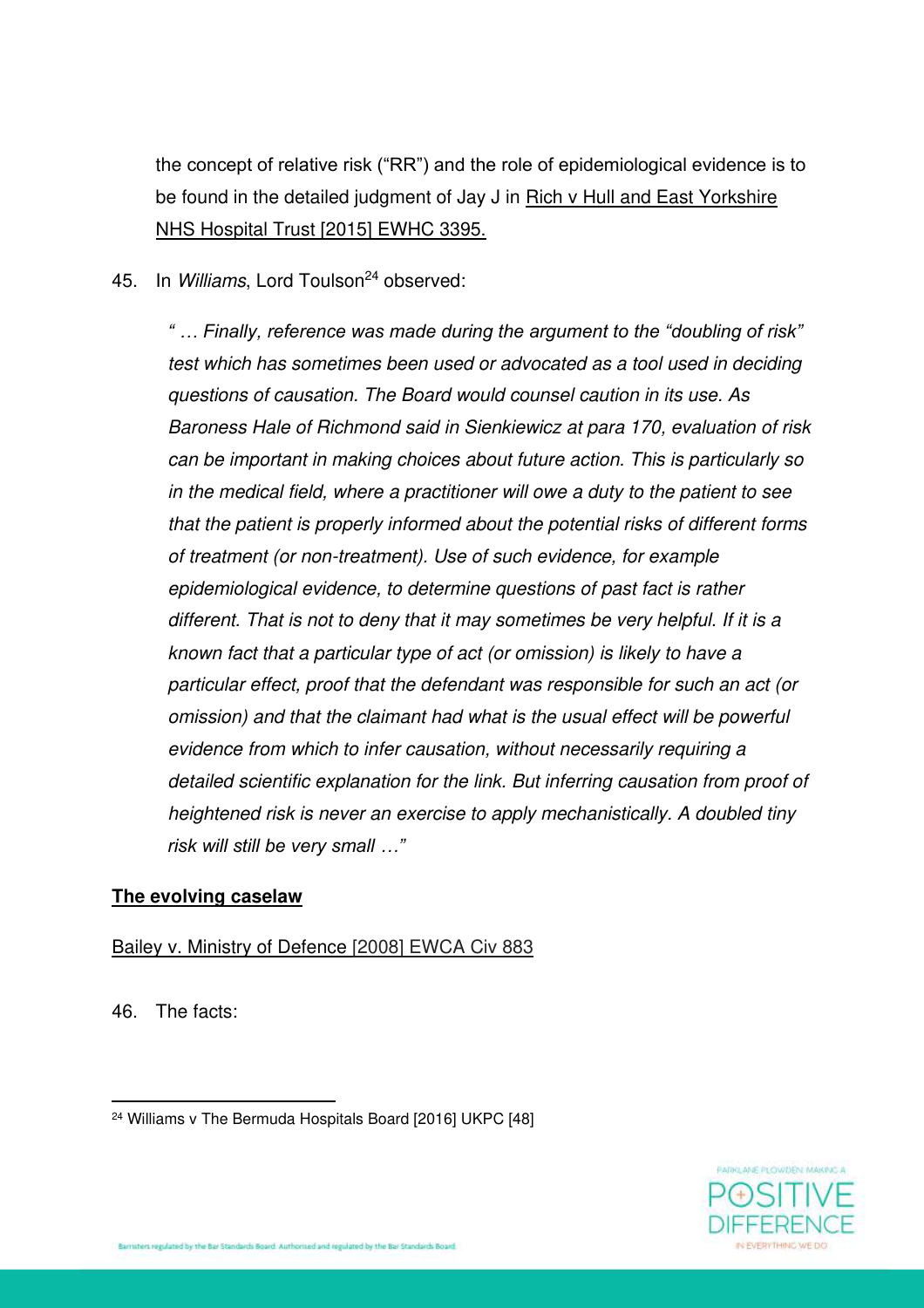the concept of relative risk ("RR") and the role of epidemiological evidence is to be found in the detailed judgment of Jay J in Rich v Hull and East Yorkshire NHS Hospital Trust [2015] EWHC 3395.

45. In *Williams*, Lord Toulson<sup>24</sup> observed:

*" … Finally, reference was made during the argument to the "doubling of risk" test which has sometimes been used or advocated as a tool used in deciding questions of causation. The Board would counsel caution in its use. As Baroness Hale of Richmond said in Sienkiewicz at para 170, evaluation of risk can be important in making choices about future action. This is particularly so in the medical field, where a practitioner will owe a duty to the patient to see that the patient is properly informed about the potential risks of different forms of treatment (or non-treatment). Use of such evidence, for example epidemiological evidence, to determine questions of past fact is rather different. That is not to deny that it may sometimes be very helpful. If it is a known fact that a particular type of act (or omission) is likely to have a particular effect, proof that the defendant was responsible for such an act (or omission) and that the claimant had what is the usual effect will be powerful evidence from which to infer causation, without necessarily requiring a detailed scientific explanation for the link. But inferring causation from proof of heightened risk is never an exercise to apply mechanistically. A doubled tiny risk will still be very small …"*

### **The evolving caselaw**

#### Bailey v. Ministry of Defence [2008] EWCA Civ 883

46. The facts:



<sup>24</sup> Williams v The Bermuda Hospitals Board [2016] UKPC [48]

rristers regulated by the Bar Standards Board. Authorized and regulated by the Bar Standards Board.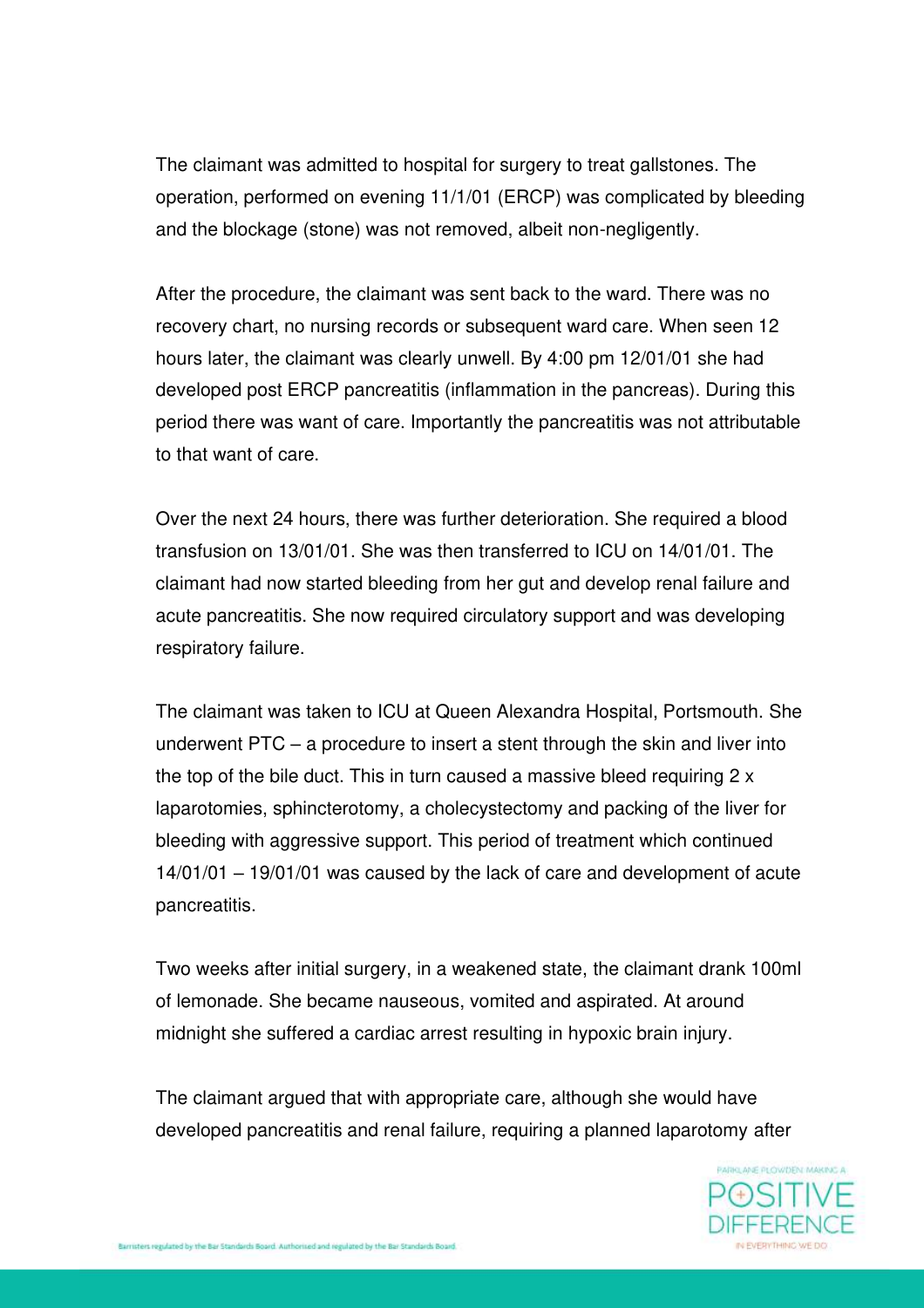The claimant was admitted to hospital for surgery to treat gallstones. The operation, performed on evening 11/1/01 (ERCP) was complicated by bleeding and the blockage (stone) was not removed, albeit non-negligently.

After the procedure, the claimant was sent back to the ward. There was no recovery chart, no nursing records or subsequent ward care. When seen 12 hours later, the claimant was clearly unwell. By 4:00 pm 12/01/01 she had developed post ERCP pancreatitis (inflammation in the pancreas). During this period there was want of care. Importantly the pancreatitis was not attributable to that want of care.

Over the next 24 hours, there was further deterioration. She required a blood transfusion on 13/01/01. She was then transferred to ICU on 14/01/01. The claimant had now started bleeding from her gut and develop renal failure and acute pancreatitis. She now required circulatory support and was developing respiratory failure.

The claimant was taken to ICU at Queen Alexandra Hospital, Portsmouth. She underwent PTC – a procedure to insert a stent through the skin and liver into the top of the bile duct. This in turn caused a massive bleed requiring 2 x laparotomies, sphincterotomy, a cholecystectomy and packing of the liver for bleeding with aggressive support. This period of treatment which continued 14/01/01 – 19/01/01 was caused by the lack of care and development of acute pancreatitis.

Two weeks after initial surgery, in a weakened state, the claimant drank 100ml of lemonade. She became nauseous, vomited and aspirated. At around midnight she suffered a cardiac arrest resulting in hypoxic brain injury.

The claimant argued that with appropriate care, although she would have developed pancreatitis and renal failure, requiring a planned laparotomy after

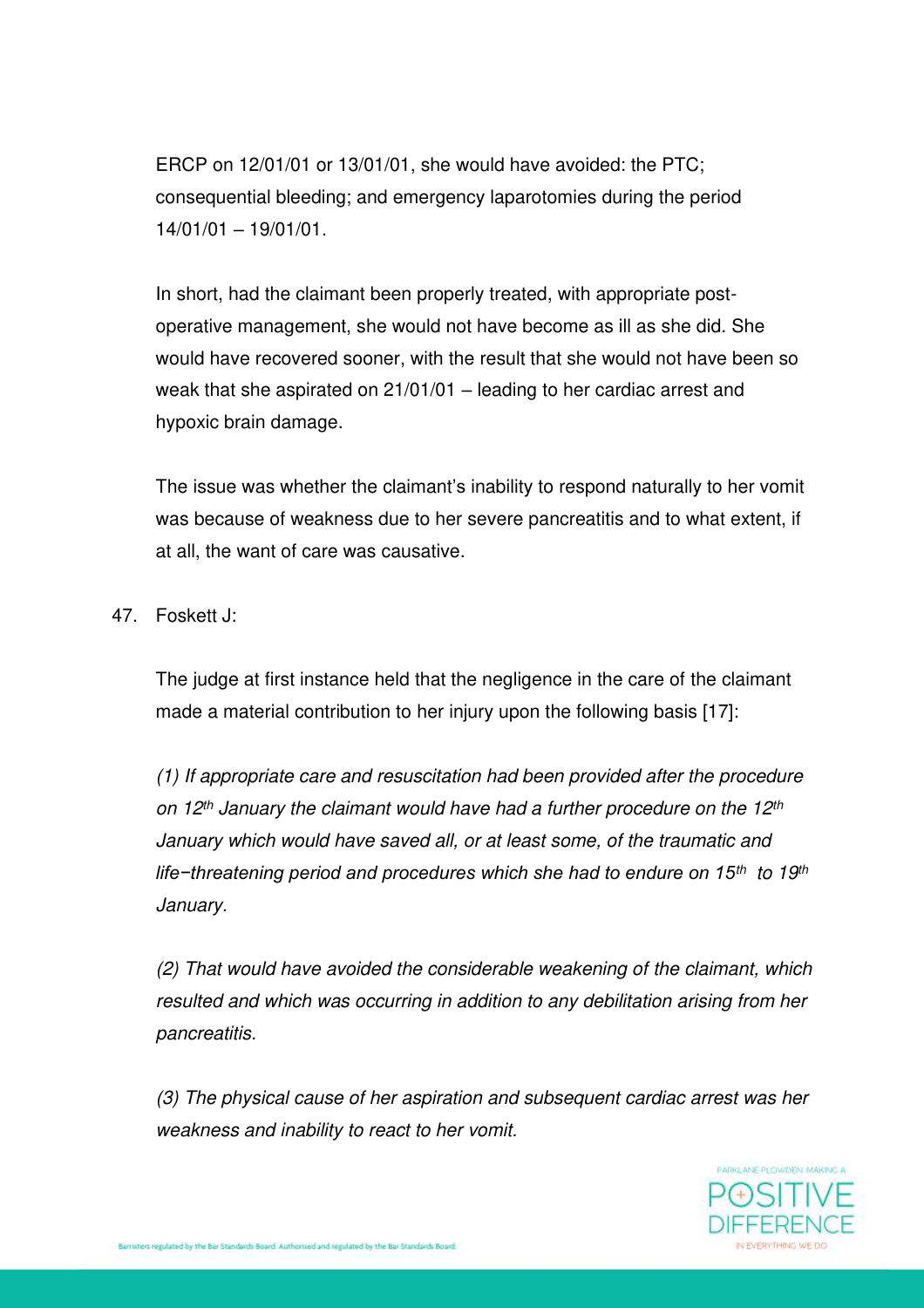ERCP on 12/01/01 or 13/01/01, she would have avoided: the PTC; consequential bleeding; and emergency laparotomies during the period 14/01/01 – 19/01/01.

In short, had the claimant been properly treated, with appropriate postoperative management, she would not have become as ill as she did. She would have recovered sooner, with the result that she would not have been so weak that she aspirated on 21/01/01 – leading to her cardiac arrest and hypoxic brain damage.

The issue was whether the claimant's inability to respond naturally to her vomit was because of weakness due to her severe pancreatitis and to what extent, if at all, the want of care was causative.

47. Foskett J:

The judge at first instance held that the negligence in the care of the claimant made a material contribution to her injury upon the following basis [17]:

*(1) If appropriate care and resuscitation had been provided after the procedure on 12th January the claimant would have had a further procedure on the 12th January which would have saved all, or at least some, of the traumatic and life−threatening period and procedures which she had to endure on 15th to 19th January.* 

*(2) That would have avoided the considerable weakening of the claimant, which resulted and which was occurring in addition to any debilitation arising from her pancreatitis.* 

*(3) The physical cause of her aspiration and subsequent cardiac arrest was her weakness and inability to react to her vomit.* 

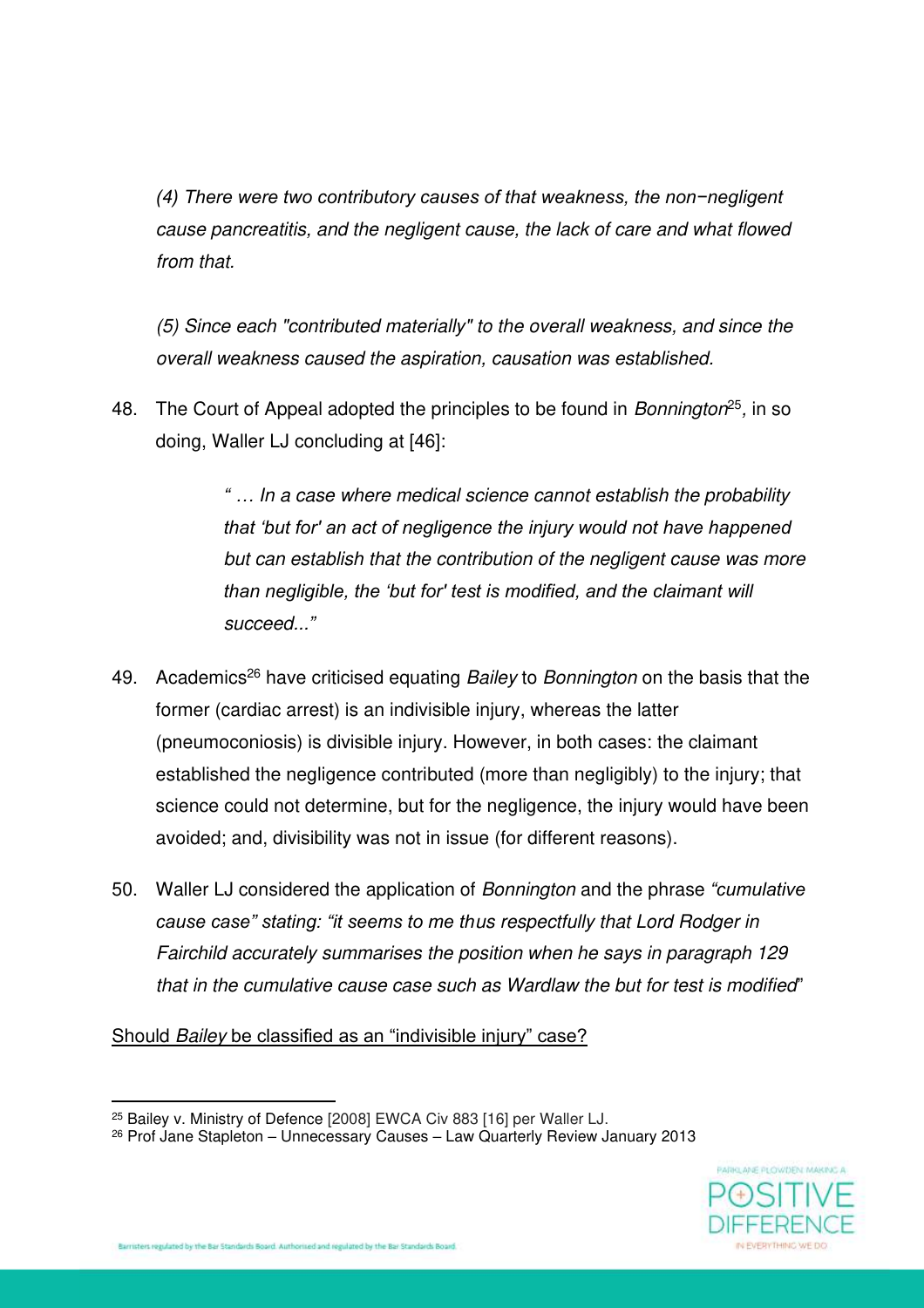*(4) There were two contributory causes of that weakness, the non−negligent cause pancreatitis, and the negligent cause, the lack of care and what flowed from that.* 

*(5) Since each "contributed materially" to the overall weakness, and since the overall weakness caused the aspiration, causation was established.* 

48. The Court of Appeal adopted the principles to be found in *Bonnington*<sup>25</sup> *,* in so doing, Waller LJ concluding at [46]:

> *" … In a case where medical science cannot establish the probability that 'but for' an act of negligence the injury would not have happened but can establish that the contribution of the negligent cause was more than negligible, the 'but for' test is modified, and the claimant will succeed..."*

- 49. Academics<sup>26</sup> have criticised equating *Bailey* to *Bonnington* on the basis that the former (cardiac arrest) is an indivisible injury, whereas the latter (pneumoconiosis) is divisible injury. However, in both cases: the claimant established the negligence contributed (more than negligibly) to the injury; that science could not determine, but for the negligence, the injury would have been avoided; and, divisibility was not in issue (for different reasons).
- 50. Waller LJ considered the application of *Bonnington* and the phrase *"cumulative cause case" stating: "it seems to me thus respectfully that Lord Rodger in Fairchild accurately summarises the position when he says in paragraph 129 that in the cumulative cause case such as Wardlaw the but for test is modified*"

Should *Bailey* be classified as an "indivisible injury" case?

<sup>26</sup> Prof Jane Stapleton – Unnecessary Causes – Law Quarterly Review January 2013



<sup>25</sup> Bailey v. Ministry of Defence [2008] EWCA Civ 883 [16] per Waller LJ.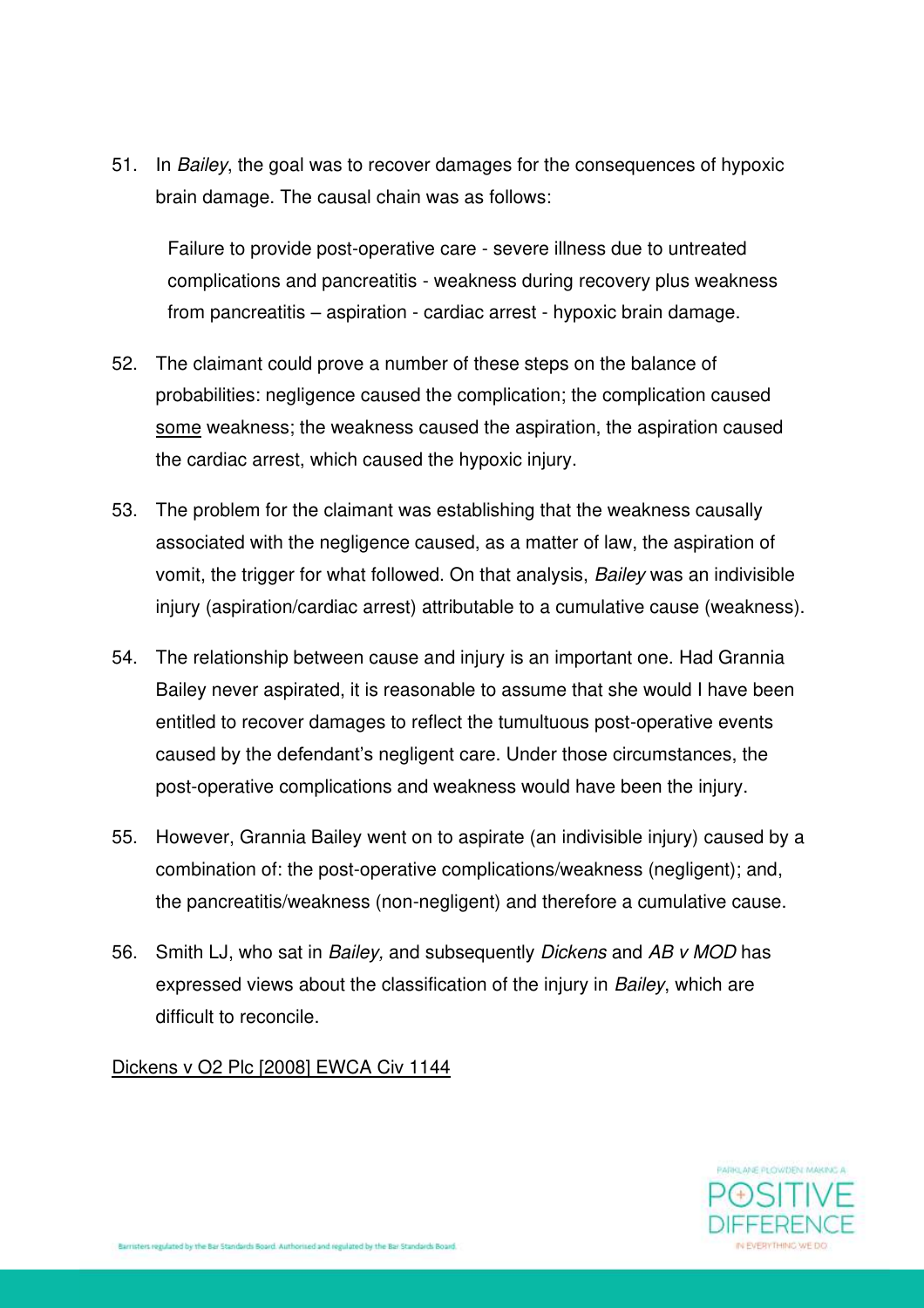51. In *Bailey*, the goal was to recover damages for the consequences of hypoxic brain damage. The causal chain was as follows:

Failure to provide post-operative care - severe illness due to untreated complications and pancreatitis - weakness during recovery plus weakness from pancreatitis – aspiration - cardiac arrest - hypoxic brain damage.

- 52. The claimant could prove a number of these steps on the balance of probabilities: negligence caused the complication; the complication caused some weakness; the weakness caused the aspiration, the aspiration caused the cardiac arrest, which caused the hypoxic injury.
- 53. The problem for the claimant was establishing that the weakness causally associated with the negligence caused, as a matter of law, the aspiration of vomit, the trigger for what followed. On that analysis, *Bailey* was an indivisible injury (aspiration/cardiac arrest) attributable to a cumulative cause (weakness).
- 54. The relationship between cause and injury is an important one. Had Grannia Bailey never aspirated, it is reasonable to assume that she would I have been entitled to recover damages to reflect the tumultuous post-operative events caused by the defendant's negligent care. Under those circumstances, the post-operative complications and weakness would have been the injury.
- 55. However, Grannia Bailey went on to aspirate (an indivisible injury) caused by a combination of: the post-operative complications/weakness (negligent); and, the pancreatitis/weakness (non-negligent) and therefore a cumulative cause.
- 56. Smith LJ, who sat in *Bailey,* and subsequently *Dickens* and *AB v MOD* has expressed views about the classification of the injury in *Bailey*, which are difficult to reconcile.

Dickens v O2 Plc [2008] EWCA Civ 1144

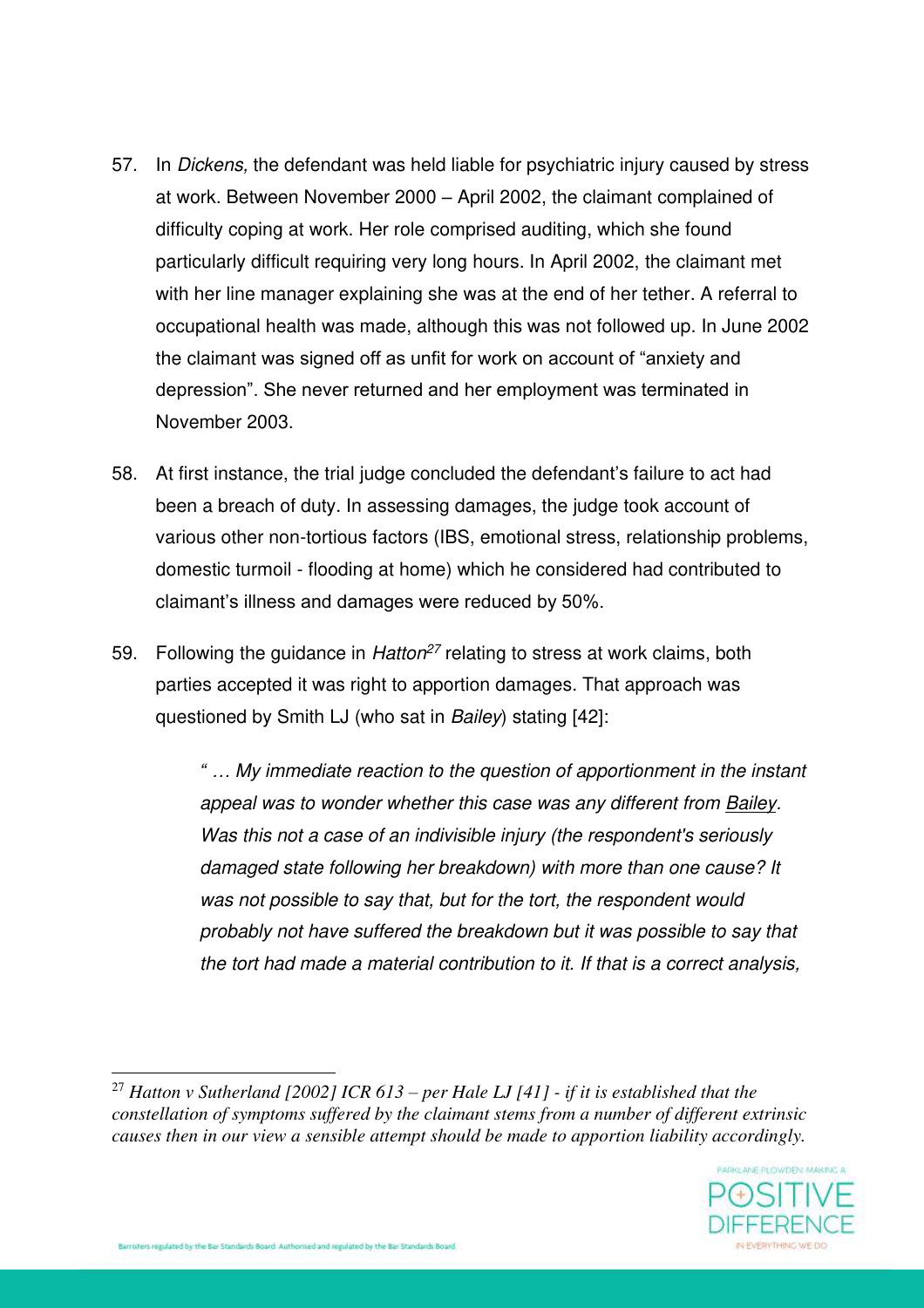- 57. In *Dickens,* the defendant was held liable for psychiatric injury caused by stress at work. Between November 2000 – April 2002, the claimant complained of difficulty coping at work. Her role comprised auditing, which she found particularly difficult requiring very long hours. In April 2002, the claimant met with her line manager explaining she was at the end of her tether. A referral to occupational health was made, although this was not followed up. In June 2002 the claimant was signed off as unfit for work on account of "anxiety and depression". She never returned and her employment was terminated in November 2003.
- 58. At first instance, the trial judge concluded the defendant's failure to act had been a breach of duty. In assessing damages, the judge took account of various other non-tortious factors (IBS, emotional stress, relationship problems, domestic turmoil - flooding at home) which he considered had contributed to claimant's illness and damages were reduced by 50%.
- 59. Following the guidance in *Hatton<sup>27</sup>* relating to stress at work claims, both parties accepted it was right to apportion damages. That approach was questioned by Smith LJ (who sat in *Bailey*) stating [42]:

*" … My immediate reaction to the question of apportionment in the instant appeal was to wonder whether this case was any different from Bailey. Was this not a case of an indivisible injury (the respondent's seriously damaged state following her breakdown) with more than one cause? It was not possible to say that, but for the tort, the respondent would probably not have suffered the breakdown but it was possible to say that the tort had made a material contribution to it. If that is a correct analysis,* 

<sup>27</sup> *Hatton v Sutherland [2002] ICR 613 – per Hale LJ [41] - if it is established that the constellation of symptoms suffered by the claimant stems from a number of different extrinsic causes then in our view a sensible attempt should be made to apportion liability accordingly.* 

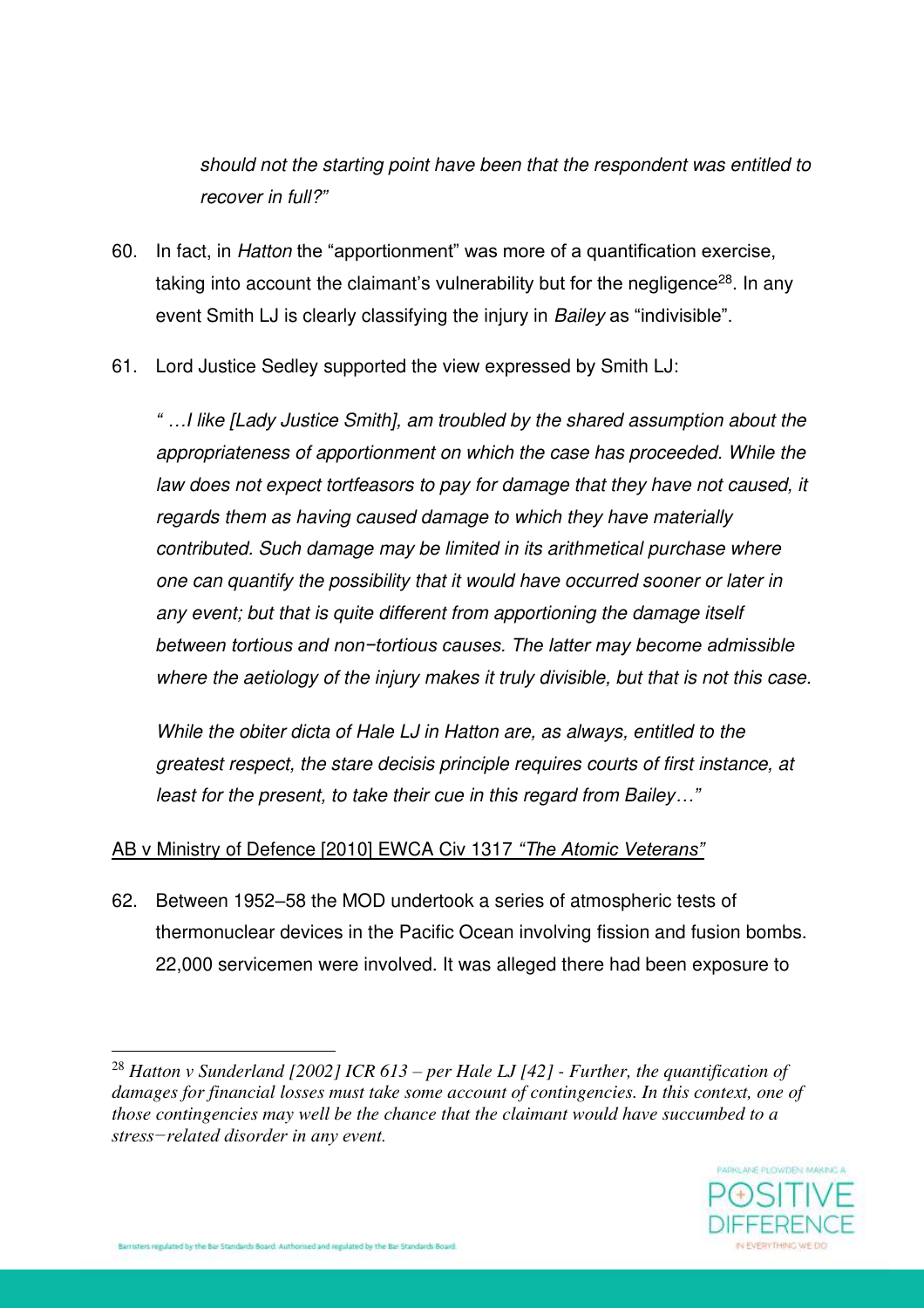*should not the starting point have been that the respondent was entitled to recover in full?"*

- 60. In fact, in *Hatton* the "apportionment" was more of a quantification exercise, taking into account the claimant's vulnerability but for the negligence<sup>28</sup>. In any event Smith LJ is clearly classifying the injury in *Bailey* as "indivisible".
- 61. Lord Justice Sedley supported the view expressed by Smith LJ:

*" …I like [Lady Justice Smith], am troubled by the shared assumption about the appropriateness of apportionment on which the case has proceeded. While the law does not expect tortfeasors to pay for damage that they have not caused, it regards them as having caused damage to which they have materially contributed. Such damage may be limited in its arithmetical purchase where one can quantify the possibility that it would have occurred sooner or later in any event; but that is quite different from apportioning the damage itself between tortious and non−tortious causes. The latter may become admissible where the aetiology of the injury makes it truly divisible, but that is not this case.* 

*While the obiter dicta of Hale LJ in Hatton are, as always, entitled to the greatest respect, the stare decisis principle requires courts of first instance, at least for the present, to take their cue in this regard from Bailey…"*

### AB v Ministry of Defence [2010] EWCA Civ 1317 *"The Atomic Veterans"*

62. Between 1952–58 the MOD undertook a series of atmospheric tests of thermonuclear devices in the Pacific Ocean involving fission and fusion bombs. 22,000 servicemen were involved. It was alleged there had been exposure to

<sup>28</sup> *Hatton v Sunderland [2002] ICR 613 – per Hale LJ [42] - Further, the quantification of damages for financial losses must take some account of contingencies. In this context, one of those contingencies may well be the chance that the claimant would have succumbed to a stress−related disorder in any event.*

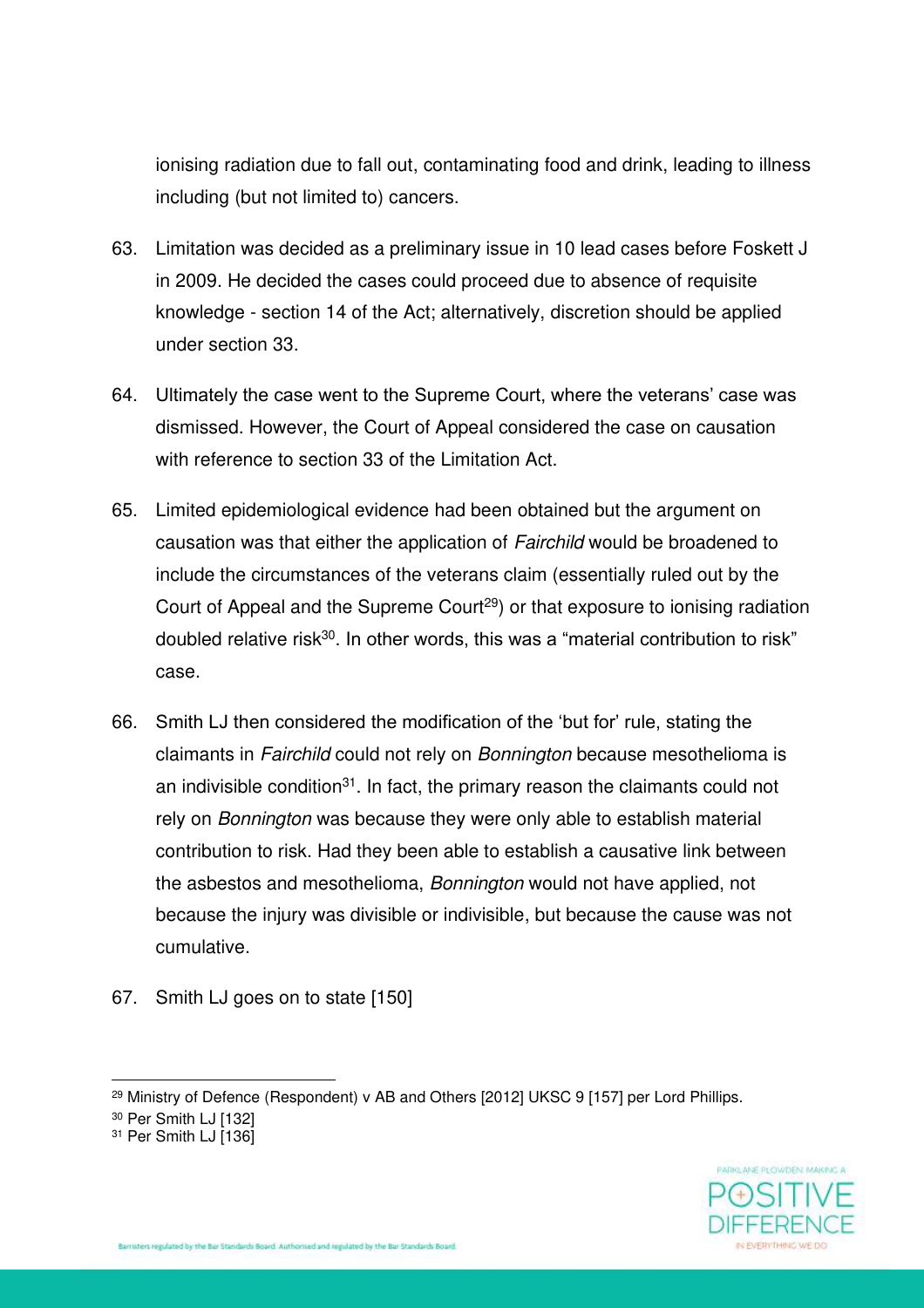ionising radiation due to fall out, contaminating food and drink, leading to illness including (but not limited to) cancers.

- 63. Limitation was decided as a preliminary issue in 10 lead cases before Foskett J in 2009. He decided the cases could proceed due to absence of requisite knowledge - section 14 of the Act; alternatively, discretion should be applied under section 33.
- 64. Ultimately the case went to the Supreme Court, where the veterans' case was dismissed. However, the Court of Appeal considered the case on causation with reference to section 33 of the Limitation Act.
- 65. Limited epidemiological evidence had been obtained but the argument on causation was that either the application of *Fairchild* would be broadened to include the circumstances of the veterans claim (essentially ruled out by the Court of Appeal and the Supreme Court<sup>29</sup>) or that exposure to ionising radiation doubled relative risk<sup>30</sup>. In other words, this was a "material contribution to risk" case.
- 66. Smith LJ then considered the modification of the 'but for' rule, stating the claimants in *Fairchild* could not rely on *Bonnington* because mesothelioma is an indivisible condition<sup>31</sup>. In fact, the primary reason the claimants could not rely on *Bonnington* was because they were only able to establish material contribution to risk. Had they been able to establish a causative link between the asbestos and mesothelioma, *Bonnington* would not have applied, not because the injury was divisible or indivisible, but because the cause was not cumulative.
- 67. Smith LJ goes on to state [150]



<sup>&</sup>lt;sup>29</sup> Ministry of Defence (Respondent) v AB and Others [2012] UKSC 9 [157] per Lord Phillips.

<sup>30</sup> Per Smith LJ [132]

<sup>&</sup>lt;sup>31</sup> Per Smith LJ [136]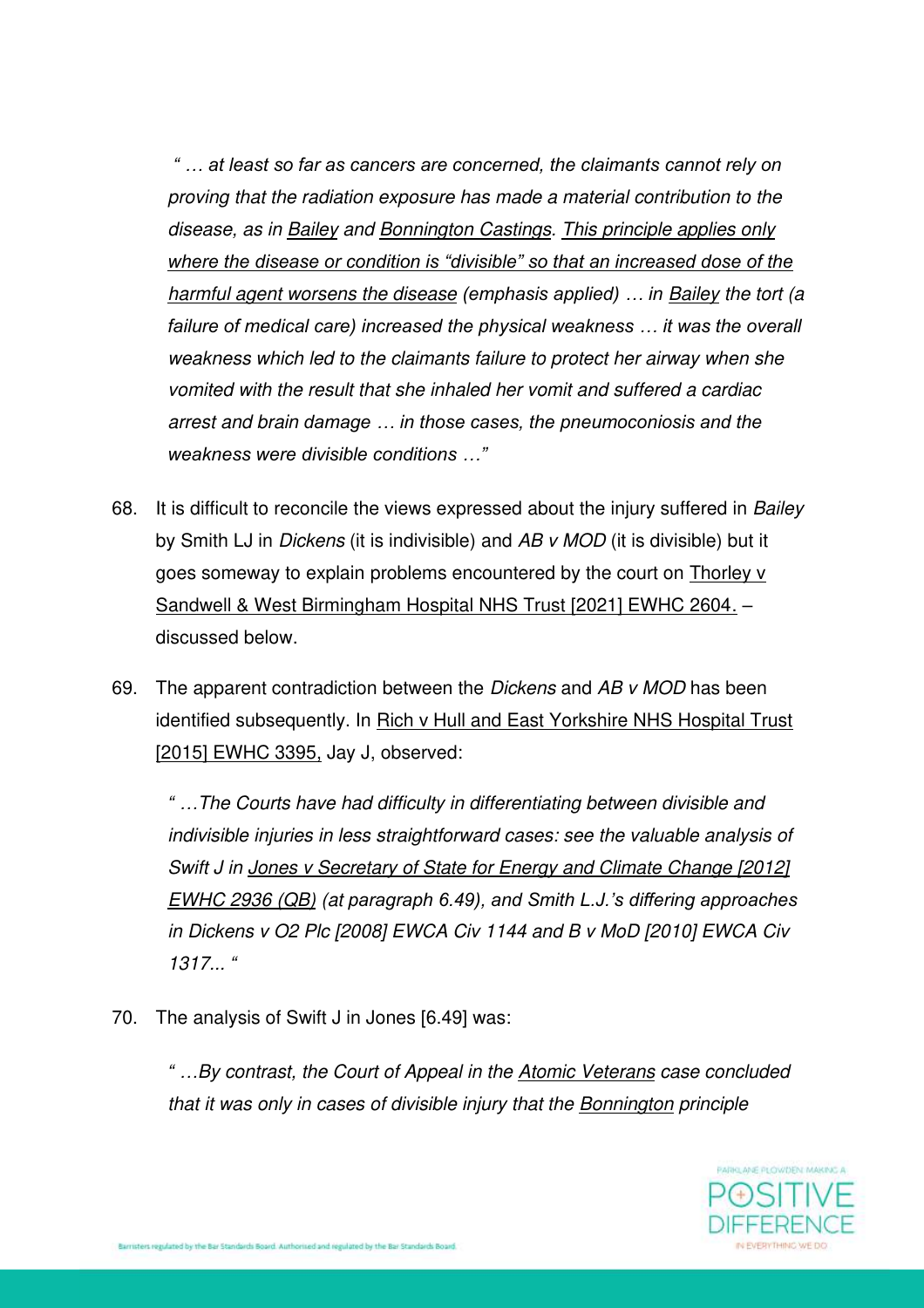*" … at least so far as cancers are concerned, the claimants cannot rely on proving that the radiation exposure has made a material contribution to the disease, as in Bailey and Bonnington Castings. This principle applies only where the disease or condition is "divisible" so that an increased dose of the harmful agent worsens the disease (emphasis applied) ... in <u>Bailey</u> the tort (a failure of medical care) increased the physical weakness … it was the overall weakness which led to the claimants failure to protect her airway when she vomited with the result that she inhaled her vomit and suffered a cardiac arrest and brain damage … in those cases, the pneumoconiosis and the weakness were divisible conditions …"*

- 68. It is difficult to reconcile the views expressed about the injury suffered in *Bailey* by Smith LJ in *Dickens* (it is indivisible) and *AB v MOD* (it is divisible) but it goes someway to explain problems encountered by the court on Thorley v Sandwell & West Birmingham Hospital NHS Trust [2021] EWHC 2604. – discussed below.
- 69. The apparent contradiction between the *Dickens* and *AB v MOD* has been identified subsequently. In Rich v Hull and East Yorkshire NHS Hospital Trust [2015] EWHC 3395, Jay J, observed:

*" …The Courts have had difficulty in differentiating between divisible and indivisible injuries in less straightforward cases: see the valuable analysis of Swift J in Jones v Secretary of State for Energy and Climate Change [2012] EWHC 2936 (QB) (at paragraph 6.49), and Smith L.J.'s differing approaches in Dickens v O2 Plc [2008] EWCA Civ 1144 and B v MoD [2010] EWCA Civ 1317... "*

70. The analysis of Swift J in Jones [6.49] was:

*" …By contrast, the Court of Appeal in the Atomic Veterans case concluded that it was only in cases of divisible injury that the Bonnington principle* 

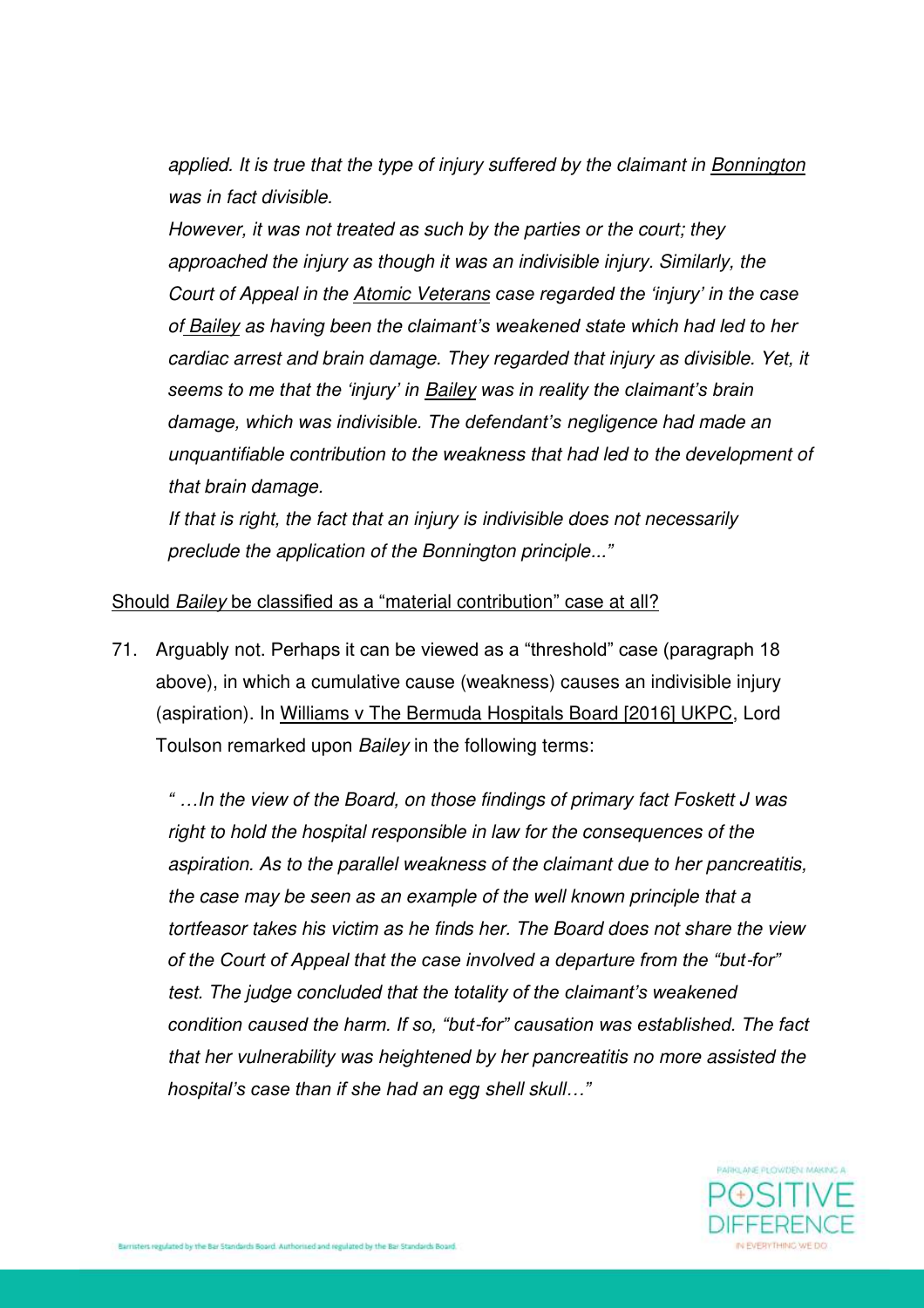*applied. It is true that the type of injury suffered by the claimant in Bonnington was in fact divisible.* 

*However, it was not treated as such by the parties or the court; they approached the injury as though it was an indivisible injury. Similarly, the Court of Appeal in the Atomic Veterans case regarded the 'injury' in the case of Bailey as having been the claimant's weakened state which had led to her cardiac arrest and brain damage. They regarded that injury as divisible. Yet, it seems to me that the 'injury' in Bailey was in reality the claimant's brain damage, which was indivisible. The defendant's negligence had made an unquantifiable contribution to the weakness that had led to the development of that brain damage.* 

*If that is right, the fact that an injury is indivisible does not necessarily preclude the application of the Bonnington principle..."*

#### Should *Bailey* be classified as a "material contribution" case at all?

71. Arguably not. Perhaps it can be viewed as a "threshold" case (paragraph 18 above), in which a cumulative cause (weakness) causes an indivisible injury (aspiration). In Williams v The Bermuda Hospitals Board [2016] UKPC, Lord Toulson remarked upon *Bailey* in the following terms:

*" …In the view of the Board, on those findings of primary fact Foskett J was right to hold the hospital responsible in law for the consequences of the aspiration. As to the parallel weakness of the claimant due to her pancreatitis, the case may be seen as an example of the well known principle that a tortfeasor takes his victim as he finds her. The Board does not share the view of the Court of Appeal that the case involved a departure from the "but-for" test. The judge concluded that the totality of the claimant's weakened condition caused the harm. If so, "but-for" causation was established. The fact that her vulnerability was heightened by her pancreatitis no more assisted the hospital's case than if she had an egg shell skull…"*

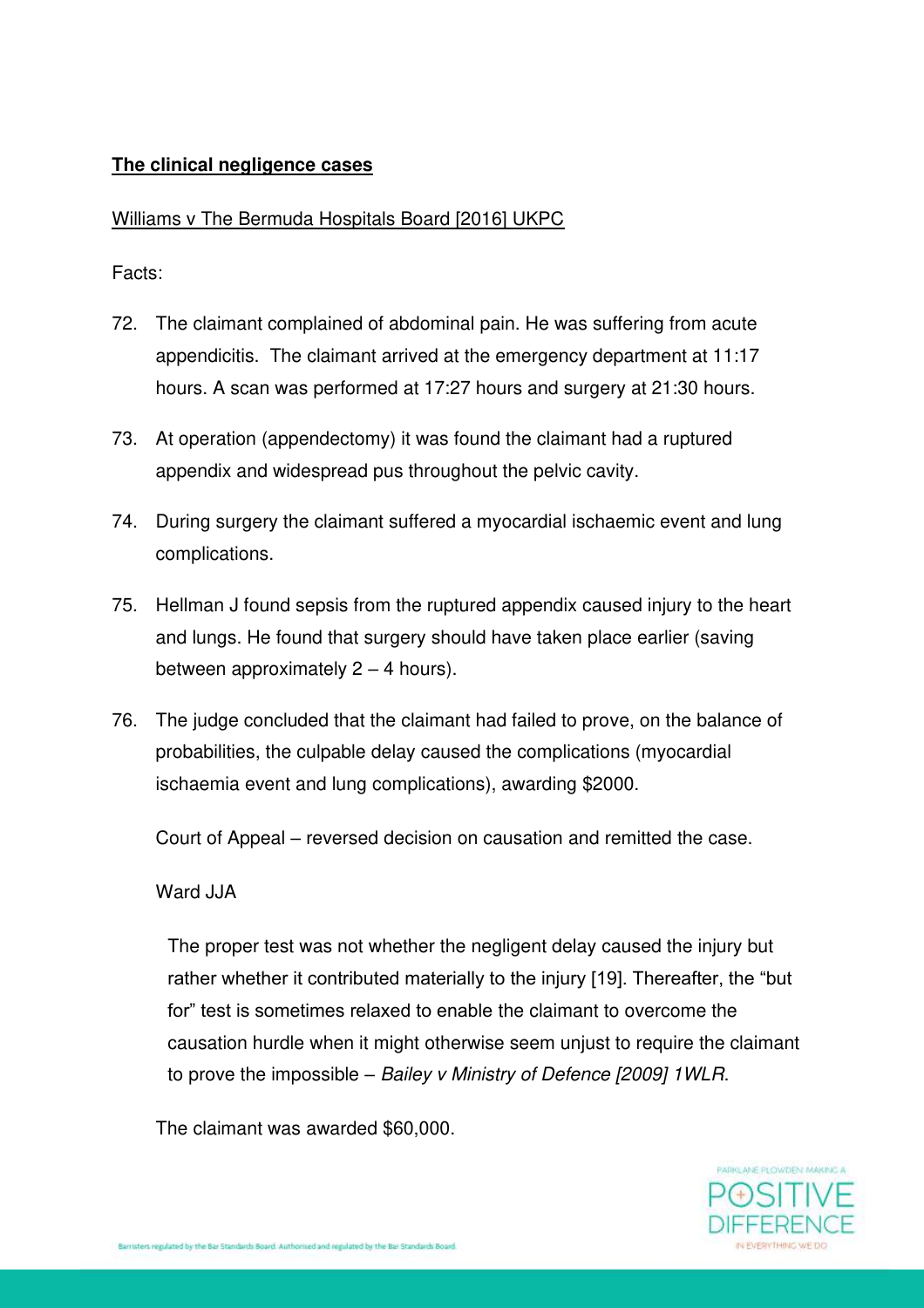### **The clinical negligence cases**

#### Williams v The Bermuda Hospitals Board [2016] UKPC

Facts:

- 72. The claimant complained of abdominal pain. He was suffering from acute appendicitis. The claimant arrived at the emergency department at 11:17 hours. A scan was performed at 17:27 hours and surgery at 21:30 hours.
- 73. At operation (appendectomy) it was found the claimant had a ruptured appendix and widespread pus throughout the pelvic cavity.
- 74. During surgery the claimant suffered a myocardial ischaemic event and lung complications.
- 75. Hellman J found sepsis from the ruptured appendix caused injury to the heart and lungs. He found that surgery should have taken place earlier (saving between approximately  $2 - 4$  hours).
- 76. The judge concluded that the claimant had failed to prove, on the balance of probabilities, the culpable delay caused the complications (myocardial ischaemia event and lung complications), awarding \$2000.

Court of Appeal – reversed decision on causation and remitted the case.

#### Ward JJA

The proper test was not whether the negligent delay caused the injury but rather whether it contributed materially to the injury [19]. Thereafter, the "but for" test is sometimes relaxed to enable the claimant to overcome the causation hurdle when it might otherwise seem unjust to require the claimant to prove the impossible – *Bailey v Ministry of Defence [2009] 1WLR*.

The claimant was awarded \$60,000.

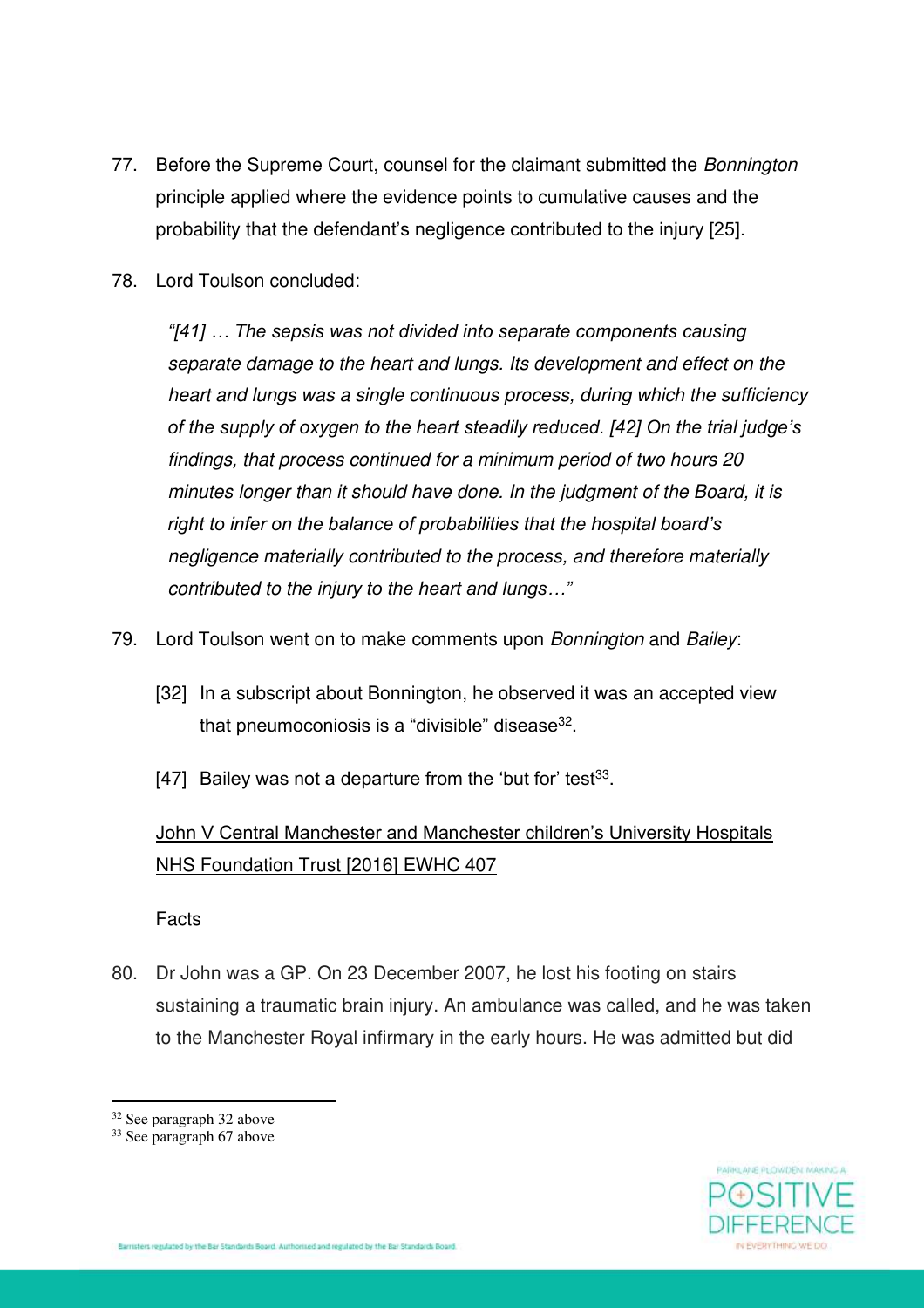- 77. Before the Supreme Court, counsel for the claimant submitted the *Bonnington* principle applied where the evidence points to cumulative causes and the probability that the defendant's negligence contributed to the injury [25].
- 78. Lord Toulson concluded:

*"[41] … The sepsis was not divided into separate components causing separate damage to the heart and lungs. Its development and effect on the heart and lungs was a single continuous process, during which the sufficiency of the supply of oxygen to the heart steadily reduced. [42] On the trial judge's findings, that process continued for a minimum period of two hours 20 minutes longer than it should have done. In the judgment of the Board, it is right to infer on the balance of probabilities that the hospital board's negligence materially contributed to the process, and therefore materially contributed to the injury to the heart and lungs…"*

- 79. Lord Toulson went on to make comments upon *Bonnington* and *Bailey*:
	- [32] In a subscript about Bonnington, he observed it was an accepted view that pneumoconiosis is a "divisible" disease $^{\rm 32}$ .
	- [47] Bailey was not a departure from the 'but for' test $33$ .

# John V Central Manchester and Manchester children's University Hospitals NHS Foundation Trust [2016] EWHC 407

Facts

80. Dr John was a GP. On 23 December 2007, he lost his footing on stairs sustaining a traumatic brain injury. An ambulance was called, and he was taken to the Manchester Royal infirmary in the early hours. He was admitted but did



<sup>&</sup>lt;sup>32</sup> See paragraph 32 above

<sup>33</sup> See paragraph 67 above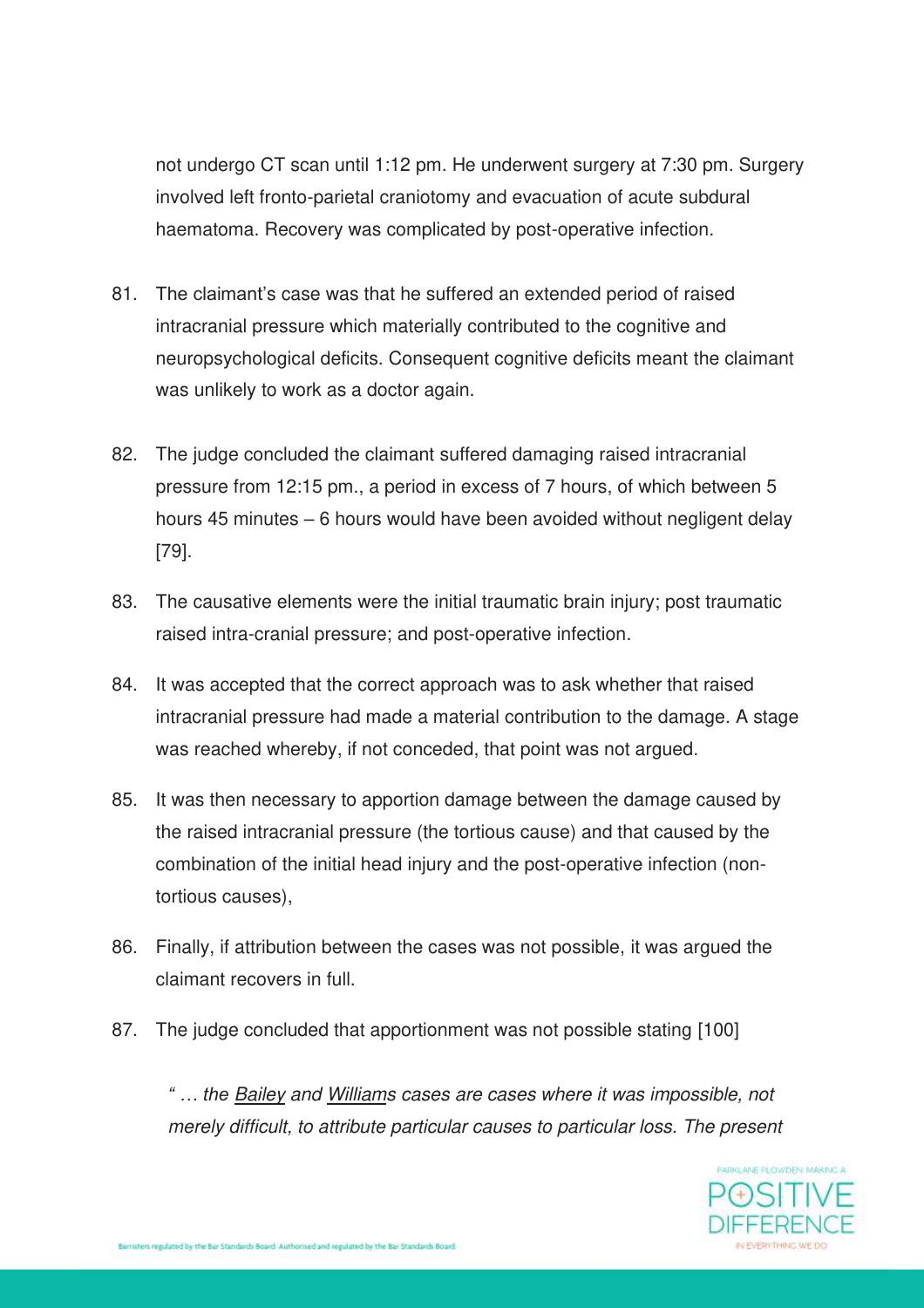not undergo CT scan until 1:12 pm. He underwent surgery at 7:30 pm. Surgery involved left fronto-parietal craniotomy and evacuation of acute subdural haematoma. Recovery was complicated by post-operative infection.

- 81. The claimant's case was that he suffered an extended period of raised intracranial pressure which materially contributed to the cognitive and neuropsychological deficits. Consequent cognitive deficits meant the claimant was unlikely to work as a doctor again.
- 82. The judge concluded the claimant suffered damaging raised intracranial pressure from 12:15 pm., a period in excess of 7 hours, of which between 5 hours 45 minutes – 6 hours would have been avoided without negligent delay [79].
- 83. The causative elements were the initial traumatic brain injury; post traumatic raised intra-cranial pressure; and post-operative infection.
- 84. It was accepted that the correct approach was to ask whether that raised intracranial pressure had made a material contribution to the damage. A stage was reached whereby, if not conceded, that point was not argued.
- 85. It was then necessary to apportion damage between the damage caused by the raised intracranial pressure (the tortious cause) and that caused by the combination of the initial head injury and the post-operative infection (nontortious causes),
- 86. Finally, if attribution between the cases was not possible, it was argued the claimant recovers in full.
- 87. The judge concluded that apportionment was not possible stating [100]

*" … the Bailey and Williams cases are cases where it was impossible, not merely difficult, to attribute particular causes to particular loss. The present* 

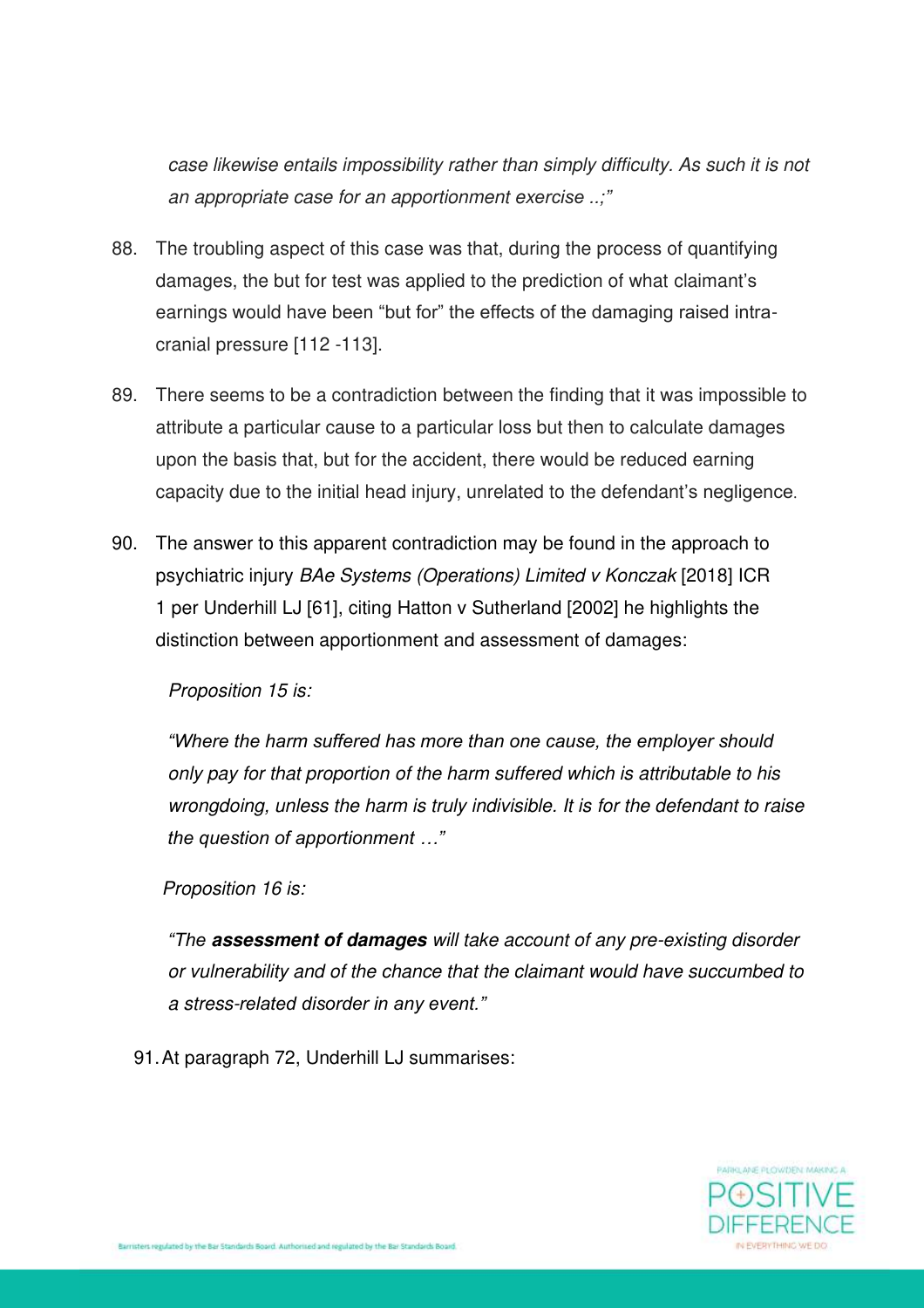*case likewise entails impossibility rather than simply difficulty. As such it is not an appropriate case for an apportionment exercise ..;"*

- 88. The troubling aspect of this case was that, during the process of quantifying damages, the but for test was applied to the prediction of what claimant's earnings would have been "but for" the effects of the damaging raised intracranial pressure [112 -113].
- 89. There seems to be a contradiction between the finding that it was impossible to attribute a particular cause to a particular loss but then to calculate damages upon the basis that, but for the accident, there would be reduced earning capacity due to the initial head injury, unrelated to the defendant's negligence.
- 90. The answer to this apparent contradiction may be found in the approach to psychiatric injury *BAe Systems (Operations) Limited v Konczak* [2018] ICR 1 per Underhill LJ [61], citing Hatton v Sutherland [2002] he highlights the distinction between apportionment and assessment of damages:

*Proposition 15 is:*

*"Where the harm suffered has more than one cause, the employer should only pay for that proportion of the harm suffered which is attributable to his wrongdoing, unless the harm is truly indivisible. It is for the defendant to raise the question of apportionment …"*

*Proposition 16 is:*

*"The* **assessment of damages** *will take account of any pre-existing disorder or vulnerability and of the chance that the claimant would have succumbed to a stress-related disorder in any event."*

91. At paragraph 72, Underhill LJ summarises:

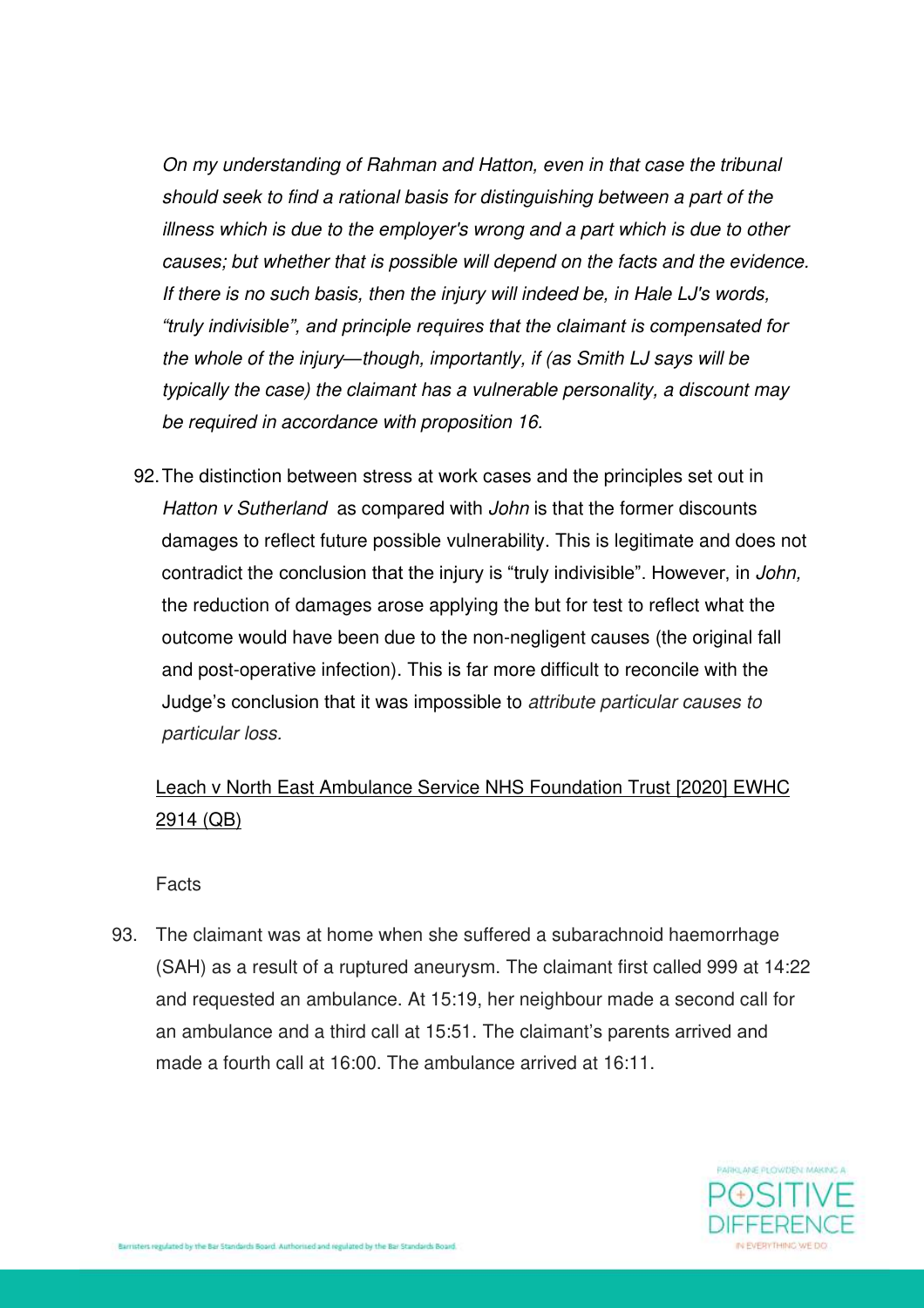*On my understanding of Rahman and Hatton, even in that case the tribunal should seek to find a rational basis for distinguishing between a part of the illness which is due to the employer's wrong and a part which is due to other causes; but whether that is possible will depend on the facts and the evidence. If there is no such basis, then the injury will indeed be, in Hale LJ's words, "truly indivisible", and principle requires that the claimant is compensated for the whole of the injury—though, importantly, if (as Smith LJ says will be typically the case) the claimant has a vulnerable personality, a discount may be required in accordance with proposition 16.* 

92. The distinction between stress at work cases and the principles set out in *Hatton v Sutherland* as compared with *John* is that the former discounts damages to reflect future possible vulnerability. This is legitimate and does not contradict the conclusion that the injury is "truly indivisible". However, in *John,* the reduction of damages arose applying the but for test to reflect what the outcome would have been due to the non-negligent causes (the original fall and post-operative infection). This is far more difficult to reconcile with the Judge's conclusion that it was impossible to *attribute particular causes to particular loss.*

# Leach v North East Ambulance Service NHS Foundation Trust [2020] EWHC 2914 (QB)

Facts

93. The claimant was at home when she suffered a subarachnoid haemorrhage (SAH) as a result of a ruptured aneurysm. The claimant first called 999 at 14:22 and requested an ambulance. At 15:19, her neighbour made a second call for an ambulance and a third call at 15:51. The claimant's parents arrived and made a fourth call at 16:00. The ambulance arrived at 16:11.

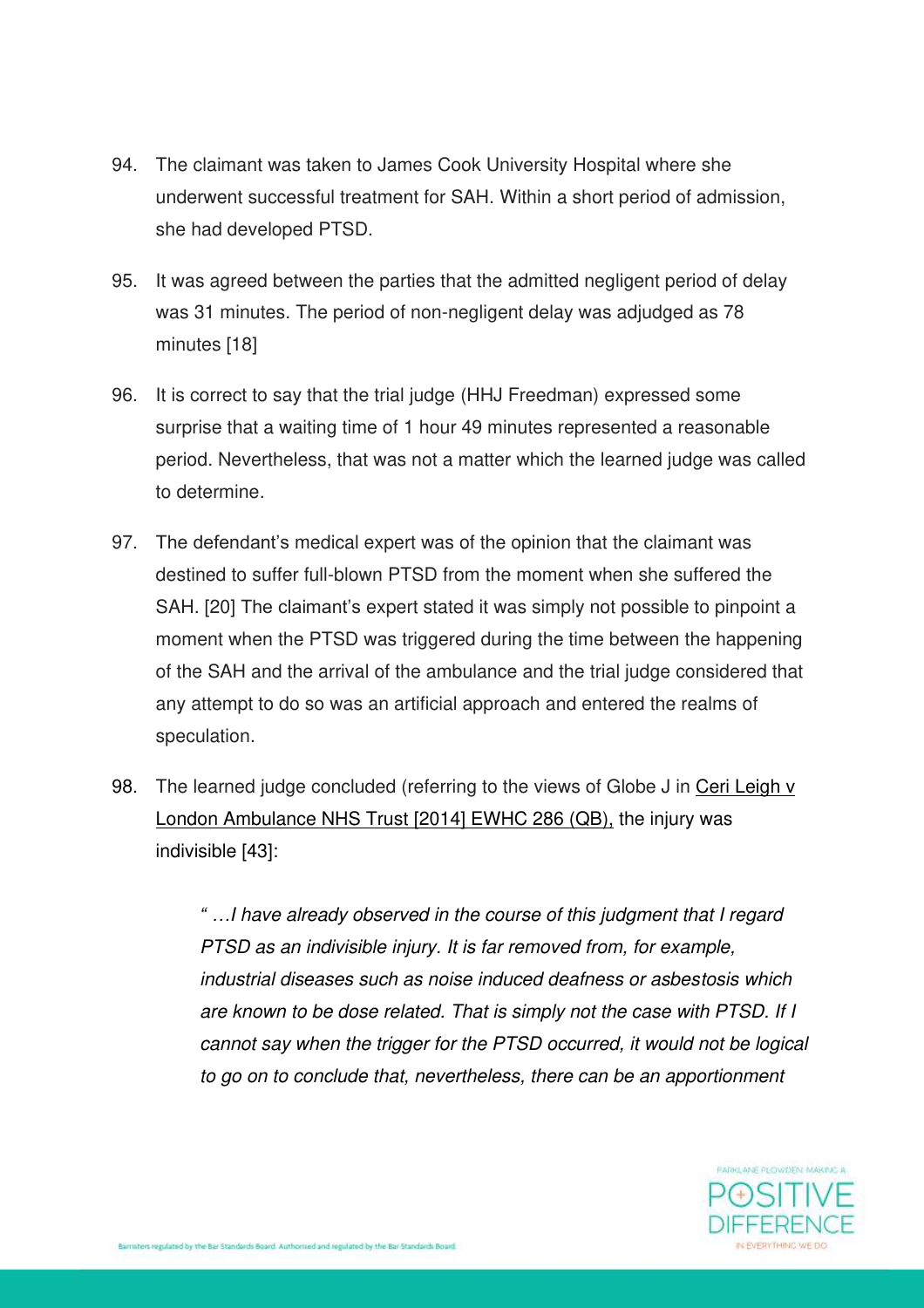- 94. The claimant was taken to James Cook University Hospital where she underwent successful treatment for SAH. Within a short period of admission, she had developed PTSD.
- 95. It was agreed between the parties that the admitted negligent period of delay was 31 minutes. The period of non-negligent delay was adjudged as 78 minutes [18]
- 96. It is correct to say that the trial judge (HHJ Freedman) expressed some surprise that a waiting time of 1 hour 49 minutes represented a reasonable period. Nevertheless, that was not a matter which the learned judge was called to determine.
- 97. The defendant's medical expert was of the opinion that the claimant was destined to suffer full-blown PTSD from the moment when she suffered the SAH. [20] The claimant's expert stated it was simply not possible to pinpoint a moment when the PTSD was triggered during the time between the happening of the SAH and the arrival of the ambulance and the trial judge considered that any attempt to do so was an artificial approach and entered the realms of speculation.
- 98. The learned judge concluded (referring to the views of Globe J in Ceri Leigh v London Ambulance NHS Trust [2014] EWHC 286 (QB), the injury was indivisible [43]:

*" …I have already observed in the course of this judgment that I regard PTSD as an indivisible injury. It is far removed from, for example, industrial diseases such as noise induced deafness or asbestosis which are known to be dose related. That is simply not the case with PTSD. If I cannot say when the trigger for the PTSD occurred, it would not be logical to go on to conclude that, nevertheless, there can be an apportionment* 

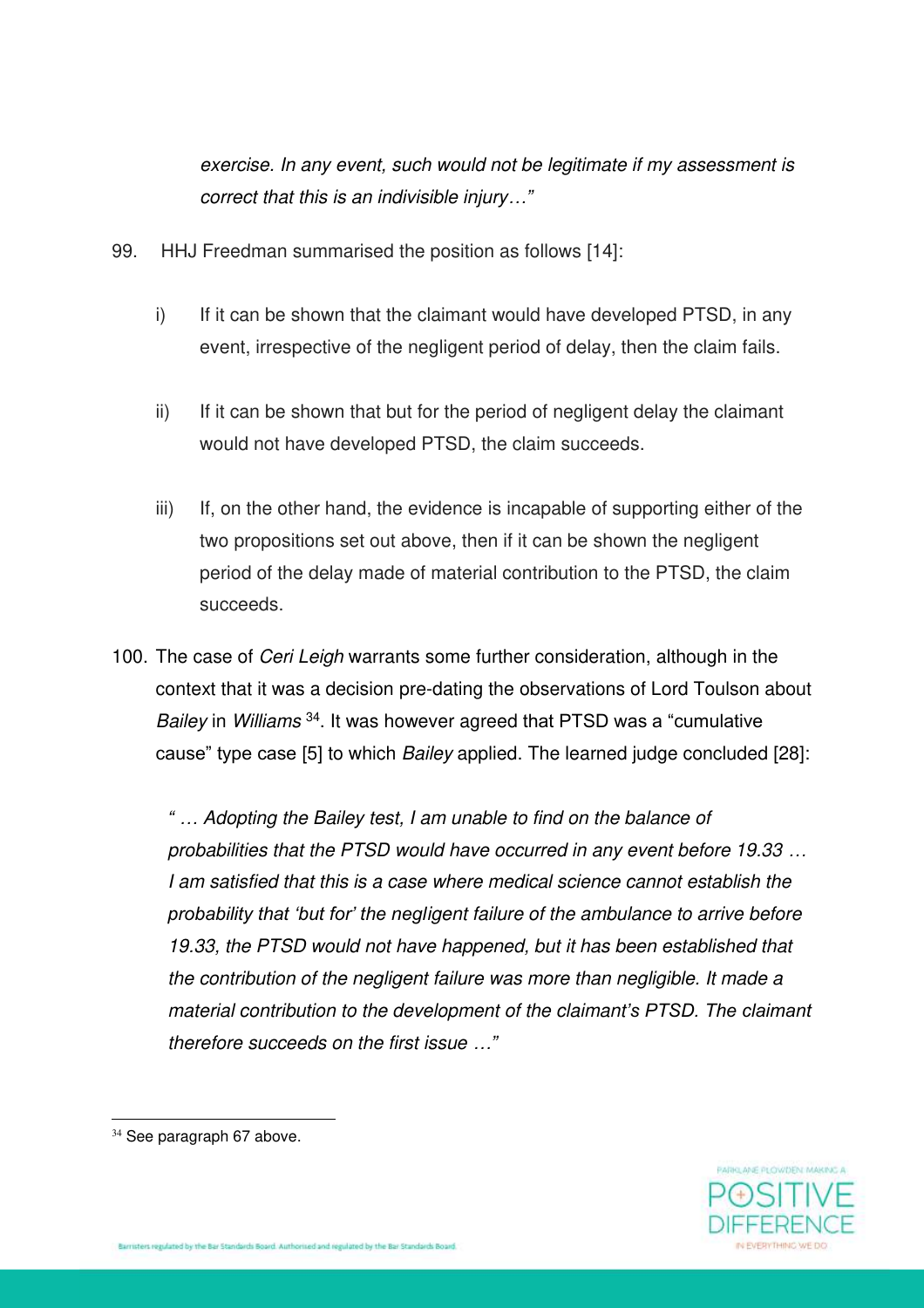*exercise. In any event, such would not be legitimate if my assessment is correct that this is an indivisible injury…"*

- 99. HHJ Freedman summarised the position as follows [14]:
	- i) If it can be shown that the claimant would have developed PTSD, in any event, irrespective of the negligent period of delay, then the claim fails.
	- ii) If it can be shown that but for the period of negligent delay the claimant would not have developed PTSD, the claim succeeds.
	- iii) If, on the other hand, the evidence is incapable of supporting either of the two propositions set out above, then if it can be shown the negligent period of the delay made of material contribution to the PTSD, the claim succeeds.
- 100. The case of *Ceri Leigh* warrants some further consideration, although in the context that it was a decision pre-dating the observations of Lord Toulson about *Bailey* in *Williams* <sup>34</sup> . It was however agreed that PTSD was a "cumulative cause" type case [5] to which *Bailey* applied. The learned judge concluded [28]:

*" … Adopting the Bailey test, I am unable to find on the balance of probabilities that the PTSD would have occurred in any event before 19.33 … I am satisfied that this is a case where medical science cannot establish the probability that 'but for' the negligent failure of the ambulance to arrive before 19.33, the PTSD would not have happened, but it has been established that the contribution of the negligent failure was more than negligible. It made a material contribution to the development of the claimant's PTSD. The claimant therefore succeeds on the first issue …"*



<sup>&</sup>lt;sup>34</sup> See paragraph 67 above.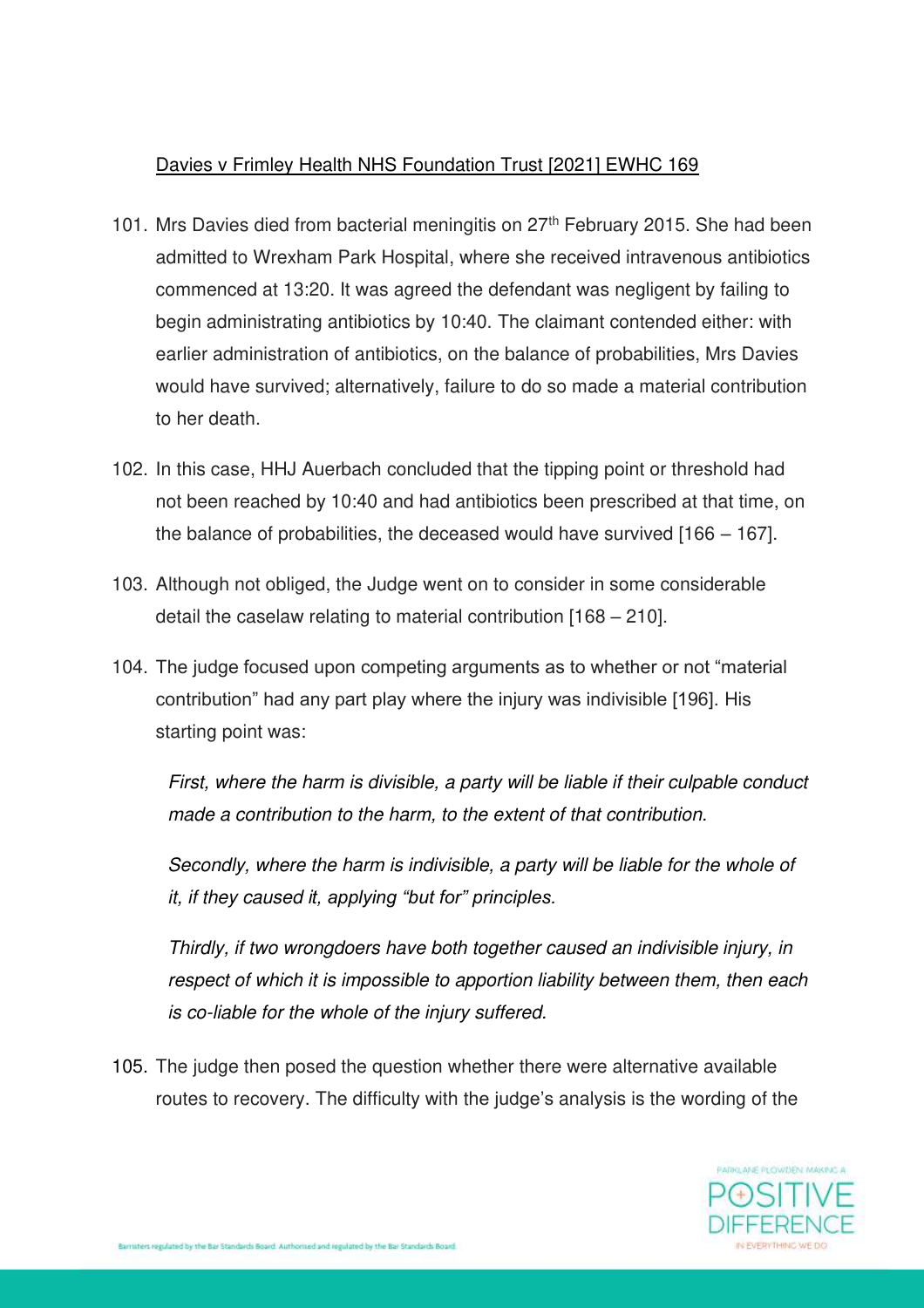### Davies v Frimley Health NHS Foundation Trust [2021] EWHC 169

- 101. Mrs Davies died from bacterial meningitis on 27<sup>th</sup> February 2015. She had been admitted to Wrexham Park Hospital, where she received intravenous antibiotics commenced at 13:20. It was agreed the defendant was negligent by failing to begin administrating antibiotics by 10:40. The claimant contended either: with earlier administration of antibiotics, on the balance of probabilities, Mrs Davies would have survived; alternatively, failure to do so made a material contribution to her death.
- 102. In this case, HHJ Auerbach concluded that the tipping point or threshold had not been reached by 10:40 and had antibiotics been prescribed at that time, on the balance of probabilities, the deceased would have survived [166 – 167].
- 103. Although not obliged, the Judge went on to consider in some considerable detail the caselaw relating to material contribution [168 – 210].
- 104. The judge focused upon competing arguments as to whether or not "material contribution" had any part play where the injury was indivisible [196]. His starting point was:

*First, where the harm is divisible, a party will be liable if their culpable conduct made a contribution to the harm, to the extent of that contribution.* 

*Secondly, where the harm is indivisible, a party will be liable for the whole of it, if they caused it, applying "but for" principles.* 

*Thirdly, if two wrongdoers have both together caused an indivisible injury, in respect of which it is impossible to apportion liability between them, then each is co-liable for the whole of the injury suffered.* 

105. The judge then posed the question whether there were alternative available routes to recovery. The difficulty with the judge's analysis is the wording of the

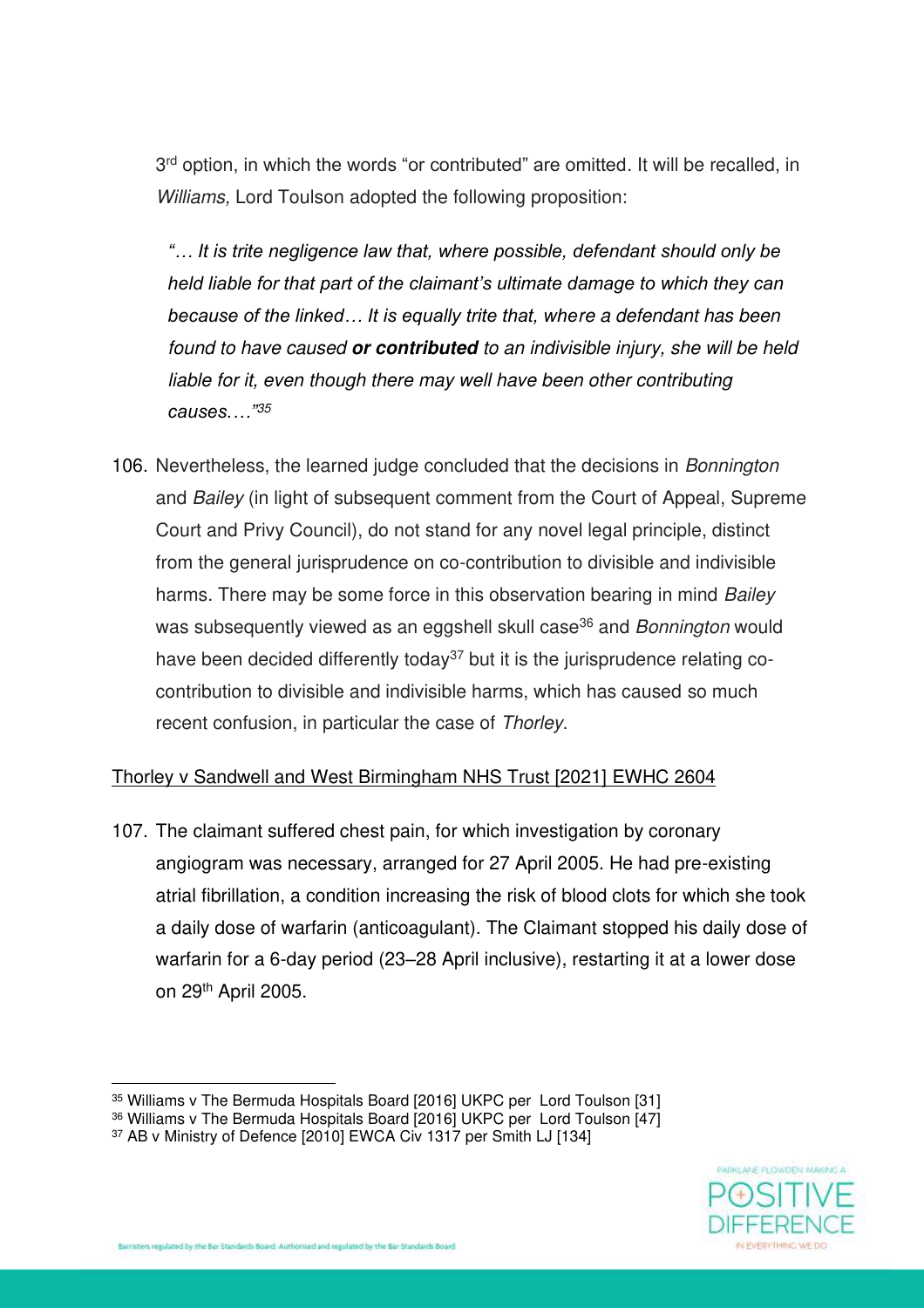3<sup>rd</sup> option, in which the words "or contributed" are omitted. It will be recalled, in *Williams,* Lord Toulson adopted the following proposition:

*"… It is trite negligence law that, where possible, defendant should only be held liable for that part of the claimant's ultimate damage to which they can because of the linked… It is equally trite that, where a defendant has been found to have caused* **or contributed** *to an indivisible injury, she will be held liable for it, even though there may well have been other contributing causes.…"<sup>35</sup>*

106. Nevertheless, the learned judge concluded that the decisions in *Bonnington* and *Bailey* (in light of subsequent comment from the Court of Appeal, Supreme Court and Privy Council), do not stand for any novel legal principle, distinct from the general jurisprudence on co-contribution to divisible and indivisible harms. There may be some force in this observation bearing in mind *Bailey* was subsequently viewed as an eggshell skull case<sup>36</sup> and *Bonnington* would have been decided differently today<sup>37</sup> but it is the jurisprudence relating cocontribution to divisible and indivisible harms, which has caused so much recent confusion, in particular the case of *Thorley*.

### Thorley v Sandwell and West Birmingham NHS Trust [2021] EWHC 2604

107. The claimant suffered chest pain, for which investigation by coronary angiogram was necessary, arranged for 27 April 2005. He had pre-existing atrial fibrillation, a condition increasing the risk of blood clots for which she took a daily dose of warfarin (anticoagulant). The Claimant stopped his daily dose of warfarin for a 6-day period (23–28 April inclusive), restarting it at a lower dose on 29th April 2005.



<sup>35</sup> Williams v The Bermuda Hospitals Board [2016] UKPC per Lord Toulson [31]

<sup>&</sup>lt;sup>36</sup> Williams v The Bermuda Hospitals Board [2016] UKPC per Lord Toulson [47]

<sup>37</sup> AB v Ministry of Defence [2010] EWCA Civ 1317 per Smith LJ [134]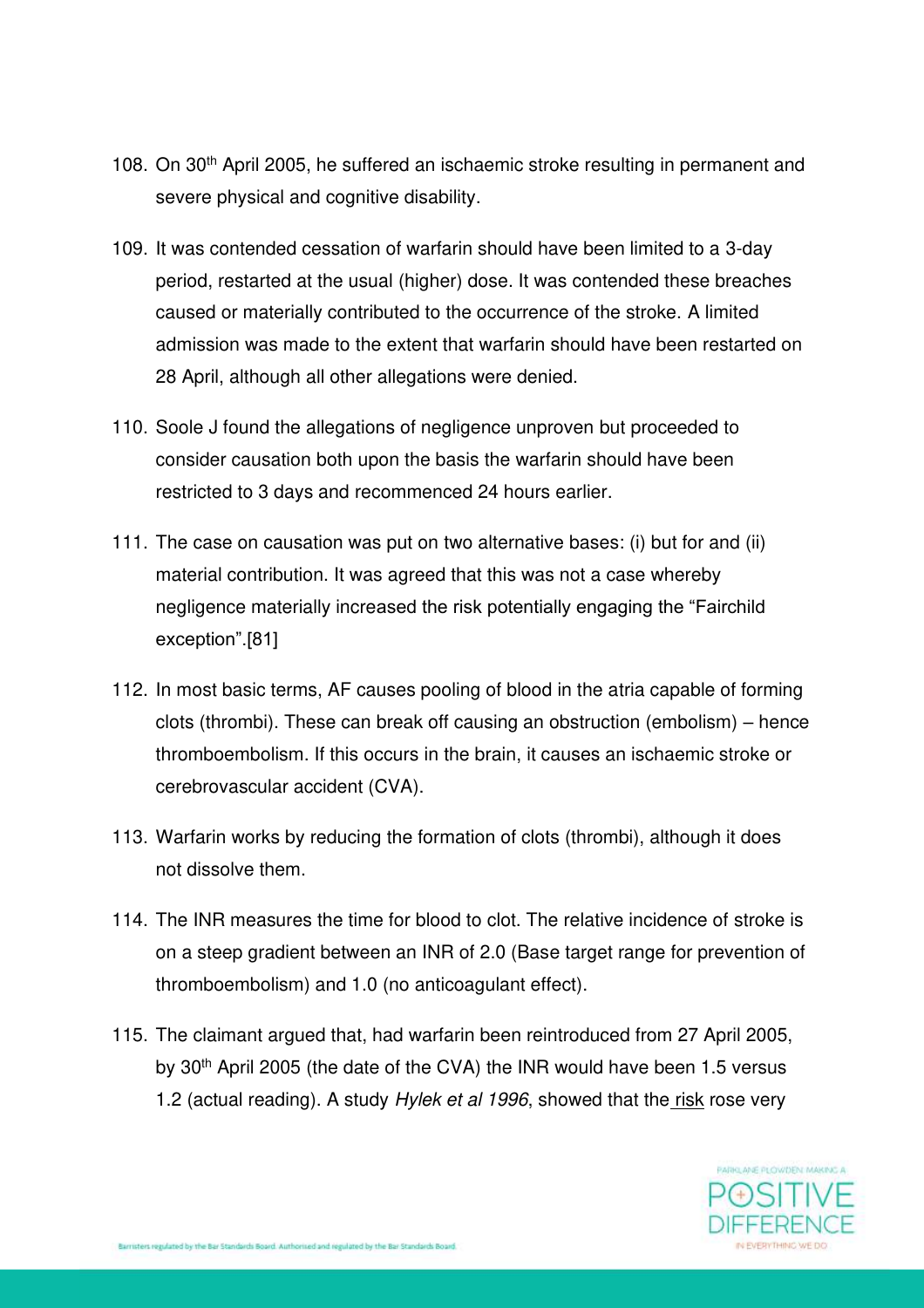- 108. On 30<sup>th</sup> April 2005, he suffered an ischaemic stroke resulting in permanent and severe physical and cognitive disability.
- 109. It was contended cessation of warfarin should have been limited to a 3-day period, restarted at the usual (higher) dose. It was contended these breaches caused or materially contributed to the occurrence of the stroke. A limited admission was made to the extent that warfarin should have been restarted on 28 April, although all other allegations were denied.
- 110. Soole J found the allegations of negligence unproven but proceeded to consider causation both upon the basis the warfarin should have been restricted to 3 days and recommenced 24 hours earlier.
- 111. The case on causation was put on two alternative bases: (i) but for and (ii) material contribution. It was agreed that this was not a case whereby negligence materially increased the risk potentially engaging the "Fairchild exception".[81]
- 112. In most basic terms, AF causes pooling of blood in the atria capable of forming clots (thrombi). These can break off causing an obstruction (embolism) – hence thromboembolism. If this occurs in the brain, it causes an ischaemic stroke or cerebrovascular accident (CVA).
- 113. Warfarin works by reducing the formation of clots (thrombi), although it does not dissolve them.
- 114. The INR measures the time for blood to clot. The relative incidence of stroke is on a steep gradient between an INR of 2.0 (Base target range for prevention of thromboembolism) and 1.0 (no anticoagulant effect).
- 115. The claimant argued that, had warfarin been reintroduced from 27 April 2005, by 30th April 2005 (the date of the CVA) the INR would have been 1.5 versus 1.2 (actual reading). A study *Hylek et al 1996*, showed that the risk rose very

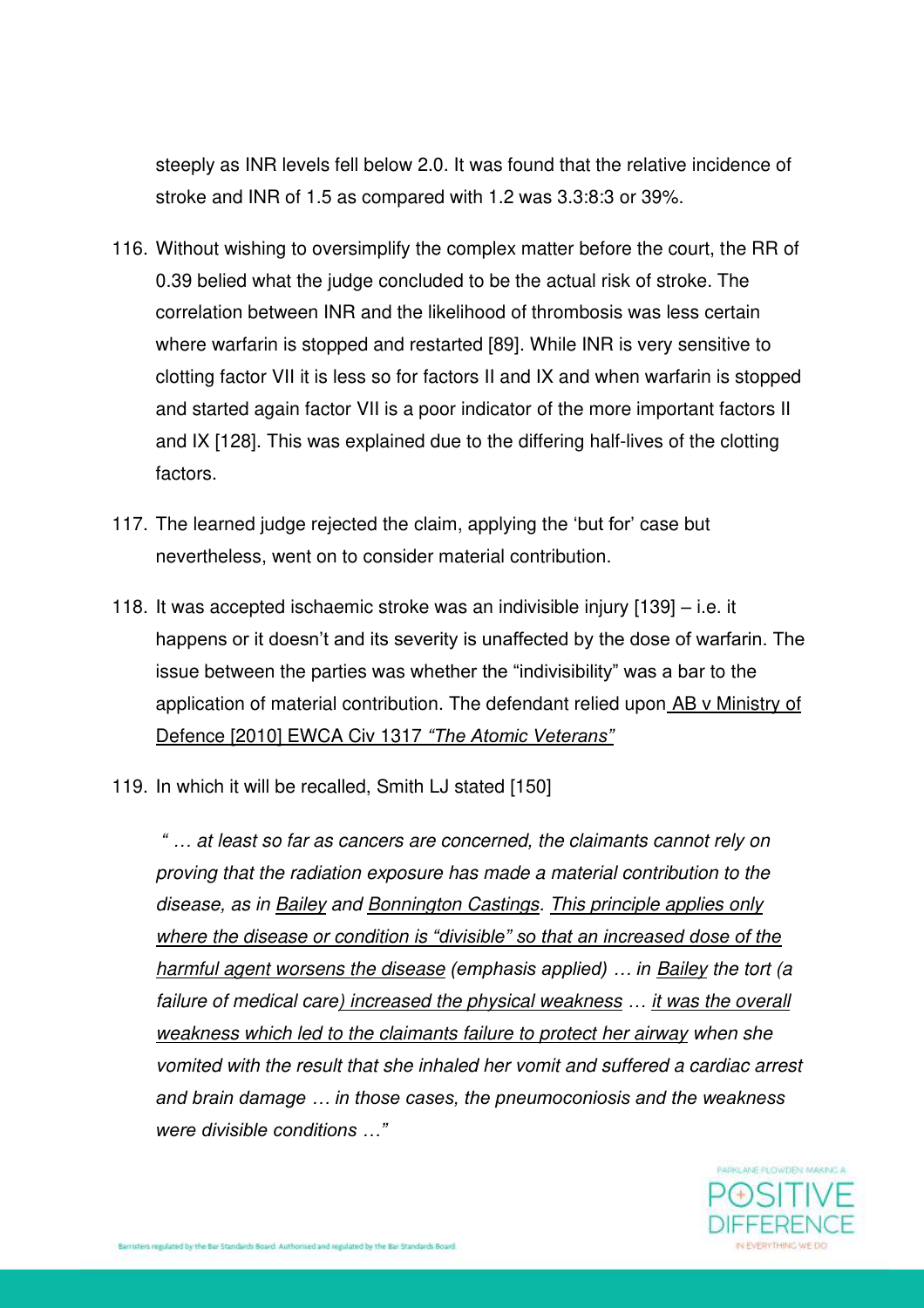steeply as INR levels fell below 2.0. It was found that the relative incidence of stroke and INR of 1.5 as compared with 1.2 was 3.3:8:3 or 39%.

- 116. Without wishing to oversimplify the complex matter before the court, the RR of 0.39 belied what the judge concluded to be the actual risk of stroke. The correlation between INR and the likelihood of thrombosis was less certain where warfarin is stopped and restarted [89]. While INR is very sensitive to clotting factor VII it is less so for factors II and IX and when warfarin is stopped and started again factor VII is a poor indicator of the more important factors II and IX [128]. This was explained due to the differing half-lives of the clotting factors.
- 117. The learned judge rejected the claim, applying the 'but for' case but nevertheless, went on to consider material contribution.
- 118. It was accepted ischaemic stroke was an indivisible injury [139] i.e. it happens or it doesn't and its severity is unaffected by the dose of warfarin. The issue between the parties was whether the "indivisibility" was a bar to the application of material contribution. The defendant relied upon AB v Ministry of Defence [2010] EWCA Civ 1317 *"The Atomic Veterans"*
- 119. In which it will be recalled, Smith LJ stated [150]

*" … at least so far as cancers are concerned, the claimants cannot rely on proving that the radiation exposure has made a material contribution to the disease, as in Bailey and Bonnington Castings. This principle applies only where the disease or condition is "divisible" so that an increased dose of the harmful agent worsens the disease (emphasis applied) … in Bailey the tort (a failure of medical care) increased the physical weakness … it was the overall weakness which led to the claimants failure to protect her airway when she vomited with the result that she inhaled her vomit and suffered a cardiac arrest and brain damage … in those cases, the pneumoconiosis and the weakness were divisible conditions …"*

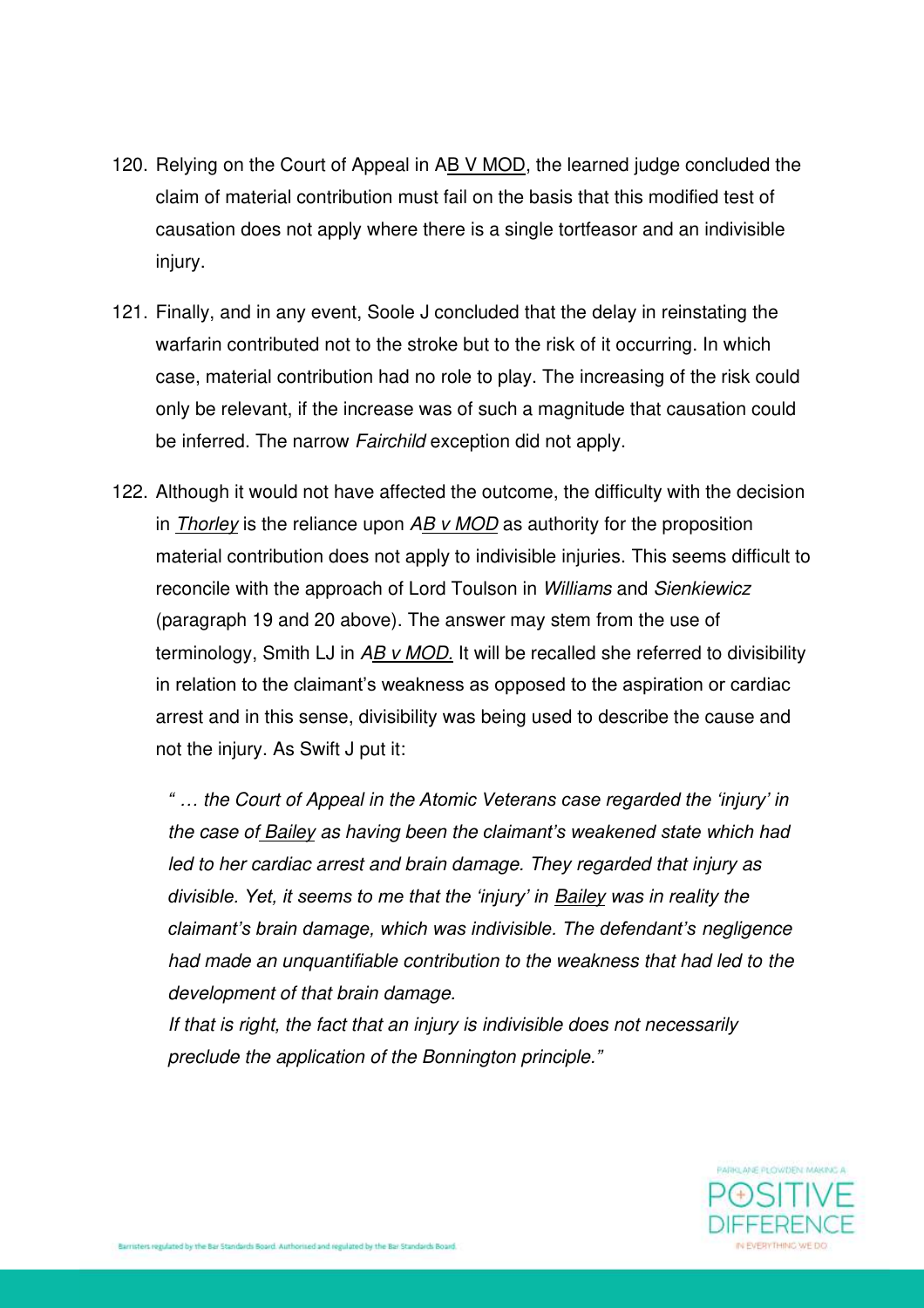- 120. Relying on the Court of Appeal in AB V MOD, the learned judge concluded the claim of material contribution must fail on the basis that this modified test of causation does not apply where there is a single tortfeasor and an indivisible injury.
- 121. Finally, and in any event, Soole J concluded that the delay in reinstating the warfarin contributed not to the stroke but to the risk of it occurring. In which case, material contribution had no role to play. The increasing of the risk could only be relevant, if the increase was of such a magnitude that causation could be inferred. The narrow *Fairchild* exception did not apply.
- 122. Although it would not have affected the outcome, the difficulty with the decision in *Thorley* is the reliance upon *AB v MOD* as authority for the proposition material contribution does not apply to indivisible injuries. This seems difficult to reconcile with the approach of Lord Toulson in *Williams* and *Sienkiewicz* (paragraph 19 and 20 above). The answer may stem from the use of terminology, Smith LJ in *AB v MOD.* It will be recalled she referred to divisibility in relation to the claimant's weakness as opposed to the aspiration or cardiac arrest and in this sense, divisibility was being used to describe the cause and not the injury. As Swift J put it:

*" … the Court of Appeal in the Atomic Veterans case regarded the 'injury' in the case of Bailey as having been the claimant's weakened state which had led to her cardiac arrest and brain damage. They regarded that injury as divisible. Yet, it seems to me that the 'injury' in Bailey was in reality the claimant's brain damage, which was indivisible. The defendant's negligence had made an unquantifiable contribution to the weakness that had led to the development of that brain damage.* 

*If that is right, the fact that an injury is indivisible does not necessarily preclude the application of the Bonnington principle."*

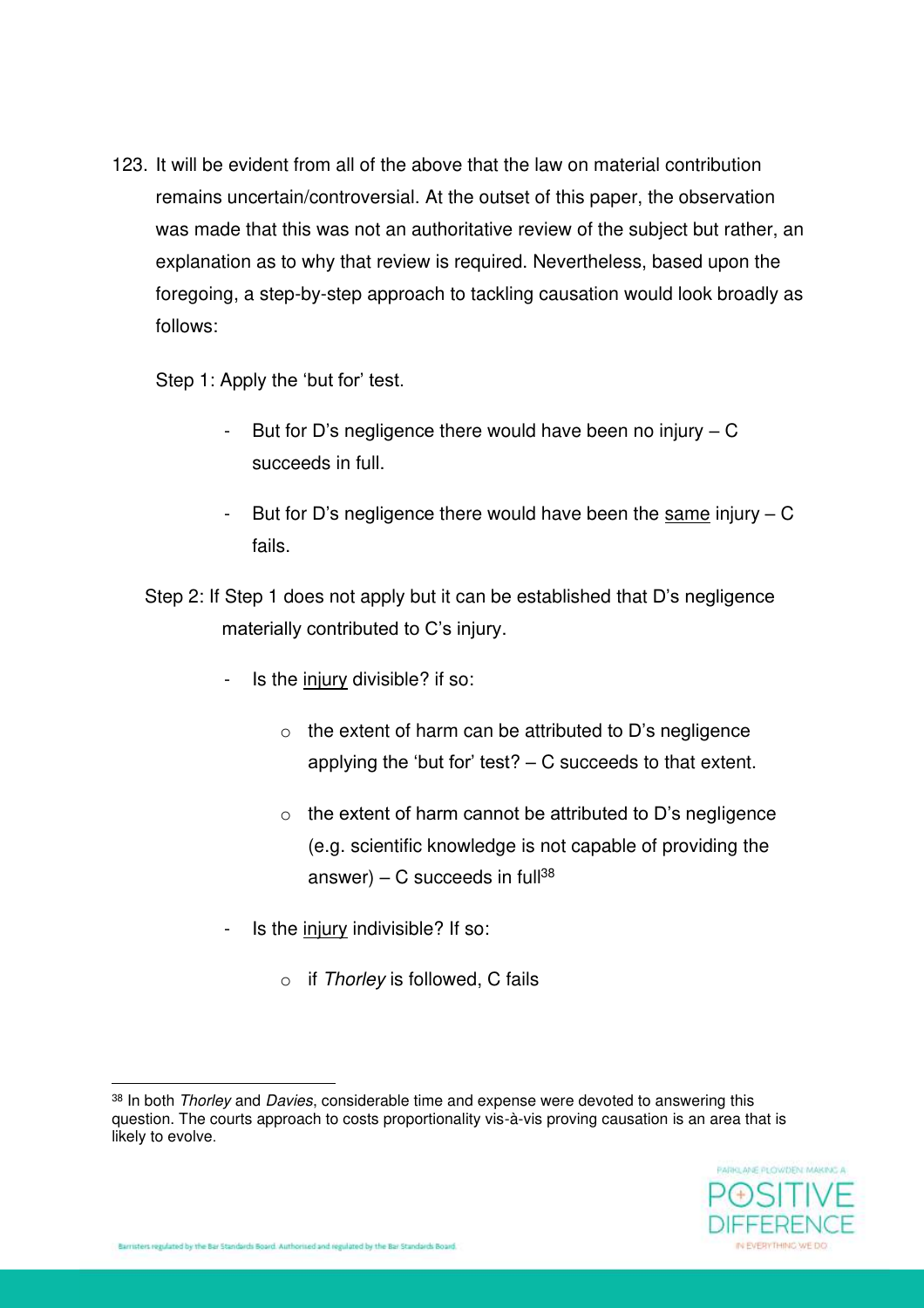123. It will be evident from all of the above that the law on material contribution remains uncertain/controversial. At the outset of this paper, the observation was made that this was not an authoritative review of the subject but rather, an explanation as to why that review is required. Nevertheless, based upon the foregoing, a step-by-step approach to tackling causation would look broadly as follows:

Step 1: Apply the 'but for' test.

- But for D's negligence there would have been no injury C succeeds in full.
- But for D's negligence there would have been the same injury  $C$ fails.
- Step 2: If Step 1 does not apply but it can be established that D's negligence materially contributed to C's injury.
	- Is the injury divisible? if so:
		- $\circ$  the extent of harm can be attributed to D's negligence applying the 'but for' test? – C succeeds to that extent.
		- $\circ$  the extent of harm cannot be attributed to D's negligence (e.g. scientific knowledge is not capable of providing the answer) – C succeeds in full<sup>38</sup>
	- Is the injury indivisible? If so:
		- o if *Thorley* is followed, C fails

<sup>38</sup> In both *Thorley* and *Davies*, considerable time and expense were devoted to answering this question. The courts approach to costs proportionality vis-à-vis proving causation is an area that is likely to evolve.

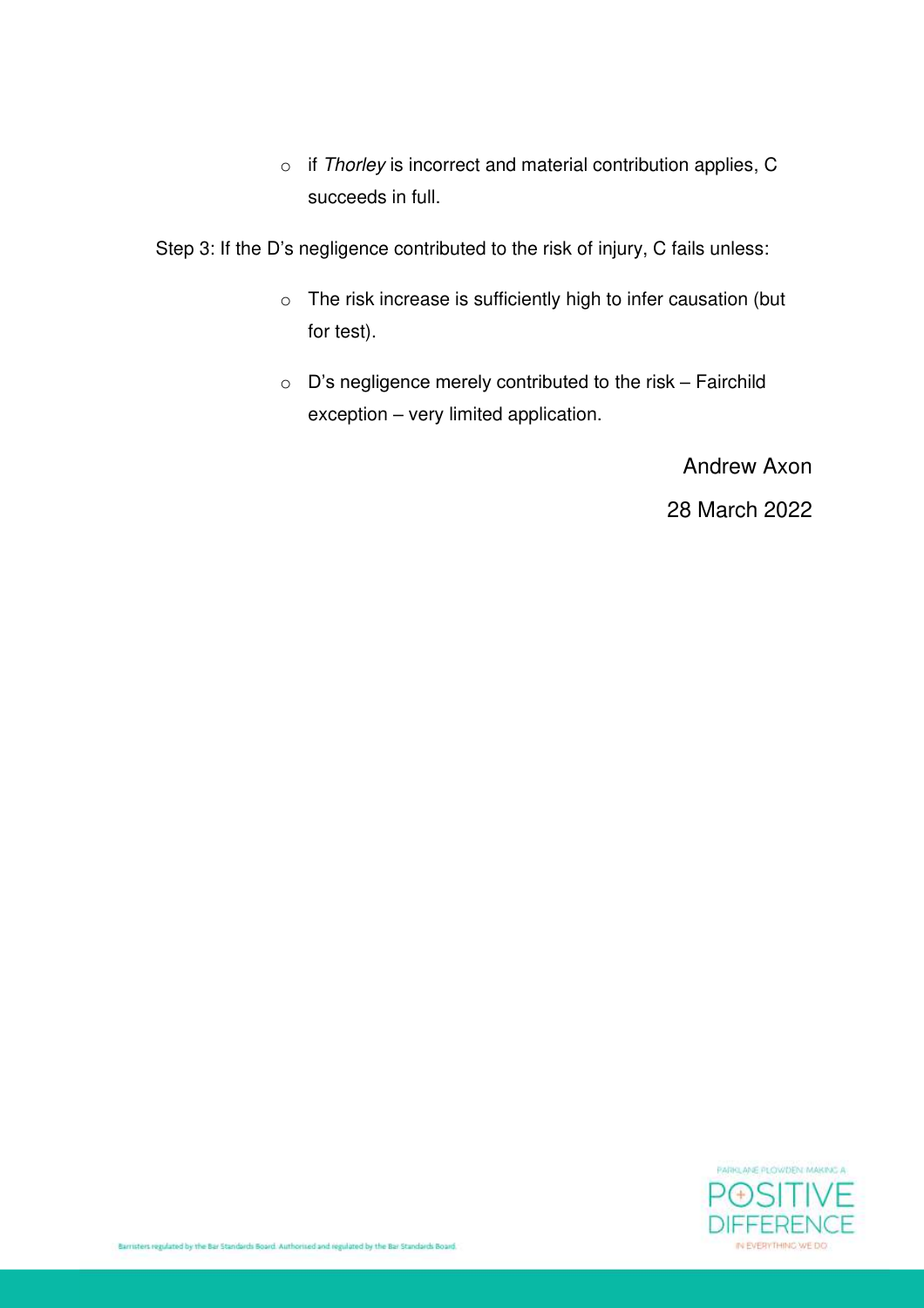o if *Thorley* is incorrect and material contribution applies, C succeeds in full.

Step 3: If the D's negligence contributed to the risk of injury, C fails unless:

- o The risk increase is sufficiently high to infer causation (but for test).
- o D's negligence merely contributed to the risk Fairchild exception – very limited application.

Andrew Axon

28 March 2022

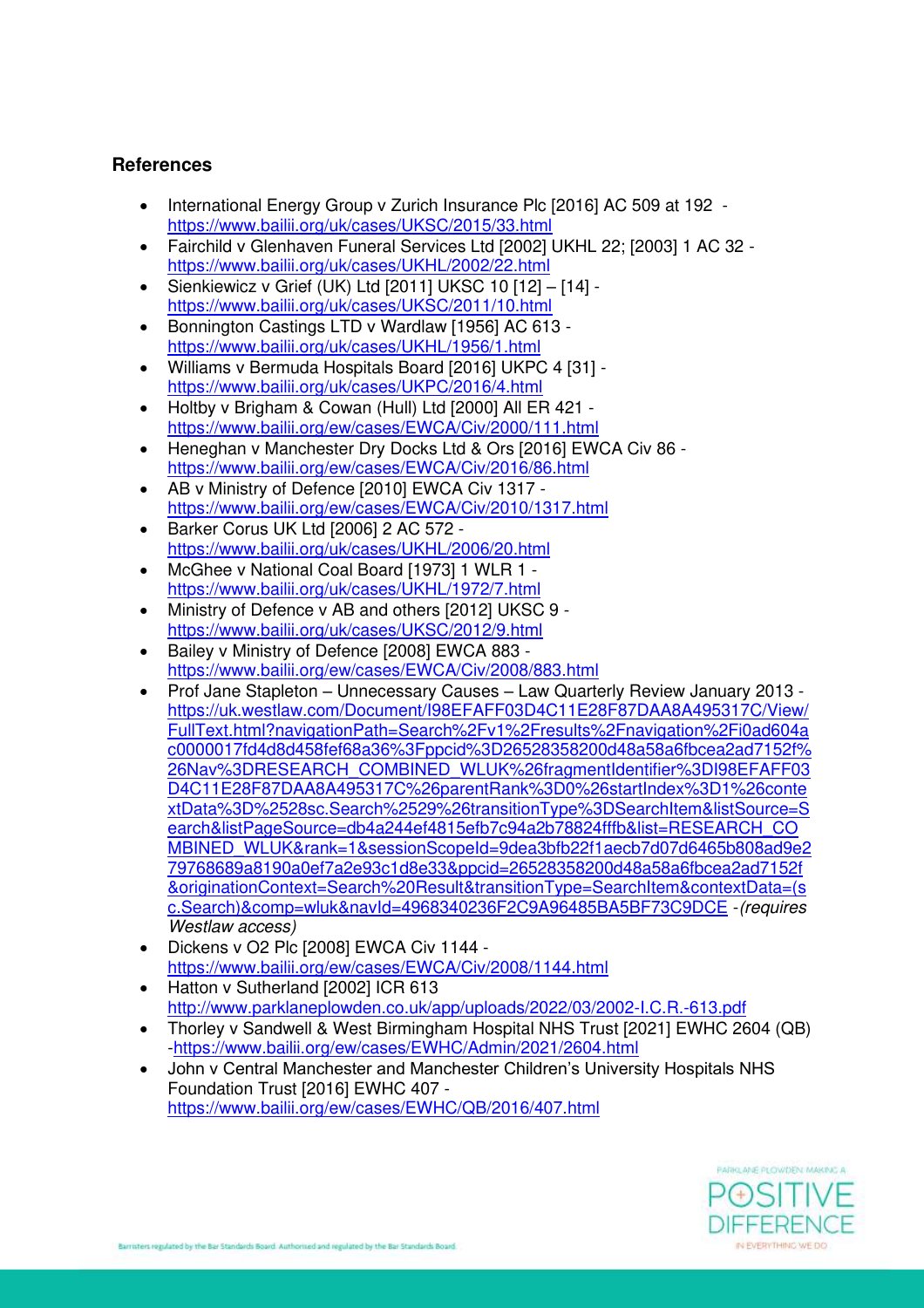#### **References**

- International Energy Group v Zurich Insurance Plc [2016] AC 509 at 192 [https://www.bailii.org/uk/cases/UKSC/2015/33.html](https://urldefense.proofpoint.com/v2/url?u=https-3A__www.bailii.org_uk_cases_UKSC_2015_33.html&d=DwQGaQ&c=euGZstcaTDllvimEN8b7jXrwqOf-v5A_CdpgnVfiiMM&r=8uBzih0l3lFPvxkaiRwrCdYQtl_IWM7KgIilUB5S9L1VUq46hBNvUyJKhk2GW4mY&m=cJfPrYLozsoegkxVKzbHLVhcYca3-v_STvirA4tmyqc&s=9zxA6cKMnOmSfrUiVNzftAIvbIjm05qoEHNmEKTP_dM&e=)
- Fairchild v Glenhaven Funeral Services Ltd [2002] UKHL 22; [2003] 1 AC 32 [https://www.bailii.org/uk/cases/UKHL/2002/22.html](https://urldefense.proofpoint.com/v2/url?u=https-3A__www.bailii.org_uk_cases_UKHL_2002_22.html&d=DwQGaQ&c=euGZstcaTDllvimEN8b7jXrwqOf-v5A_CdpgnVfiiMM&r=8uBzih0l3lFPvxkaiRwrCdYQtl_IWM7KgIilUB5S9L1VUq46hBNvUyJKhk2GW4mY&m=cJfPrYLozsoegkxVKzbHLVhcYca3-v_STvirA4tmyqc&s=QBBWlzBqga3LGqNhvaDQGX5wYS2fanxMNAC5eVA9ZOI&e=)
- Sienkiewicz v Grief (UK) Ltd [2011] UKSC 10 [12] [14] [https://www.bailii.org/uk/cases/UKSC/2011/10.html](https://urldefense.proofpoint.com/v2/url?u=https-3A__www.bailii.org_uk_cases_UKSC_2011_10.html&d=DwQGaQ&c=euGZstcaTDllvimEN8b7jXrwqOf-v5A_CdpgnVfiiMM&r=8uBzih0l3lFPvxkaiRwrCdYQtl_IWM7KgIilUB5S9L1VUq46hBNvUyJKhk2GW4mY&m=cJfPrYLozsoegkxVKzbHLVhcYca3-v_STvirA4tmyqc&s=4Ppttoo6SyR7guQywHQ1bMA_s9XlBxUqdZAVx6ShESg&e=)
- Bonnington Castings LTD v Wardlaw [1956] AC 613 [https://www.bailii.org/uk/cases/UKHL/1956/1.html](https://urldefense.proofpoint.com/v2/url?u=https-3A__www.bailii.org_uk_cases_UKHL_1956_1.html&d=DwQGaQ&c=euGZstcaTDllvimEN8b7jXrwqOf-v5A_CdpgnVfiiMM&r=8uBzih0l3lFPvxkaiRwrCdYQtl_IWM7KgIilUB5S9L1VUq46hBNvUyJKhk2GW4mY&m=cJfPrYLozsoegkxVKzbHLVhcYca3-v_STvirA4tmyqc&s=_QjdjuwbCYJ8z3YFqxKyRekOBIpQAsG_1UrOPEpa2qA&e=)
- Williams v Bermuda Hospitals Board [2016] UKPC 4 [31] [https://www.bailii.org/uk/cases/UKPC/2016/4.html](https://urldefense.proofpoint.com/v2/url?u=https-3A__www.bailii.org_uk_cases_UKPC_2016_4.html&d=DwQGaQ&c=euGZstcaTDllvimEN8b7jXrwqOf-v5A_CdpgnVfiiMM&r=8uBzih0l3lFPvxkaiRwrCdYQtl_IWM7KgIilUB5S9L1VUq46hBNvUyJKhk2GW4mY&m=cJfPrYLozsoegkxVKzbHLVhcYca3-v_STvirA4tmyqc&s=3m2NjAzV2CTH_UENhLl9p1OzlEWVw3uB51U0JFIyd-w&e=)
- Holtby v Brigham & Cowan (Hull) Ltd [2000] All ER 421 [https://www.bailii.org/ew/cases/EWCA/Civ/2000/111.html](https://urldefense.proofpoint.com/v2/url?u=https-3A__www.bailii.org_ew_cases_EWCA_Civ_2000_111.html&d=DwQGaQ&c=euGZstcaTDllvimEN8b7jXrwqOf-v5A_CdpgnVfiiMM&r=8uBzih0l3lFPvxkaiRwrCdYQtl_IWM7KgIilUB5S9L1VUq46hBNvUyJKhk2GW4mY&m=cJfPrYLozsoegkxVKzbHLVhcYca3-v_STvirA4tmyqc&s=vVivvkIDF3VVeb1-k4E8gHV_b0fVwDqUP12TAUK5qgQ&e=)
- Heneghan v Manchester Dry Docks Ltd & Ors [2016] EWCA Civ 86 [https://www.bailii.org/ew/cases/EWCA/Civ/2016/86.html](https://urldefense.proofpoint.com/v2/url?u=https-3A__www.bailii.org_ew_cases_EWCA_Civ_2016_86.html&d=DwQGaQ&c=euGZstcaTDllvimEN8b7jXrwqOf-v5A_CdpgnVfiiMM&r=8uBzih0l3lFPvxkaiRwrCdYQtl_IWM7KgIilUB5S9L1VUq46hBNvUyJKhk2GW4mY&m=cJfPrYLozsoegkxVKzbHLVhcYca3-v_STvirA4tmyqc&s=EwPlLfFPMCfDYLfVwYD3NG1QSf5hCxy6Gf8Gbzb4jUM&e=)
- AB v Ministry of Defence [2010] EWCA Civ 1317 [https://www.bailii.org/ew/cases/EWCA/Civ/2010/1317.html](https://urldefense.proofpoint.com/v2/url?u=https-3A__www.bailii.org_ew_cases_EWCA_Civ_2010_1317.html&d=DwQGaQ&c=euGZstcaTDllvimEN8b7jXrwqOf-v5A_CdpgnVfiiMM&r=8uBzih0l3lFPvxkaiRwrCdYQtl_IWM7KgIilUB5S9L1VUq46hBNvUyJKhk2GW4mY&m=cJfPrYLozsoegkxVKzbHLVhcYca3-v_STvirA4tmyqc&s=kSWnQkkAPq_1-VecDI-T7FwGNlFpmr-TFD8Xb62Eysw&e=)
- Barker Corus UK Ltd [2006] 2 AC 572 [https://www.bailii.org/uk/cases/UKHL/2006/20.html](https://urldefense.proofpoint.com/v2/url?u=https-3A__www.bailii.org_uk_cases_UKHL_2006_20.html&d=DwQGaQ&c=euGZstcaTDllvimEN8b7jXrwqOf-v5A_CdpgnVfiiMM&r=8uBzih0l3lFPvxkaiRwrCdYQtl_IWM7KgIilUB5S9L1VUq46hBNvUyJKhk2GW4mY&m=cJfPrYLozsoegkxVKzbHLVhcYca3-v_STvirA4tmyqc&s=RoVGaAKtHzwX8jS5JXpeuoIBlThMqFyWXqUJeKDM32o&e=)
- McGhee v National Coal Board [1973] 1 WLR 1 [https://www.bailii.org/uk/cases/UKHL/1972/7.html](https://urldefense.proofpoint.com/v2/url?u=https-3A__www.bailii.org_uk_cases_UKHL_1972_7.html&d=DwQGaQ&c=euGZstcaTDllvimEN8b7jXrwqOf-v5A_CdpgnVfiiMM&r=8uBzih0l3lFPvxkaiRwrCdYQtl_IWM7KgIilUB5S9L1VUq46hBNvUyJKhk2GW4mY&m=cJfPrYLozsoegkxVKzbHLVhcYca3-v_STvirA4tmyqc&s=c4ZgJT_PBfqY2S-WM8zMtVMXriQjCIudyX8gr2oi4Oc&e=)
- Ministry of Defence v AB and others [2012] UKSC 9 [https://www.bailii.org/uk/cases/UKSC/2012/9.html](https://urldefense.proofpoint.com/v2/url?u=https-3A__www.bailii.org_uk_cases_UKSC_2012_9.html&d=DwQGaQ&c=euGZstcaTDllvimEN8b7jXrwqOf-v5A_CdpgnVfiiMM&r=8uBzih0l3lFPvxkaiRwrCdYQtl_IWM7KgIilUB5S9L1VUq46hBNvUyJKhk2GW4mY&m=cJfPrYLozsoegkxVKzbHLVhcYca3-v_STvirA4tmyqc&s=X5eXom9UtsMFPqIAM6hnS1x-gn-0HGUxK7b7Wa1cZgk&e=)
- Bailey v Ministry of Defence [2008] EWCA 883 [https://www.bailii.org/ew/cases/EWCA/Civ/2008/883.html](https://urldefense.proofpoint.com/v2/url?u=https-3A__www.bailii.org_ew_cases_EWCA_Civ_2008_883.html&d=DwQGaQ&c=euGZstcaTDllvimEN8b7jXrwqOf-v5A_CdpgnVfiiMM&r=8uBzih0l3lFPvxkaiRwrCdYQtl_IWM7KgIilUB5S9L1VUq46hBNvUyJKhk2GW4mY&m=cJfPrYLozsoegkxVKzbHLVhcYca3-v_STvirA4tmyqc&s=uLnzc3QmffdqRTxV61zIZou0A_AXvZV0wKQD4hvzxwI&e=)
- Prof Jane Stapleton Unnecessary Causes Law Quarterly Review January 2013 [https://uk.westlaw.com/Document/I98EFAFF03D4C11E28F87DAA8A495317C/View/](https://urldefense.proofpoint.com/v2/url?u=https-3A__uk.westlaw.com_Document_I98EFAFF03D4C11E28F87DAA8A495317C_View_FullText.html-3FnavigationPath-3DSearch-252Fv1-252Fresults-252Fnavigation-252Fi0ad604ac0000017fd4d8d458fef68a36-253Fppcid-253D26528358200d48a58a6fbcea2ad7152f-2526Nav-253DRESEARCH-5FCOMBINED-5FWLUK-2526fragmentIdentifier-253DI98EFAFF03D4C11E28F87DAA8A495317C-2526parentRank-253D0-2526startIndex-253D1-2526contextData-253D-252528sc.Search-252529-2526transitionType-253DSearchItem-26amp-3BlistSource-3DSearch-26amp-3BlistPageSource-3Ddb4a244ef4815efb7c94a2b78824fffb-26amp-3Blist-3DRESEARCH-5FCOMBINED-5FWLUK-26amp-3Brank-3D1-26amp-3BsessionScopeId-3D9dea3bfb22f1aecb7d07d6465b808ad9e279768689a8190a0ef7a2e93c1d8e33-26amp-3Bppcid-3D26528358200d48a58a6fbcea2ad7152f-26amp-3BoriginationContext-3DSearch-2520Result-26amp-3BtransitionType-3DSearchItem-26amp-3BcontextData-3D-28sc.Search-29-26amp-3Bcomp-3Dwluk-26amp-3BnavId-3D4968340236F2C9A96485BA5BF73C9DCE&d=DwQGaQ&c=euGZstcaTDllvimEN8b7jXrwqOf-v5A_CdpgnVfiiMM&r=8uBzih0l3lFPvxkaiRwrCdYQtl_IWM7KgIilUB5S9L1VUq46hBNvUyJKhk2GW4mY&m=cJfPrYLozsoegkxVKzbHLVhcYca3-v_STvirA4tmyqc&s=6MDRqh3-12vejjpiTwtZfF3DcdHKF44m8s4ckpGSs4Q&e=) [FullText.html?navigationPath=Search%2Fv1%2Fresults%2Fnavigation%2Fi0ad604a](https://urldefense.proofpoint.com/v2/url?u=https-3A__uk.westlaw.com_Document_I98EFAFF03D4C11E28F87DAA8A495317C_View_FullText.html-3FnavigationPath-3DSearch-252Fv1-252Fresults-252Fnavigation-252Fi0ad604ac0000017fd4d8d458fef68a36-253Fppcid-253D26528358200d48a58a6fbcea2ad7152f-2526Nav-253DRESEARCH-5FCOMBINED-5FWLUK-2526fragmentIdentifier-253DI98EFAFF03D4C11E28F87DAA8A495317C-2526parentRank-253D0-2526startIndex-253D1-2526contextData-253D-252528sc.Search-252529-2526transitionType-253DSearchItem-26amp-3BlistSource-3DSearch-26amp-3BlistPageSource-3Ddb4a244ef4815efb7c94a2b78824fffb-26amp-3Blist-3DRESEARCH-5FCOMBINED-5FWLUK-26amp-3Brank-3D1-26amp-3BsessionScopeId-3D9dea3bfb22f1aecb7d07d6465b808ad9e279768689a8190a0ef7a2e93c1d8e33-26amp-3Bppcid-3D26528358200d48a58a6fbcea2ad7152f-26amp-3BoriginationContext-3DSearch-2520Result-26amp-3BtransitionType-3DSearchItem-26amp-3BcontextData-3D-28sc.Search-29-26amp-3Bcomp-3Dwluk-26amp-3BnavId-3D4968340236F2C9A96485BA5BF73C9DCE&d=DwQGaQ&c=euGZstcaTDllvimEN8b7jXrwqOf-v5A_CdpgnVfiiMM&r=8uBzih0l3lFPvxkaiRwrCdYQtl_IWM7KgIilUB5S9L1VUq46hBNvUyJKhk2GW4mY&m=cJfPrYLozsoegkxVKzbHLVhcYca3-v_STvirA4tmyqc&s=6MDRqh3-12vejjpiTwtZfF3DcdHKF44m8s4ckpGSs4Q&e=) [c0000017fd4d8d458fef68a36%3Fppcid%3D26528358200d48a58a6fbcea2ad7152f%](https://urldefense.proofpoint.com/v2/url?u=https-3A__uk.westlaw.com_Document_I98EFAFF03D4C11E28F87DAA8A495317C_View_FullText.html-3FnavigationPath-3DSearch-252Fv1-252Fresults-252Fnavigation-252Fi0ad604ac0000017fd4d8d458fef68a36-253Fppcid-253D26528358200d48a58a6fbcea2ad7152f-2526Nav-253DRESEARCH-5FCOMBINED-5FWLUK-2526fragmentIdentifier-253DI98EFAFF03D4C11E28F87DAA8A495317C-2526parentRank-253D0-2526startIndex-253D1-2526contextData-253D-252528sc.Search-252529-2526transitionType-253DSearchItem-26amp-3BlistSource-3DSearch-26amp-3BlistPageSource-3Ddb4a244ef4815efb7c94a2b78824fffb-26amp-3Blist-3DRESEARCH-5FCOMBINED-5FWLUK-26amp-3Brank-3D1-26amp-3BsessionScopeId-3D9dea3bfb22f1aecb7d07d6465b808ad9e279768689a8190a0ef7a2e93c1d8e33-26amp-3Bppcid-3D26528358200d48a58a6fbcea2ad7152f-26amp-3BoriginationContext-3DSearch-2520Result-26amp-3BtransitionType-3DSearchItem-26amp-3BcontextData-3D-28sc.Search-29-26amp-3Bcomp-3Dwluk-26amp-3BnavId-3D4968340236F2C9A96485BA5BF73C9DCE&d=DwQGaQ&c=euGZstcaTDllvimEN8b7jXrwqOf-v5A_CdpgnVfiiMM&r=8uBzih0l3lFPvxkaiRwrCdYQtl_IWM7KgIilUB5S9L1VUq46hBNvUyJKhk2GW4mY&m=cJfPrYLozsoegkxVKzbHLVhcYca3-v_STvirA4tmyqc&s=6MDRqh3-12vejjpiTwtZfF3DcdHKF44m8s4ckpGSs4Q&e=) [26Nav%3DRESEARCH\\_COMBINED\\_WLUK%26fragmentIdentifier%3DI98EFAFF03](https://urldefense.proofpoint.com/v2/url?u=https-3A__uk.westlaw.com_Document_I98EFAFF03D4C11E28F87DAA8A495317C_View_FullText.html-3FnavigationPath-3DSearch-252Fv1-252Fresults-252Fnavigation-252Fi0ad604ac0000017fd4d8d458fef68a36-253Fppcid-253D26528358200d48a58a6fbcea2ad7152f-2526Nav-253DRESEARCH-5FCOMBINED-5FWLUK-2526fragmentIdentifier-253DI98EFAFF03D4C11E28F87DAA8A495317C-2526parentRank-253D0-2526startIndex-253D1-2526contextData-253D-252528sc.Search-252529-2526transitionType-253DSearchItem-26amp-3BlistSource-3DSearch-26amp-3BlistPageSource-3Ddb4a244ef4815efb7c94a2b78824fffb-26amp-3Blist-3DRESEARCH-5FCOMBINED-5FWLUK-26amp-3Brank-3D1-26amp-3BsessionScopeId-3D9dea3bfb22f1aecb7d07d6465b808ad9e279768689a8190a0ef7a2e93c1d8e33-26amp-3Bppcid-3D26528358200d48a58a6fbcea2ad7152f-26amp-3BoriginationContext-3DSearch-2520Result-26amp-3BtransitionType-3DSearchItem-26amp-3BcontextData-3D-28sc.Search-29-26amp-3Bcomp-3Dwluk-26amp-3BnavId-3D4968340236F2C9A96485BA5BF73C9DCE&d=DwQGaQ&c=euGZstcaTDllvimEN8b7jXrwqOf-v5A_CdpgnVfiiMM&r=8uBzih0l3lFPvxkaiRwrCdYQtl_IWM7KgIilUB5S9L1VUq46hBNvUyJKhk2GW4mY&m=cJfPrYLozsoegkxVKzbHLVhcYca3-v_STvirA4tmyqc&s=6MDRqh3-12vejjpiTwtZfF3DcdHKF44m8s4ckpGSs4Q&e=) [D4C11E28F87DAA8A495317C%26parentRank%3D0%26startIndex%3D1%26conte](https://urldefense.proofpoint.com/v2/url?u=https-3A__uk.westlaw.com_Document_I98EFAFF03D4C11E28F87DAA8A495317C_View_FullText.html-3FnavigationPath-3DSearch-252Fv1-252Fresults-252Fnavigation-252Fi0ad604ac0000017fd4d8d458fef68a36-253Fppcid-253D26528358200d48a58a6fbcea2ad7152f-2526Nav-253DRESEARCH-5FCOMBINED-5FWLUK-2526fragmentIdentifier-253DI98EFAFF03D4C11E28F87DAA8A495317C-2526parentRank-253D0-2526startIndex-253D1-2526contextData-253D-252528sc.Search-252529-2526transitionType-253DSearchItem-26amp-3BlistSource-3DSearch-26amp-3BlistPageSource-3Ddb4a244ef4815efb7c94a2b78824fffb-26amp-3Blist-3DRESEARCH-5FCOMBINED-5FWLUK-26amp-3Brank-3D1-26amp-3BsessionScopeId-3D9dea3bfb22f1aecb7d07d6465b808ad9e279768689a8190a0ef7a2e93c1d8e33-26amp-3Bppcid-3D26528358200d48a58a6fbcea2ad7152f-26amp-3BoriginationContext-3DSearch-2520Result-26amp-3BtransitionType-3DSearchItem-26amp-3BcontextData-3D-28sc.Search-29-26amp-3Bcomp-3Dwluk-26amp-3BnavId-3D4968340236F2C9A96485BA5BF73C9DCE&d=DwQGaQ&c=euGZstcaTDllvimEN8b7jXrwqOf-v5A_CdpgnVfiiMM&r=8uBzih0l3lFPvxkaiRwrCdYQtl_IWM7KgIilUB5S9L1VUq46hBNvUyJKhk2GW4mY&m=cJfPrYLozsoegkxVKzbHLVhcYca3-v_STvirA4tmyqc&s=6MDRqh3-12vejjpiTwtZfF3DcdHKF44m8s4ckpGSs4Q&e=) [xtData%3D%2528sc.Search%2529%26transitionType%3DSearchItem&listSource=S](https://urldefense.proofpoint.com/v2/url?u=https-3A__uk.westlaw.com_Document_I98EFAFF03D4C11E28F87DAA8A495317C_View_FullText.html-3FnavigationPath-3DSearch-252Fv1-252Fresults-252Fnavigation-252Fi0ad604ac0000017fd4d8d458fef68a36-253Fppcid-253D26528358200d48a58a6fbcea2ad7152f-2526Nav-253DRESEARCH-5FCOMBINED-5FWLUK-2526fragmentIdentifier-253DI98EFAFF03D4C11E28F87DAA8A495317C-2526parentRank-253D0-2526startIndex-253D1-2526contextData-253D-252528sc.Search-252529-2526transitionType-253DSearchItem-26amp-3BlistSource-3DSearch-26amp-3BlistPageSource-3Ddb4a244ef4815efb7c94a2b78824fffb-26amp-3Blist-3DRESEARCH-5FCOMBINED-5FWLUK-26amp-3Brank-3D1-26amp-3BsessionScopeId-3D9dea3bfb22f1aecb7d07d6465b808ad9e279768689a8190a0ef7a2e93c1d8e33-26amp-3Bppcid-3D26528358200d48a58a6fbcea2ad7152f-26amp-3BoriginationContext-3DSearch-2520Result-26amp-3BtransitionType-3DSearchItem-26amp-3BcontextData-3D-28sc.Search-29-26amp-3Bcomp-3Dwluk-26amp-3BnavId-3D4968340236F2C9A96485BA5BF73C9DCE&d=DwQGaQ&c=euGZstcaTDllvimEN8b7jXrwqOf-v5A_CdpgnVfiiMM&r=8uBzih0l3lFPvxkaiRwrCdYQtl_IWM7KgIilUB5S9L1VUq46hBNvUyJKhk2GW4mY&m=cJfPrYLozsoegkxVKzbHLVhcYca3-v_STvirA4tmyqc&s=6MDRqh3-12vejjpiTwtZfF3DcdHKF44m8s4ckpGSs4Q&e=) [earch&listPageSource=db4a244ef4815efb7c94a2b78824fffb&list=RESEARCH\\_CO](https://urldefense.proofpoint.com/v2/url?u=https-3A__uk.westlaw.com_Document_I98EFAFF03D4C11E28F87DAA8A495317C_View_FullText.html-3FnavigationPath-3DSearch-252Fv1-252Fresults-252Fnavigation-252Fi0ad604ac0000017fd4d8d458fef68a36-253Fppcid-253D26528358200d48a58a6fbcea2ad7152f-2526Nav-253DRESEARCH-5FCOMBINED-5FWLUK-2526fragmentIdentifier-253DI98EFAFF03D4C11E28F87DAA8A495317C-2526parentRank-253D0-2526startIndex-253D1-2526contextData-253D-252528sc.Search-252529-2526transitionType-253DSearchItem-26amp-3BlistSource-3DSearch-26amp-3BlistPageSource-3Ddb4a244ef4815efb7c94a2b78824fffb-26amp-3Blist-3DRESEARCH-5FCOMBINED-5FWLUK-26amp-3Brank-3D1-26amp-3BsessionScopeId-3D9dea3bfb22f1aecb7d07d6465b808ad9e279768689a8190a0ef7a2e93c1d8e33-26amp-3Bppcid-3D26528358200d48a58a6fbcea2ad7152f-26amp-3BoriginationContext-3DSearch-2520Result-26amp-3BtransitionType-3DSearchItem-26amp-3BcontextData-3D-28sc.Search-29-26amp-3Bcomp-3Dwluk-26amp-3BnavId-3D4968340236F2C9A96485BA5BF73C9DCE&d=DwQGaQ&c=euGZstcaTDllvimEN8b7jXrwqOf-v5A_CdpgnVfiiMM&r=8uBzih0l3lFPvxkaiRwrCdYQtl_IWM7KgIilUB5S9L1VUq46hBNvUyJKhk2GW4mY&m=cJfPrYLozsoegkxVKzbHLVhcYca3-v_STvirA4tmyqc&s=6MDRqh3-12vejjpiTwtZfF3DcdHKF44m8s4ckpGSs4Q&e=) [MBINED\\_WLUK&rank=1&sessionScopeId=9dea3bfb22f1aecb7d07d6465b808ad9e2](https://urldefense.proofpoint.com/v2/url?u=https-3A__uk.westlaw.com_Document_I98EFAFF03D4C11E28F87DAA8A495317C_View_FullText.html-3FnavigationPath-3DSearch-252Fv1-252Fresults-252Fnavigation-252Fi0ad604ac0000017fd4d8d458fef68a36-253Fppcid-253D26528358200d48a58a6fbcea2ad7152f-2526Nav-253DRESEARCH-5FCOMBINED-5FWLUK-2526fragmentIdentifier-253DI98EFAFF03D4C11E28F87DAA8A495317C-2526parentRank-253D0-2526startIndex-253D1-2526contextData-253D-252528sc.Search-252529-2526transitionType-253DSearchItem-26amp-3BlistSource-3DSearch-26amp-3BlistPageSource-3Ddb4a244ef4815efb7c94a2b78824fffb-26amp-3Blist-3DRESEARCH-5FCOMBINED-5FWLUK-26amp-3Brank-3D1-26amp-3BsessionScopeId-3D9dea3bfb22f1aecb7d07d6465b808ad9e279768689a8190a0ef7a2e93c1d8e33-26amp-3Bppcid-3D26528358200d48a58a6fbcea2ad7152f-26amp-3BoriginationContext-3DSearch-2520Result-26amp-3BtransitionType-3DSearchItem-26amp-3BcontextData-3D-28sc.Search-29-26amp-3Bcomp-3Dwluk-26amp-3BnavId-3D4968340236F2C9A96485BA5BF73C9DCE&d=DwQGaQ&c=euGZstcaTDllvimEN8b7jXrwqOf-v5A_CdpgnVfiiMM&r=8uBzih0l3lFPvxkaiRwrCdYQtl_IWM7KgIilUB5S9L1VUq46hBNvUyJKhk2GW4mY&m=cJfPrYLozsoegkxVKzbHLVhcYca3-v_STvirA4tmyqc&s=6MDRqh3-12vejjpiTwtZfF3DcdHKF44m8s4ckpGSs4Q&e=) [79768689a8190a0ef7a2e93c1d8e33&ppcid=26528358200d48a58a6fbcea2ad7152f](https://urldefense.proofpoint.com/v2/url?u=https-3A__uk.westlaw.com_Document_I98EFAFF03D4C11E28F87DAA8A495317C_View_FullText.html-3FnavigationPath-3DSearch-252Fv1-252Fresults-252Fnavigation-252Fi0ad604ac0000017fd4d8d458fef68a36-253Fppcid-253D26528358200d48a58a6fbcea2ad7152f-2526Nav-253DRESEARCH-5FCOMBINED-5FWLUK-2526fragmentIdentifier-253DI98EFAFF03D4C11E28F87DAA8A495317C-2526parentRank-253D0-2526startIndex-253D1-2526contextData-253D-252528sc.Search-252529-2526transitionType-253DSearchItem-26amp-3BlistSource-3DSearch-26amp-3BlistPageSource-3Ddb4a244ef4815efb7c94a2b78824fffb-26amp-3Blist-3DRESEARCH-5FCOMBINED-5FWLUK-26amp-3Brank-3D1-26amp-3BsessionScopeId-3D9dea3bfb22f1aecb7d07d6465b808ad9e279768689a8190a0ef7a2e93c1d8e33-26amp-3Bppcid-3D26528358200d48a58a6fbcea2ad7152f-26amp-3BoriginationContext-3DSearch-2520Result-26amp-3BtransitionType-3DSearchItem-26amp-3BcontextData-3D-28sc.Search-29-26amp-3Bcomp-3Dwluk-26amp-3BnavId-3D4968340236F2C9A96485BA5BF73C9DCE&d=DwQGaQ&c=euGZstcaTDllvimEN8b7jXrwqOf-v5A_CdpgnVfiiMM&r=8uBzih0l3lFPvxkaiRwrCdYQtl_IWM7KgIilUB5S9L1VUq46hBNvUyJKhk2GW4mY&m=cJfPrYLozsoegkxVKzbHLVhcYca3-v_STvirA4tmyqc&s=6MDRqh3-12vejjpiTwtZfF3DcdHKF44m8s4ckpGSs4Q&e=) [&originationContext=Search%20Result&transitionType=SearchItem&contextData=\(s](https://urldefense.proofpoint.com/v2/url?u=https-3A__uk.westlaw.com_Document_I98EFAFF03D4C11E28F87DAA8A495317C_View_FullText.html-3FnavigationPath-3DSearch-252Fv1-252Fresults-252Fnavigation-252Fi0ad604ac0000017fd4d8d458fef68a36-253Fppcid-253D26528358200d48a58a6fbcea2ad7152f-2526Nav-253DRESEARCH-5FCOMBINED-5FWLUK-2526fragmentIdentifier-253DI98EFAFF03D4C11E28F87DAA8A495317C-2526parentRank-253D0-2526startIndex-253D1-2526contextData-253D-252528sc.Search-252529-2526transitionType-253DSearchItem-26amp-3BlistSource-3DSearch-26amp-3BlistPageSource-3Ddb4a244ef4815efb7c94a2b78824fffb-26amp-3Blist-3DRESEARCH-5FCOMBINED-5FWLUK-26amp-3Brank-3D1-26amp-3BsessionScopeId-3D9dea3bfb22f1aecb7d07d6465b808ad9e279768689a8190a0ef7a2e93c1d8e33-26amp-3Bppcid-3D26528358200d48a58a6fbcea2ad7152f-26amp-3BoriginationContext-3DSearch-2520Result-26amp-3BtransitionType-3DSearchItem-26amp-3BcontextData-3D-28sc.Search-29-26amp-3Bcomp-3Dwluk-26amp-3BnavId-3D4968340236F2C9A96485BA5BF73C9DCE&d=DwQGaQ&c=euGZstcaTDllvimEN8b7jXrwqOf-v5A_CdpgnVfiiMM&r=8uBzih0l3lFPvxkaiRwrCdYQtl_IWM7KgIilUB5S9L1VUq46hBNvUyJKhk2GW4mY&m=cJfPrYLozsoegkxVKzbHLVhcYca3-v_STvirA4tmyqc&s=6MDRqh3-12vejjpiTwtZfF3DcdHKF44m8s4ckpGSs4Q&e=) [c.Search\)&comp=wluk&navId=4968340236F2C9A96485BA5BF73C9DCE](https://urldefense.proofpoint.com/v2/url?u=https-3A__uk.westlaw.com_Document_I98EFAFF03D4C11E28F87DAA8A495317C_View_FullText.html-3FnavigationPath-3DSearch-252Fv1-252Fresults-252Fnavigation-252Fi0ad604ac0000017fd4d8d458fef68a36-253Fppcid-253D26528358200d48a58a6fbcea2ad7152f-2526Nav-253DRESEARCH-5FCOMBINED-5FWLUK-2526fragmentIdentifier-253DI98EFAFF03D4C11E28F87DAA8A495317C-2526parentRank-253D0-2526startIndex-253D1-2526contextData-253D-252528sc.Search-252529-2526transitionType-253DSearchItem-26amp-3BlistSource-3DSearch-26amp-3BlistPageSource-3Ddb4a244ef4815efb7c94a2b78824fffb-26amp-3Blist-3DRESEARCH-5FCOMBINED-5FWLUK-26amp-3Brank-3D1-26amp-3BsessionScopeId-3D9dea3bfb22f1aecb7d07d6465b808ad9e279768689a8190a0ef7a2e93c1d8e33-26amp-3Bppcid-3D26528358200d48a58a6fbcea2ad7152f-26amp-3BoriginationContext-3DSearch-2520Result-26amp-3BtransitionType-3DSearchItem-26amp-3BcontextData-3D-28sc.Search-29-26amp-3Bcomp-3Dwluk-26amp-3BnavId-3D4968340236F2C9A96485BA5BF73C9DCE&d=DwQGaQ&c=euGZstcaTDllvimEN8b7jXrwqOf-v5A_CdpgnVfiiMM&r=8uBzih0l3lFPvxkaiRwrCdYQtl_IWM7KgIilUB5S9L1VUq46hBNvUyJKhk2GW4mY&m=cJfPrYLozsoegkxVKzbHLVhcYca3-v_STvirA4tmyqc&s=6MDRqh3-12vejjpiTwtZfF3DcdHKF44m8s4ckpGSs4Q&e=) -*(requires Westlaw access)*
- Dickens v O2 Plc [2008] EWCA Civ 1144 [https://www.bailii.org/ew/cases/EWCA/Civ/2008/1144.html](https://urldefense.proofpoint.com/v2/url?u=https-3A__www.bailii.org_ew_cases_EWCA_Civ_2008_1144.html&d=DwQGaQ&c=euGZstcaTDllvimEN8b7jXrwqOf-v5A_CdpgnVfiiMM&r=8uBzih0l3lFPvxkaiRwrCdYQtl_IWM7KgIilUB5S9L1VUq46hBNvUyJKhk2GW4mY&m=cJfPrYLozsoegkxVKzbHLVhcYca3-v_STvirA4tmyqc&s=h-TRrAKKqg5haBTPWL9DMDCRwAnEGW0tS73v0cIsxO0&e=)
- Hatton v Sutherland [2002] ICR 613 <http://www.parklaneplowden.co.uk/app/uploads/2022/03/2002-I.C.R.-613.pdf>
- Thorley v Sandwell & West Birmingham Hospital NHS Trust [2021] EWHC 2604 (QB) [-https://www.bailii.org/ew/cases/EWHC/Admin/2021/2604.html](https://urldefense.proofpoint.com/v2/url?u=https-3A__www.bailii.org_ew_cases_EWHC_Admin_2021_2604.html&d=DwQGaQ&c=euGZstcaTDllvimEN8b7jXrwqOf-v5A_CdpgnVfiiMM&r=8uBzih0l3lFPvxkaiRwrCdYQtl_IWM7KgIilUB5S9L1VUq46hBNvUyJKhk2GW4mY&m=cJfPrYLozsoegkxVKzbHLVhcYca3-v_STvirA4tmyqc&s=u4_Ti7j5n3lfkSujGcEtaJhd5jJgMfQtTP6yfu1sqB4&e=)
- John v Central Manchester and Manchester Children's University Hospitals NHS Foundation Trust [2016] EWHC 407 [https://www.bailii.org/ew/cases/EWHC/QB/2016/407.html](https://urldefense.proofpoint.com/v2/url?u=https-3A__www.bailii.org_ew_cases_EWHC_QB_2016_407.html&d=DwQGaQ&c=euGZstcaTDllvimEN8b7jXrwqOf-v5A_CdpgnVfiiMM&r=8uBzih0l3lFPvxkaiRwrCdYQtl_IWM7KgIilUB5S9L1VUq46hBNvUyJKhk2GW4mY&m=cJfPrYLozsoegkxVKzbHLVhcYca3-v_STvirA4tmyqc&s=UUDfYMIHZjIqEUEDQQdu7IfklXIAz_rpXBxR5v2bogE&e=)